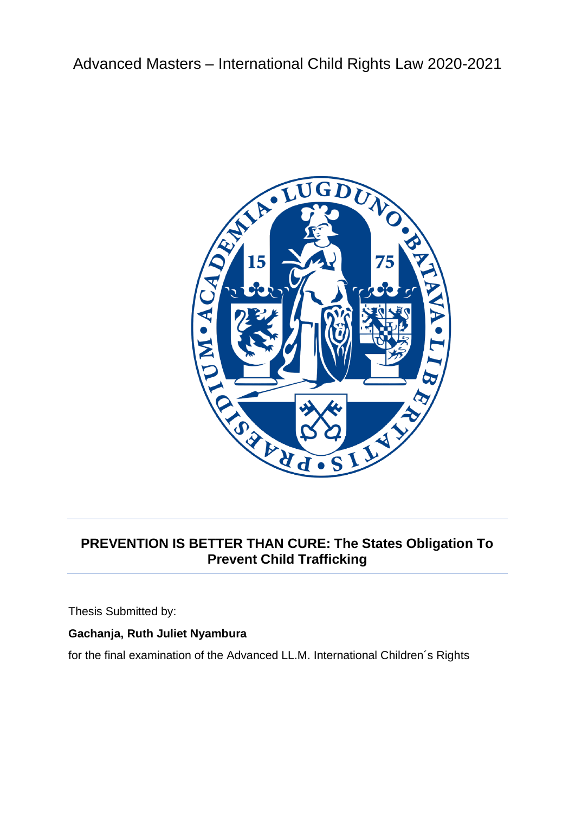Advanced Masters – International Child Rights Law 2020-2021



# **PREVENTION IS BETTER THAN CURE: The States Obligation To Prevent Child Trafficking**

Thesis Submitted by:

# **Gachanja, Ruth Juliet Nyambura**

for the final examination of the Advanced LL.M. International Children´s Rights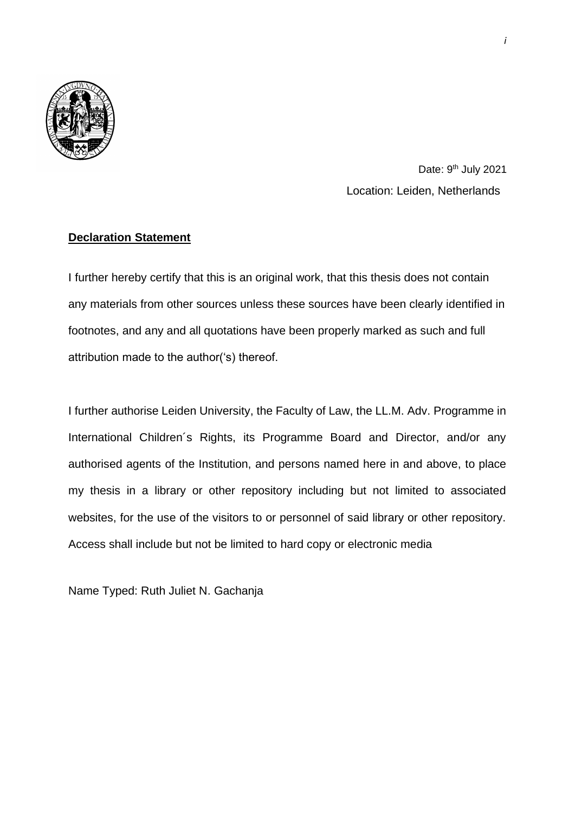

Date: 9<sup>th</sup> July 2021 Location: Leiden, Netherlands

## **Declaration Statement**

I further hereby certify that this is an original work, that this thesis does not contain any materials from other sources unless these sources have been clearly identified in footnotes, and any and all quotations have been properly marked as such and full attribution made to the author('s) thereof.

I further authorise Leiden University, the Faculty of Law, the LL.M. Adv. Programme in International Children´s Rights, its Programme Board and Director, and/or any authorised agents of the Institution, and persons named here in and above, to place my thesis in a library or other repository including but not limited to associated websites, for the use of the visitors to or personnel of said library or other repository. Access shall include but not be limited to hard copy or electronic media

Name Typed: Ruth Juliet N. Gachanja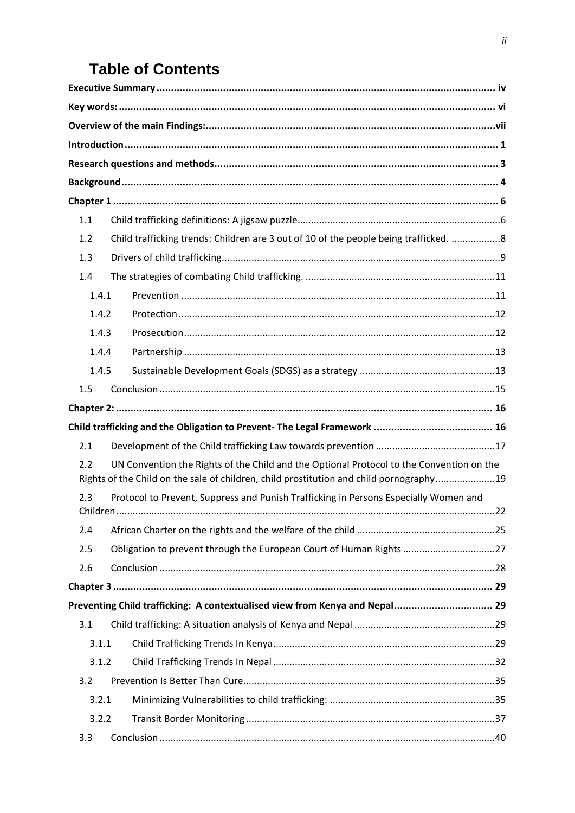# **Table of Contents**

| 1.1   |                                                                                                                                                                                     |  |
|-------|-------------------------------------------------------------------------------------------------------------------------------------------------------------------------------------|--|
| 1.2   | Child trafficking trends: Children are 3 out of 10 of the people being trafficked. 8                                                                                                |  |
| 1.3   |                                                                                                                                                                                     |  |
| 1.4   |                                                                                                                                                                                     |  |
| 1.4.1 |                                                                                                                                                                                     |  |
| 1.4.2 |                                                                                                                                                                                     |  |
| 1.4.3 |                                                                                                                                                                                     |  |
| 1.4.4 |                                                                                                                                                                                     |  |
| 1.4.5 |                                                                                                                                                                                     |  |
| 1.5   |                                                                                                                                                                                     |  |
|       |                                                                                                                                                                                     |  |
|       |                                                                                                                                                                                     |  |
| 2.1   |                                                                                                                                                                                     |  |
| 2.2   | UN Convention the Rights of the Child and the Optional Protocol to the Convention on the<br>Rights of the Child on the sale of children, child prostitution and child pornography19 |  |
| 2.3   | Protocol to Prevent, Suppress and Punish Trafficking in Persons Especially Women and                                                                                                |  |
| 2.4   |                                                                                                                                                                                     |  |
| 2.5   | Obligation to prevent through the European Court of Human Rights 27                                                                                                                 |  |
| 2.6   |                                                                                                                                                                                     |  |
|       |                                                                                                                                                                                     |  |
|       | Preventing Child trafficking: A contextualised view from Kenya and Nepal 29                                                                                                         |  |
| 3.1   |                                                                                                                                                                                     |  |
| 3.1.1 |                                                                                                                                                                                     |  |
| 3.1.2 |                                                                                                                                                                                     |  |
| 3.2   |                                                                                                                                                                                     |  |
| 3.2.1 |                                                                                                                                                                                     |  |
| 3.2.2 |                                                                                                                                                                                     |  |
| 3.3   |                                                                                                                                                                                     |  |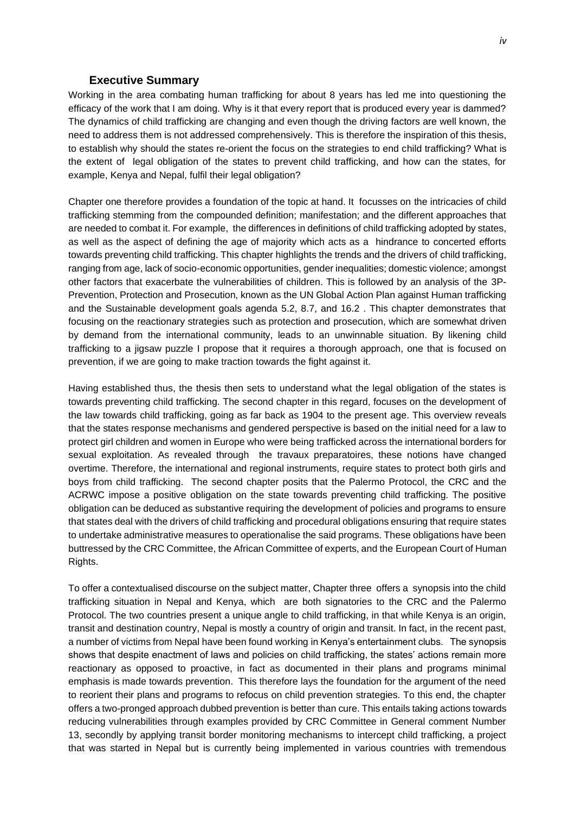#### **Executive Summary**

<span id="page-4-0"></span>Working in the area combating human trafficking for about 8 years has led me into questioning the efficacy of the work that I am doing. Why is it that every report that is produced every year is dammed? The dynamics of child trafficking are changing and even though the driving factors are well known, the need to address them is not addressed comprehensively. This is therefore the inspiration of this thesis, to establish why should the states re-orient the focus on the strategies to end child trafficking? What is the extent of legal obligation of the states to prevent child trafficking, and how can the states, for example, Kenya and Nepal, fulfil their legal obligation?

Chapter one therefore provides a foundation of the topic at hand. It focusses on the intricacies of child trafficking stemming from the compounded definition; manifestation; and the different approaches that are needed to combat it. For example, the differences in definitions of child trafficking adopted by states, as well as the aspect of defining the age of majority which acts as a hindrance to concerted efforts towards preventing child trafficking. This chapter highlights the trends and the drivers of child trafficking, ranging from age, lack of socio-economic opportunities, gender inequalities; domestic violence; amongst other factors that exacerbate the vulnerabilities of children. This is followed by an analysis of the 3P-Prevention, Protection and Prosecution, known as the UN Global Action Plan against Human trafficking and the Sustainable development goals agenda 5.2, 8.7, and 16.2 . This chapter demonstrates that focusing on the reactionary strategies such as protection and prosecution, which are somewhat driven by demand from the international community, leads to an unwinnable situation. By likening child trafficking to a jigsaw puzzle I propose that it requires a thorough approach, one that is focused on prevention, if we are going to make traction towards the fight against it.

Having established thus, the thesis then sets to understand what the legal obligation of the states is towards preventing child trafficking. The second chapter in this regard, focuses on the development of the law towards child trafficking, going as far back as 1904 to the present age. This overview reveals that the states response mechanisms and gendered perspective is based on the initial need for a law to protect girl children and women in Europe who were being trafficked across the international borders for sexual exploitation. As revealed through the travaux preparatoires, these notions have changed overtime. Therefore, the international and regional instruments, require states to protect both girls and boys from child trafficking. The second chapter posits that the Palermo Protocol, the CRC and the ACRWC impose a positive obligation on the state towards preventing child trafficking. The positive obligation can be deduced as substantive requiring the development of policies and programs to ensure that states deal with the drivers of child trafficking and procedural obligations ensuring that require states to undertake administrative measures to operationalise the said programs. These obligations have been buttressed by the CRC Committee, the African Committee of experts, and the European Court of Human Rights.

To offer a contextualised discourse on the subject matter, Chapter three offers a synopsis into the child trafficking situation in Nepal and Kenya, which are both signatories to the CRC and the Palermo Protocol. The two countries present a unique angle to child trafficking, in that while Kenya is an origin, transit and destination country, Nepal is mostly a country of origin and transit. In fact, in the recent past, a number of victims from Nepal have been found working in Kenya's entertainment clubs. The synopsis shows that despite enactment of laws and policies on child trafficking, the states' actions remain more reactionary as opposed to proactive, in fact as documented in their plans and programs minimal emphasis is made towards prevention. This therefore lays the foundation for the argument of the need to reorient their plans and programs to refocus on child prevention strategies. To this end, the chapter offers a two-pronged approach dubbed prevention is better than cure. This entails taking actions towards reducing vulnerabilities through examples provided by CRC Committee in General comment Number 13, secondly by applying transit border monitoring mechanisms to intercept child trafficking, a project that was started in Nepal but is currently being implemented in various countries with tremendous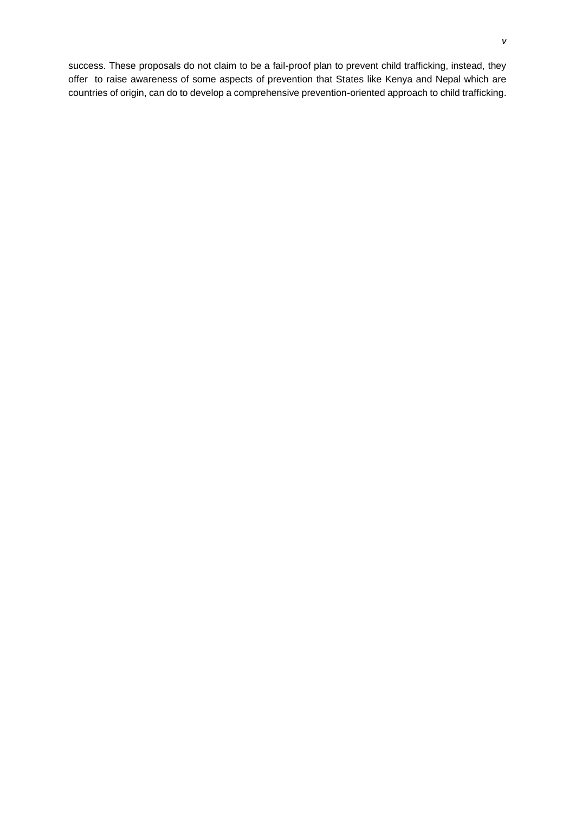success. These proposals do not claim to be a fail-proof plan to prevent child trafficking, instead, they offer to raise awareness of some aspects of prevention that States like Kenya and Nepal which are countries of origin, can do to develop a comprehensive prevention-oriented approach to child trafficking.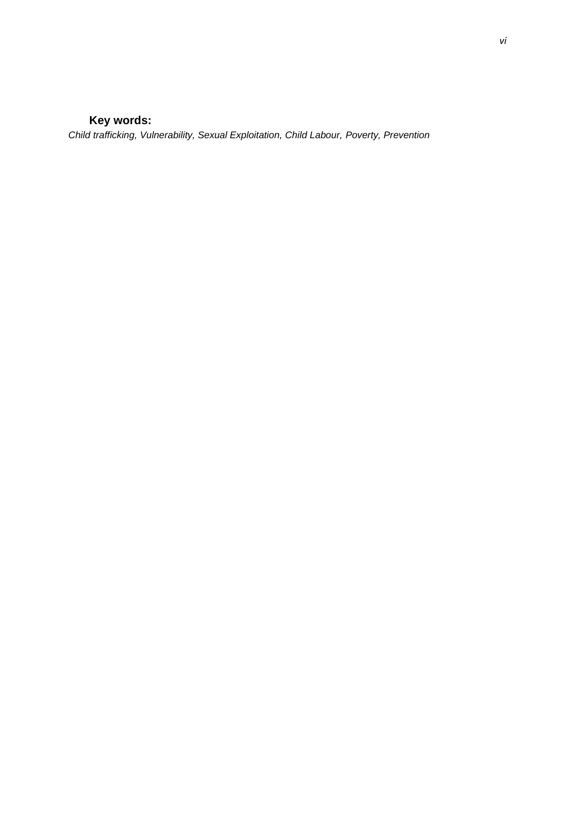# **Key words:**

<span id="page-6-0"></span>*Child trafficking, Vulnerability, Sexual Exploitation, Child Labour, Poverty, Prevention*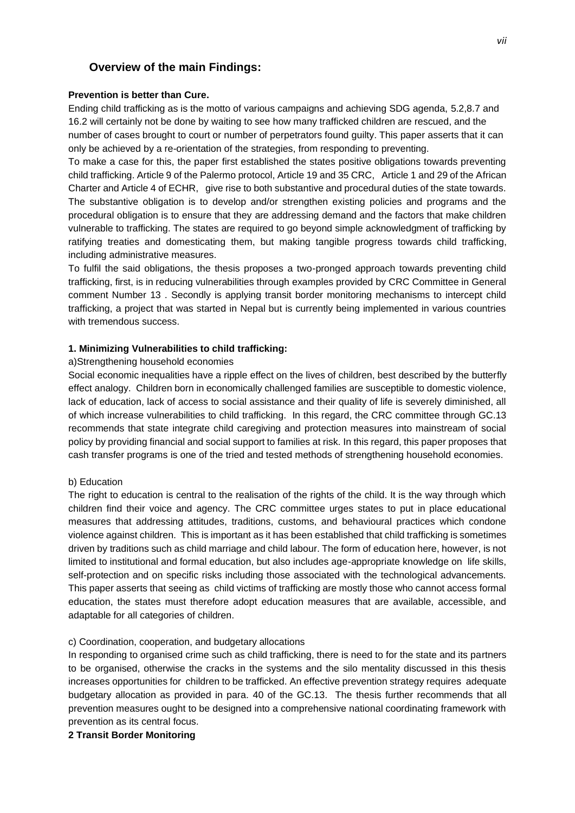## <span id="page-7-0"></span>**Overview of the main Findings:**

#### **Prevention is better than Cure.**

Ending child trafficking as is the motto of various campaigns and achieving SDG agenda, 5.2,8.7 and 16.2 will certainly not be done by waiting to see how many trafficked children are rescued, and the number of cases brought to court or number of perpetrators found guilty. This paper asserts that it can only be achieved by a re-orientation of the strategies, from responding to preventing.

To make a case for this, the paper first established the states positive obligations towards preventing child trafficking. Article 9 of the Palermo protocol, Article 19 and 35 CRC, Article 1 and 29 of the African Charter and Article 4 of ECHR, give rise to both substantive and procedural duties of the state towards. The substantive obligation is to develop and/or strengthen existing policies and programs and the procedural obligation is to ensure that they are addressing demand and the factors that make children vulnerable to trafficking. The states are required to go beyond simple acknowledgment of trafficking by ratifying treaties and domesticating them, but making tangible progress towards child trafficking, including administrative measures.

To fulfil the said obligations, the thesis proposes a two-pronged approach towards preventing child trafficking, first, is in reducing vulnerabilities through examples provided by CRC Committee in General comment Number 13 . Secondly is applying transit border monitoring mechanisms to intercept child trafficking, a project that was started in Nepal but is currently being implemented in various countries with tremendous success.

#### **1. Minimizing Vulnerabilities to child trafficking:**

#### a)Strengthening household economies

Social economic inequalities have a ripple effect on the lives of children, best described by the butterfly effect analogy. Children born in economically challenged families are susceptible to domestic violence, lack of education, lack of access to social assistance and their quality of life is severely diminished, all of which increase vulnerabilities to child trafficking. In this regard, the CRC committee through GC.13 recommends that state integrate child caregiving and protection measures into mainstream of social policy by providing financial and social support to families at risk. In this regard, this paper proposes that cash transfer programs is one of the tried and tested methods of strengthening household economies.

#### b) Education

The right to education is central to the realisation of the rights of the child. It is the way through which children find their voice and agency. The CRC committee urges states to put in place educational measures that addressing attitudes, traditions, customs, and behavioural practices which condone violence against children. This is important as it has been established that child trafficking is sometimes driven by traditions such as child marriage and child labour. The form of education here, however, is not limited to institutional and formal education, but also includes age-appropriate knowledge on life skills, self-protection and on specific risks including those associated with the technological advancements. This paper asserts that seeing as child victims of trafficking are mostly those who cannot access formal education, the states must therefore adopt education measures that are available, accessible, and adaptable for all categories of children.

#### c) Coordination, cooperation, and budgetary allocations

In responding to organised crime such as child trafficking, there is need to for the state and its partners to be organised, otherwise the cracks in the systems and the silo mentality discussed in this thesis increases opportunities for children to be trafficked. An effective prevention strategy requires adequate budgetary allocation as provided in para. 40 of the GC.13. The thesis further recommends that all prevention measures ought to be designed into a comprehensive national coordinating framework with prevention as its central focus.

**2 Transit Border Monitoring**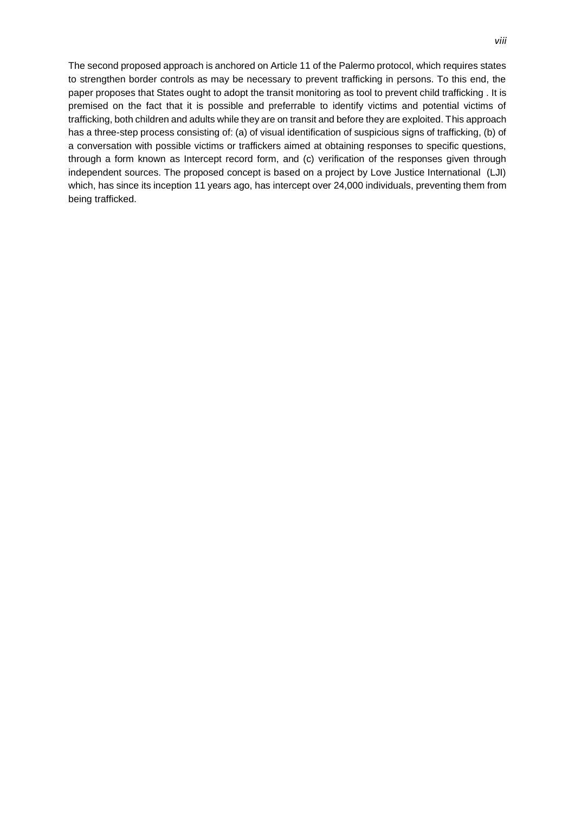The second proposed approach is anchored on Article 11 of the Palermo protocol, which requires states to strengthen border controls as may be necessary to prevent trafficking in persons. To this end, the paper proposes that States ought to adopt the transit monitoring as tool to prevent child trafficking . It is premised on the fact that it is possible and preferrable to identify victims and potential victims of trafficking, both children and adults while they are on transit and before they are exploited. This approach has a three-step process consisting of: (a) of visual identification of suspicious signs of trafficking, (b) of a conversation with possible victims or traffickers aimed at obtaining responses to specific questions, through a form known as Intercept record form, and (c) verification of the responses given through independent sources. The proposed concept is based on a project by Love Justice International (LJI) which, has since its inception 11 years ago, has intercept over 24,000 individuals, preventing them from being trafficked.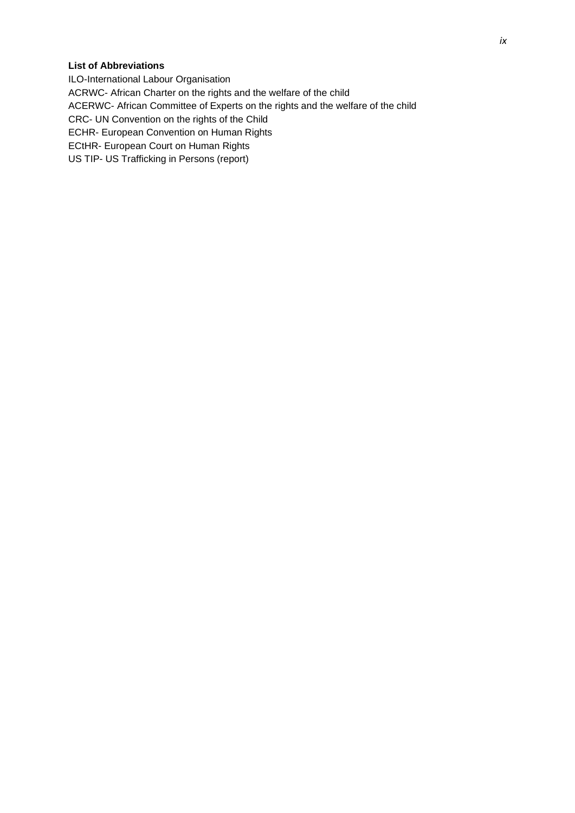## **List of Abbreviations**

ILO-International Labour Organisation ACRWC- African Charter on the rights and the welfare of the child ACERWC- African Committee of Experts on the rights and the welfare of the child CRC- UN Convention on the rights of the Child ECHR- European Convention on Human Rights ECtHR- European Court on Human Rights US TIP- US Trafficking in Persons (report)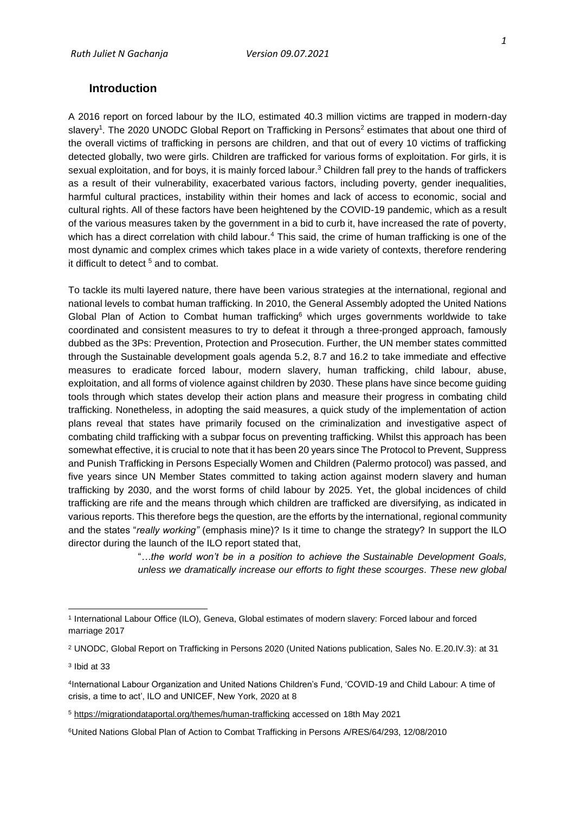## <span id="page-10-0"></span>**Introduction**

A 2016 report on forced labour by the ILO, estimated 40.3 million victims are trapped in modern-day slavery<sup>1</sup>. The 2020 UNODC Global Report on Trafficking in Persons<sup>2</sup> estimates that about one third of the overall victims of trafficking in persons are children, and that out of every 10 victims of trafficking detected globally, two were girls. Children are trafficked for various forms of exploitation. For girls, it is sexual exploitation, and for boys, it is mainly forced labour.<sup>3</sup> Children fall prey to the hands of traffickers as a result of their vulnerability, exacerbated various factors, including poverty, gender inequalities, harmful cultural practices, instability within their homes and lack of access to economic, social and cultural rights. All of these factors have been heightened by the COVID-19 pandemic, which as a result of the various measures taken by the government in a bid to curb it, have increased the rate of poverty, which has a direct correlation with child labour.<sup>4</sup> This said, the crime of human trafficking is one of the most dynamic and complex crimes which takes place in a wide variety of contexts, therefore rendering it difficult to detect<sup>5</sup> and to combat.

To tackle its multi layered nature, there have been various strategies at the international, regional and national levels to combat human trafficking. In 2010, the General Assembly adopted the United Nations Global Plan of Action to Combat human trafficking<sup>6</sup> which urges governments worldwide to take coordinated and consistent measures to try to defeat it through a three-pronged approach, famously dubbed as the 3Ps: Prevention, Protection and Prosecution. Further, the UN member states committed through the Sustainable development goals agenda 5.2, 8.7 and 16.2 to take immediate and effective measures to eradicate forced labour, modern slavery, human trafficking, child labour, abuse, exploitation, and all forms of violence against children by 2030. These plans have since become guiding tools through which states develop their action plans and measure their progress in combating child trafficking. Nonetheless, in adopting the said measures, a quick study of the implementation of action plans reveal that states have primarily focused on the criminalization and investigative aspect of combating child trafficking with a subpar focus on preventing trafficking. Whilst this approach has been somewhat effective, it is crucial to note that it has been 20 years since The Protocol to Prevent, Suppress and Punish Trafficking in Persons Especially Women and Children (Palermo protocol) was passed, and five years since UN Member States committed to taking action against modern slavery and human trafficking by 2030, and the worst forms of child labour by 2025. Yet, the global incidences of child trafficking are rife and the means through which children are trafficked are diversifying, as indicated in various reports. This therefore begs the question, are the efforts by the international, regional community and the states "*really working"* (emphasis mine)? Is it time to change the strategy? In support the ILO director during the launch of the ILO report stated that,

> "*…the world won't be in a position to achieve the Sustainable Development Goals, unless we dramatically increase our efforts to fight these scourges. These new global*

<sup>1</sup> International Labour Office (ILO), Geneva, Global estimates of modern slavery: Forced labour and forced marriage 2017

<sup>2</sup> UNODC, Global Report on Trafficking in Persons 2020 (United Nations publication, Sales No. E.20.IV.3): at 31

<sup>3</sup> Ibid at 33

<sup>4</sup> International Labour Organization and United Nations Children's Fund, 'COVID-19 and Child Labour: A time of crisis, a time to act', ILO and UNICEF, New York, 2020 at 8

<sup>5</sup> <https://migrationdataportal.org/themes/human-trafficking> accessed on 18th May 2021

<sup>6</sup>United Nations Global Plan of Action to Combat Trafficking in Persons A/RES/64/293, 12/08/2010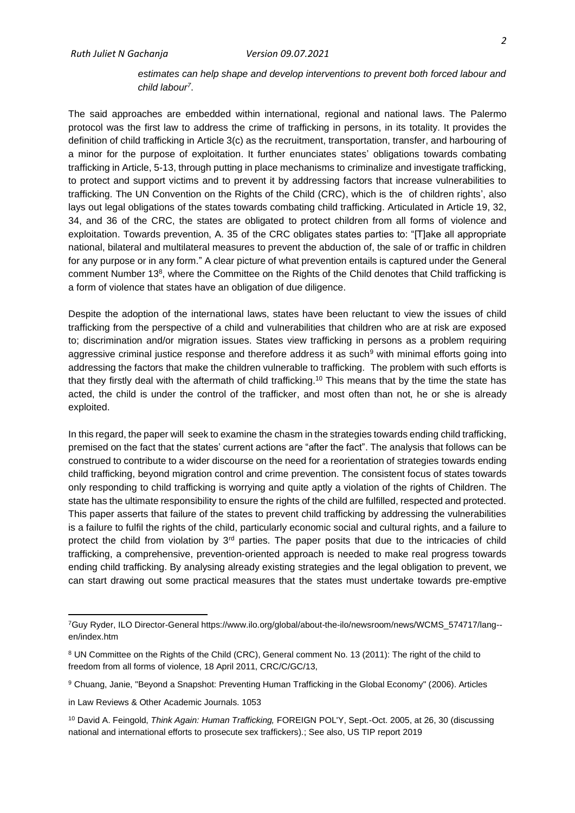## *estimates can help shape and develop interventions to prevent both forced labour and child labour<sup>7</sup>* .

The said approaches are embedded within international, regional and national laws. The Palermo protocol was the first law to address the crime of trafficking in persons, in its totality. It provides the definition of child trafficking in Article 3(c) as the recruitment, transportation, transfer, and harbouring of a minor for the purpose of exploitation. It further enunciates states' obligations towards combating trafficking in Article, 5-13, through putting in place mechanisms to criminalize and investigate trafficking, to protect and support victims and to prevent it by addressing factors that increase vulnerabilities to trafficking. The UN Convention on the Rights of the Child (CRC), which is the of children rights', also lays out legal obligations of the states towards combating child trafficking. Articulated in Article 19, 32, 34, and 36 of the CRC, the states are obligated to protect children from all forms of violence and exploitation. Towards prevention, A. 35 of the CRC obligates states parties to: "[T]ake all appropriate national, bilateral and multilateral measures to prevent the abduction of, the sale of or traffic in children for any purpose or in any form." A clear picture of what prevention entails is captured under the General comment Number 13<sup>8</sup>, where the Committee on the Rights of the Child denotes that Child trafficking is a form of violence that states have an obligation of due diligence.

Despite the adoption of the international laws, states have been reluctant to view the issues of child trafficking from the perspective of a child and vulnerabilities that children who are at risk are exposed to; discrimination and/or migration issues. States view trafficking in persons as a problem requiring aggressive criminal justice response and therefore address it as such<sup>9</sup> with minimal efforts going into addressing the factors that make the children vulnerable to trafficking. The problem with such efforts is that they firstly deal with the aftermath of child trafficking.<sup>10</sup> This means that by the time the state has acted, the child is under the control of the trafficker, and most often than not, he or she is already exploited.

In this regard, the paper will seek to examine the chasm in the strategies towards ending child trafficking, premised on the fact that the states' current actions are "after the fact". The analysis that follows can be construed to contribute to a wider discourse on the need for a reorientation of strategies towards ending child trafficking, beyond migration control and crime prevention. The consistent focus of states towards only responding to child trafficking is worrying and quite aptly a violation of the rights of Children. The state has the ultimate responsibility to ensure the rights of the child are fulfilled, respected and protected. This paper asserts that failure of the states to prevent child trafficking by addressing the vulnerabilities is a failure to fulfil the rights of the child, particularly economic social and cultural rights, and a failure to protect the child from violation by 3<sup>rd</sup> parties. The paper posits that due to the intricacies of child trafficking, a comprehensive, prevention-oriented approach is needed to make real progress towards ending child trafficking. By analysing already existing strategies and the legal obligation to prevent, we can start drawing out some practical measures that the states must undertake towards pre-emptive

<sup>7</sup>Guy Ryder, ILO Director-General https://www.ilo.org/global/about-the-ilo/newsroom/news/WCMS\_574717/lang- en/index.htm

<sup>8</sup> UN Committee on the Rights of the Child (CRC), General comment No. 13 (2011): The right of the child to freedom from all forms of violence, 18 April 2011, CRC/C/GC/13,

<sup>9</sup> Chuang, Janie, "Beyond a Snapshot: Preventing Human Trafficking in the Global Economy" (2006). Articles

in Law Reviews & Other Academic Journals. 1053

<sup>10</sup> David A. Feingold, *Think Again: Human Trafficking,* FOREIGN POL'Y, Sept.-Oct. 2005, at 26, 30 (discussing national and international efforts to prosecute sex traffickers).; See also, US TIP report 2019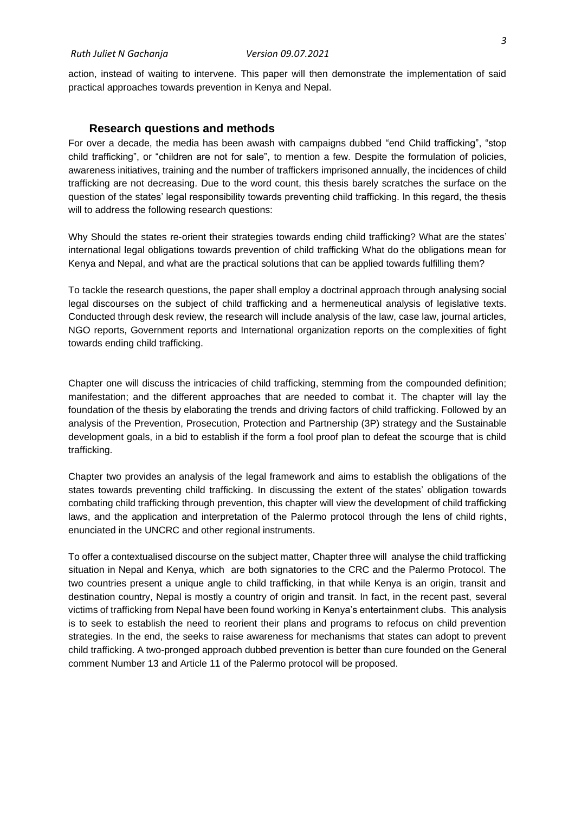action, instead of waiting to intervene. This paper will then demonstrate the implementation of said practical approaches towards prevention in Kenya and Nepal.

#### **Research questions and methods**

<span id="page-12-0"></span>For over a decade, the media has been awash with campaigns dubbed "end Child trafficking", "stop child trafficking", or "children are not for sale", to mention a few. Despite the formulation of policies, awareness initiatives, training and the number of traffickers imprisoned annually, the incidences of child trafficking are not decreasing. Due to the word count, this thesis barely scratches the surface on the question of the states' legal responsibility towards preventing child trafficking. In this regard, the thesis will to address the following research questions:

Why Should the states re-orient their strategies towards ending child trafficking? What are the states' international legal obligations towards prevention of child trafficking What do the obligations mean for Kenya and Nepal, and what are the practical solutions that can be applied towards fulfilling them?

To tackle the research questions, the paper shall employ a doctrinal approach through analysing social legal discourses on the subject of child trafficking and a hermeneutical analysis of legislative texts. Conducted through desk review, the research will include analysis of the law, case law, journal articles, NGO reports, Government reports and International organization reports on the complexities of fight towards ending child trafficking.

Chapter one will discuss the intricacies of child trafficking, stemming from the compounded definition; manifestation; and the different approaches that are needed to combat it. The chapter will lay the foundation of the thesis by elaborating the trends and driving factors of child trafficking. Followed by an analysis of the Prevention, Prosecution, Protection and Partnership (3P) strategy and the Sustainable development goals, in a bid to establish if the form a fool proof plan to defeat the scourge that is child trafficking.

Chapter two provides an analysis of the legal framework and aims to establish the obligations of the states towards preventing child trafficking. In discussing the extent of the states' obligation towards combating child trafficking through prevention, this chapter will view the development of child trafficking laws, and the application and interpretation of the Palermo protocol through the lens of child rights, enunciated in the UNCRC and other regional instruments.

To offer a contextualised discourse on the subject matter, Chapter three will analyse the child trafficking situation in Nepal and Kenya, which are both signatories to the CRC and the Palermo Protocol. The two countries present a unique angle to child trafficking, in that while Kenya is an origin, transit and destination country, Nepal is mostly a country of origin and transit. In fact, in the recent past, several victims of trafficking from Nepal have been found working in Kenya's entertainment clubs. This analysis is to seek to establish the need to reorient their plans and programs to refocus on child prevention strategies. In the end, the seeks to raise awareness for mechanisms that states can adopt to prevent child trafficking. A two-pronged approach dubbed prevention is better than cure founded on the General comment Number 13 and Article 11 of the Palermo protocol will be proposed.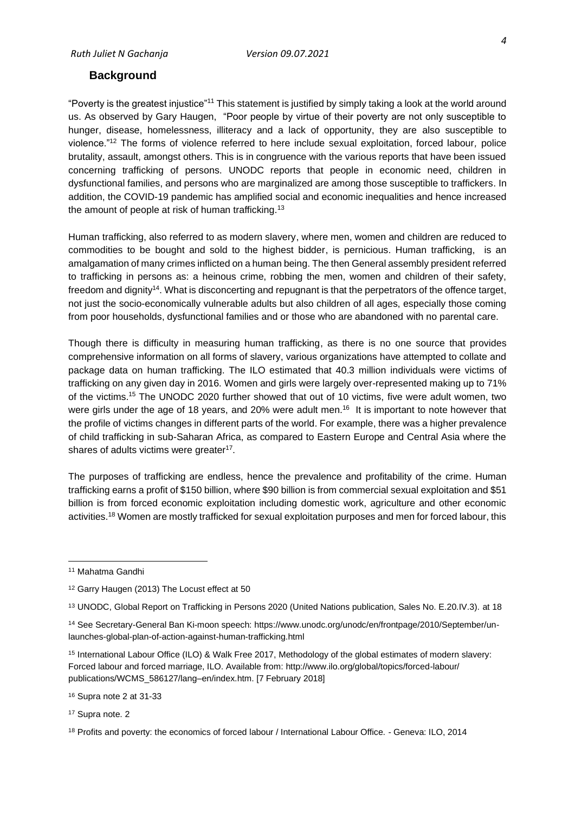## <span id="page-13-0"></span>**Background**

"Poverty is the greatest injustice"<sup>11</sup> This statement is justified by simply taking a look at the world around us. As observed by Gary Haugen, "Poor people by virtue of their poverty are not only susceptible to hunger, disease, homelessness, illiteracy and a lack of opportunity, they are also susceptible to violence."<sup>12</sup> The forms of violence referred to here include sexual exploitation, forced labour*,* police brutality, assault, amongst others. This is in congruence with the various reports that have been issued concerning trafficking of persons. UNODC reports that people in economic need, children in dysfunctional families, and persons who are marginalized are among those susceptible to traffickers. In addition, the COVID-19 pandemic has amplified social and economic inequalities and hence increased the amount of people at risk of human trafficking.<sup>13</sup>

Human trafficking, also referred to as modern slavery, where men, women and children are reduced to commodities to be bought and sold to the highest bidder, is pernicious. Human trafficking, is an amalgamation of many crimes inflicted on a human being. The then General assembly president referred to trafficking in persons as: a heinous crime, robbing the men, women and children of their safety, freedom and dignity<sup>14</sup>. What is disconcerting and repugnant is that the perpetrators of the offence target, not just the socio-economically vulnerable adults but also children of all ages, especially those coming from poor households, dysfunctional families and or those who are abandoned with no parental care.

Though there is difficulty in measuring human trafficking, as there is no one source that provides comprehensive information on all forms of slavery, various organizations have attempted to collate and package data on human trafficking. The ILO estimated that 40.3 million individuals were victims of trafficking on any given day in 2016. Women and girls were largely over-represented making up to 71% of the victims.<sup>15</sup> The UNODC 2020 further showed that out of 10 victims, five were adult women, two were girls under the age of 18 years, and 20% were adult men.<sup>16</sup> It is important to note however that the profile of victims changes in different parts of the world. For example, there was a higher prevalence of child trafficking in sub-Saharan Africa, as compared to Eastern Europe and Central Asia where the shares of adults victims were greater<sup>17</sup>.

The purposes of trafficking are endless, hence the prevalence and profitability of the crime. Human trafficking earns a profit of \$150 billion, where \$90 billion is from commercial sexual exploitation and \$51 billion is from forced economic exploitation including domestic work, agriculture and other economic activities.<sup>18</sup> Women are mostly trafficked for sexual exploitation purposes and men for forced labour, this

<sup>11</sup> Mahatma Gandhi

<sup>12</sup> Garry Haugen (2013) The Locust effect at 50

<sup>13</sup> UNODC, Global Report on Trafficking in Persons 2020 (United Nations publication, Sales No. E.20.IV.3). at 18

<sup>14</sup> See Secretary-General Ban Ki-moon speech: https://www.unodc.org/unodc/en/frontpage/2010/September/unlaunches-global-plan-of-action-against-human-trafficking.html

<sup>15</sup> International Labour Office (ILO) & Walk Free 2017, Methodology of the global estimates of modern slavery: Forced labour and forced marriage, ILO. Available from: http://www.ilo.org/global/topics/forced-labour/ publications/WCMS\_586127/lang–en/index.htm. [7 February 2018]

<sup>16</sup> Supra note 2 at 31-33

<sup>17</sup> Supra note. 2

<sup>18</sup> Profits and poverty: the economics of forced labour / International Labour Office. - Geneva: ILO, 2014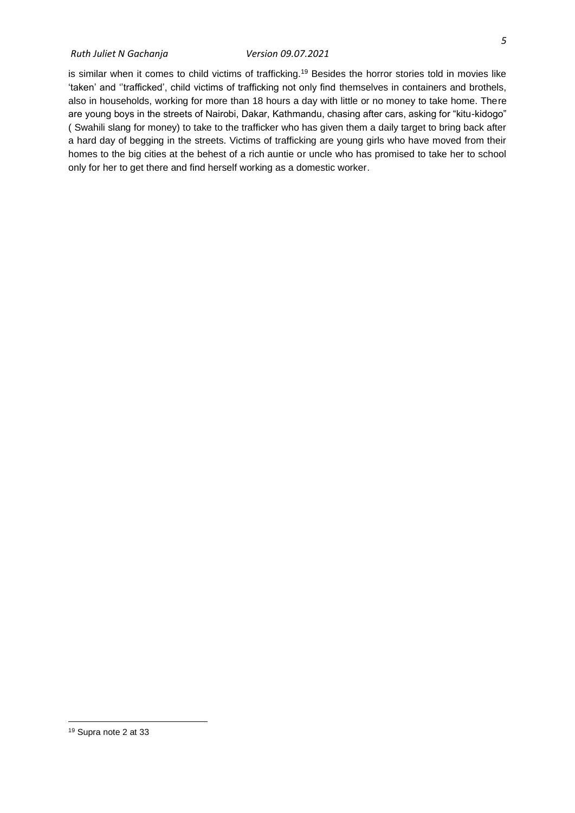#### *Ruth Juliet N Gachanja Version 09.07.2021*

is similar when it comes to child victims of trafficking.<sup>19</sup> Besides the horror stories told in movies like 'taken' and ''trafficked', child victims of trafficking not only find themselves in containers and brothels, also in households, working for more than 18 hours a day with little or no money to take home. There are young boys in the streets of Nairobi, Dakar, Kathmandu, chasing after cars, asking for "kitu-kidogo" ( Swahili slang for money) to take to the trafficker who has given them a daily target to bring back after a hard day of begging in the streets. Victims of trafficking are young girls who have moved from their homes to the big cities at the behest of a rich auntie or uncle who has promised to take her to school only for her to get there and find herself working as a domestic worker.

<sup>19</sup> Supra note 2 at 33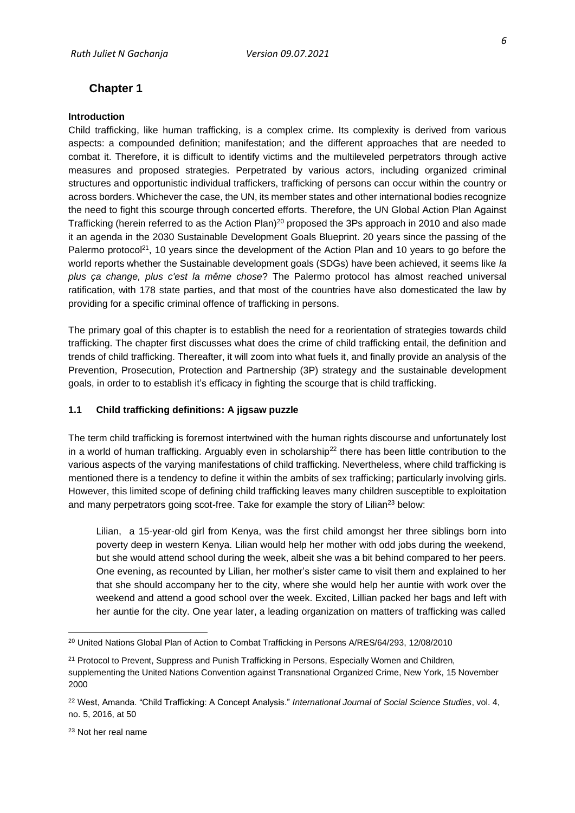## <span id="page-15-0"></span>**Chapter 1**

#### **Introduction**

Child trafficking, like human trafficking, is a complex crime. Its complexity is derived from various aspects: a compounded definition; manifestation; and the different approaches that are needed to combat it. Therefore, it is difficult to identify victims and the multileveled perpetrators through active measures and proposed strategies. Perpetrated by various actors, including organized criminal structures and opportunistic individual traffickers, trafficking of persons can occur within the country or across borders. Whichever the case, the UN, its member states and other international bodies recognize the need to fight this scourge through concerted efforts. Therefore, the UN Global Action Plan Against Trafficking (herein referred to as the Action Plan)<sup>20</sup> proposed the 3Ps approach in 2010 and also made it an agenda in the 2030 Sustainable Development Goals Blueprint. 20 years since the passing of the Palermo protocol<sup>21</sup>, 10 years since the development of the Action Plan and 10 years to go before the world reports whether the Sustainable development goals (SDGs) have been achieved, it seems like *la plus ça change, plus c'est la même chose*? The Palermo protocol has almost reached universal ratification, with 178 state parties, and that most of the countries have also domesticated the law by providing for a specific criminal offence of trafficking in persons.

The primary goal of this chapter is to establish the need for a reorientation of strategies towards child trafficking. The chapter first discusses what does the crime of child trafficking entail, the definition and trends of child trafficking. Thereafter, it will zoom into what fuels it, and finally provide an analysis of the Prevention, Prosecution, Protection and Partnership (3P) strategy and the sustainable development goals, in order to to establish it's efficacy in fighting the scourge that is child trafficking.

## <span id="page-15-1"></span>**1.1 Child trafficking definitions: A jigsaw puzzle**

The term child trafficking is foremost intertwined with the human rights discourse and unfortunately lost in a world of human trafficking. Arguably even in scholarship<sup>22</sup> there has been little contribution to the various aspects of the varying manifestations of child trafficking. Nevertheless, where child trafficking is mentioned there is a tendency to define it within the ambits of sex trafficking; particularly involving girls. However, this limited scope of defining child trafficking leaves many children susceptible to exploitation and many perpetrators going scot-free. Take for example the story of Lilian<sup>23</sup> below:

Lilian, a 15-year-old girl from Kenya, was the first child amongst her three siblings born into poverty deep in western Kenya. Lilian would help her mother with odd jobs during the weekend, but she would attend school during the week, albeit she was a bit behind compared to her peers. One evening, as recounted by Lilian, her mother's sister came to visit them and explained to her that she should accompany her to the city, where she would help her auntie with work over the weekend and attend a good school over the week. Excited, Lillian packed her bags and left with her auntie for the city. One year later, a leading organization on matters of trafficking was called

<sup>23</sup> Not her real name

<sup>20</sup> United Nations Global Plan of Action to Combat Trafficking in Persons A/RES/64/293, 12/08/2010

<sup>&</sup>lt;sup>21</sup> Protocol to Prevent, Suppress and Punish Trafficking in Persons, Especially Women and Children, supplementing the United Nations Convention against Transnational Organized Crime, New York, 15 November 2000

<sup>22</sup> West, Amanda. "Child Trafficking: A Concept Analysis." *International Journal of Social Science Studies*, vol. 4, no. 5, 2016, at 50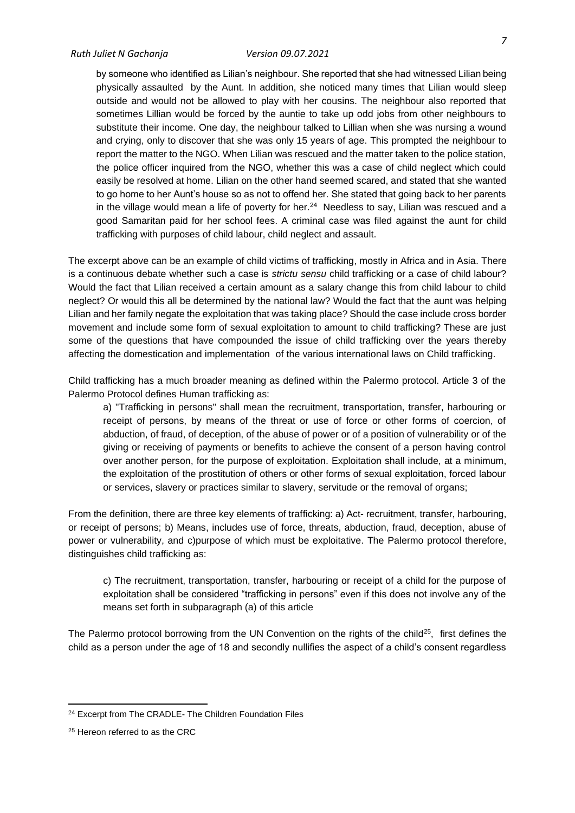by someone who identified as Lilian's neighbour. She reported that she had witnessed Lilian being physically assaulted by the Aunt. In addition, she noticed many times that Lilian would sleep outside and would not be allowed to play with her cousins. The neighbour also reported that sometimes Lillian would be forced by the auntie to take up odd jobs from other neighbours to substitute their income. One day, the neighbour talked to Lillian when she was nursing a wound and crying, only to discover that she was only 15 years of age. This prompted the neighbour to report the matter to the NGO. When Lilian was rescued and the matter taken to the police station, the police officer inquired from the NGO, whether this was a case of child neglect which could easily be resolved at home. Lilian on the other hand seemed scared, and stated that she wanted to go home to her Aunt's house so as not to offend her. She stated that going back to her parents in the village would mean a life of poverty for her.<sup>24</sup> Needless to say, Lilian was rescued and a good Samaritan paid for her school fees. A criminal case was filed against the aunt for child trafficking with purposes of child labour, child neglect and assault.

The excerpt above can be an example of child victims of trafficking, mostly in Africa and in Asia. There is a continuous debate whether such a case is *strictu sensu* child trafficking or a case of child labour? Would the fact that Lilian received a certain amount as a salary change this from child labour to child neglect? Or would this all be determined by the national law? Would the fact that the aunt was helping Lilian and her family negate the exploitation that was taking place? Should the case include cross border movement and include some form of sexual exploitation to amount to child trafficking? These are just some of the questions that have compounded the issue of child trafficking over the years thereby affecting the domestication and implementation of the various international laws on Child trafficking.

Child trafficking has a much broader meaning as defined within the Palermo protocol. Article 3 of the Palermo Protocol defines Human trafficking as:

a) "Trafficking in persons" shall mean the recruitment, transportation, transfer, harbouring or receipt of persons, by means of the threat or use of force or other forms of coercion, of abduction, of fraud, of deception, of the abuse of power or of a position of vulnerability or of the giving or receiving of payments or benefits to achieve the consent of a person having control over another person, for the purpose of exploitation. Exploitation shall include, at a minimum, the exploitation of the prostitution of others or other forms of sexual exploitation, forced labour or services, slavery or practices similar to slavery, servitude or the removal of organs;

From the definition, there are three key elements of trafficking: a) Act- recruitment, transfer, harbouring, or receipt of persons; b) Means, includes use of force, threats, abduction, fraud, deception, abuse of power or vulnerability, and c)purpose of which must be exploitative. The Palermo protocol therefore, distinguishes child trafficking as:

c) The recruitment, transportation, transfer, harbouring or receipt of a child for the purpose of exploitation shall be considered "trafficking in persons" even if this does not involve any of the means set forth in subparagraph (a) of this article

The Palermo protocol borrowing from the UN Convention on the rights of the child<sup>25</sup>, first defines the child as a person under the age of 18 and secondly nullifies the aspect of a child's consent regardless

<sup>24</sup> Excerpt from The CRADLE- The Children Foundation Files

<sup>25</sup> Hereon referred to as the CRC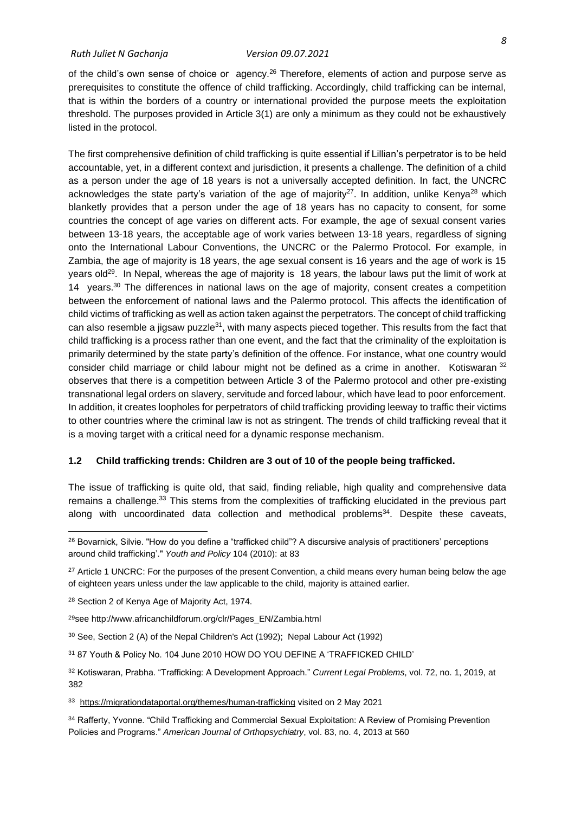of the child's own sense of choice or agency.<sup>26</sup> Therefore, elements of action and purpose serve as prerequisites to constitute the offence of child trafficking. Accordingly, child trafficking can be internal, that is within the borders of a country or international provided the purpose meets the exploitation threshold. The purposes provided in Article 3(1) are only a minimum as they could not be exhaustively listed in the protocol.

The first comprehensive definition of child trafficking is quite essential if Lillian's perpetrator is to be held accountable, yet, in a different context and jurisdiction, it presents a challenge. The definition of a child as a person under the age of 18 years is not a universally accepted definition. In fact, the UNCRC acknowledges the state party's variation of the age of majority<sup>27</sup>. In addition, unlike Kenya<sup>28</sup> which blanketly provides that a person under the age of 18 years has no capacity to consent, for some countries the concept of age varies on different acts. For example, the age of sexual consent varies between 13-18 years, the acceptable age of work varies between 13-18 years, regardless of signing onto the International Labour Conventions, the UNCRC or the Palermo Protocol. For example, in Zambia, the age of majority is 18 years, the age sexual consent is 16 years and the age of work is 15 years old<sup>29</sup>. In Nepal, whereas the age of majority is 18 years, the labour laws put the limit of work at 14 years. $30$  The differences in national laws on the age of majority, consent creates a competition between the enforcement of national laws and the Palermo protocol. This affects the identification of child victims of trafficking as well as action taken against the perpetrators. The concept of child trafficking can also resemble a jigsaw puzzle $31$ , with many aspects pieced together. This results from the fact that child trafficking is a process rather than one event, and the fact that the criminality of the exploitation is primarily determined by the state party's definition of the offence. For instance, what one country would consider child marriage or child labour might not be defined as a crime in another. Kotiswaran 32 observes that there is a competition between Article 3 of the Palermo protocol and other pre-existing transnational legal orders on slavery, servitude and forced labour, which have lead to poor enforcement. In addition, it creates loopholes for perpetrators of child trafficking providing leeway to traffic their victims to other countries where the criminal law is not as stringent. The trends of child trafficking reveal that it is a moving target with a critical need for a dynamic response mechanism.

### <span id="page-17-0"></span>**1.2 Child trafficking trends: Children are 3 out of 10 of the people being trafficked.**

The issue of trafficking is quite old, that said, finding reliable, high quality and comprehensive data remains a challenge.<sup>33</sup> This stems from the complexities of trafficking elucidated in the previous part along with uncoordinated data collection and methodical problems<sup>34</sup>. Despite these caveats,

<sup>26</sup> Bovarnick, Silvie. "How do you define a "trafficked child"? A discursive analysis of practitioners' perceptions around child trafficking'." *Youth and Policy* 104 (2010): at 83

<sup>&</sup>lt;sup>27</sup> Article 1 UNCRC: For the purposes of the present Convention, a child means every human being below the age of eighteen years unless under the law applicable to the child, majority is attained earlier.

<sup>28</sup> Section 2 of Kenya Age of Majority Act, 1974.

<sup>29</sup>see http://www.africanchildforum.org/clr/Pages\_EN/Zambia.html

<sup>30</sup> See, Section 2 (A) of the Nepal Children's Act (1992); Nepal Labour Act (1992)

<sup>31</sup> 87 Youth & Policy No. 104 June 2010 HOW DO YOU DEFINE A 'TRAFFICKED CHILD'

<sup>32</sup> Kotiswaran, Prabha. "Trafficking: A Development Approach." *Current Legal Problems*, vol. 72, no. 1, 2019, at 382

<sup>33</sup> <https://migrationdataportal.org/themes/human-trafficking> visited on 2 May 2021

<sup>34</sup> Rafferty, Yvonne. "Child Trafficking and Commercial Sexual Exploitation: A Review of Promising Prevention Policies and Programs." *American Journal of Orthopsychiatry*, vol. 83, no. 4, 2013 at 560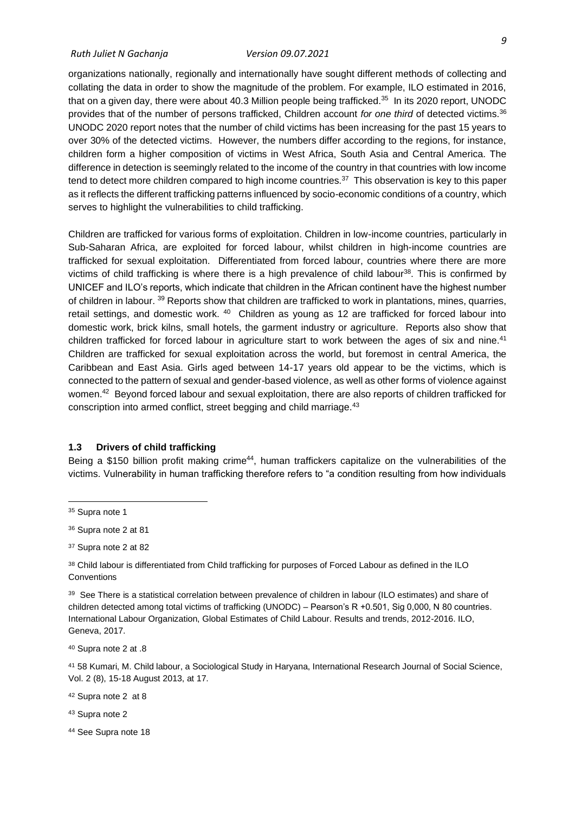organizations nationally, regionally and internationally have sought different methods of collecting and collating the data in order to show the magnitude of the problem. For example, ILO estimated in 2016, that on a given day, there were about 40.3 Million people being trafficked.<sup>35</sup> In its 2020 report, UNODC provides that of the number of persons trafficked, Children account *for one third* of detected victims.<sup>36</sup> UNODC 2020 report notes that the number of child victims has been increasing for the past 15 years to over 30% of the detected victims. However, the numbers differ according to the regions, for instance, children form a higher composition of victims in West Africa, South Asia and Central America. The difference in detection is seemingly related to the income of the country in that countries with low income tend to detect more children compared to high income countries.<sup>37</sup> This observation is key to this paper as it reflects the different trafficking patterns influenced by socio-economic conditions of a country, which serves to highlight the vulnerabilities to child trafficking.

Children are trafficked for various forms of exploitation. Children in low-income countries, particularly in Sub-Saharan Africa, are exploited for forced labour, whilst children in high-income countries are trafficked for sexual exploitation. Differentiated from forced labour, countries where there are more victims of child trafficking is where there is a high prevalence of child labour<sup>38</sup>. This is confirmed by UNICEF and ILO's reports, which indicate that children in the African continent have the highest number of children in labour. <sup>39</sup> Reports show that children are trafficked to work in plantations, mines, quarries, retail settings, and domestic work.  $40$  Children as young as 12 are trafficked for forced labour into domestic work, brick kilns, small hotels, the garment industry or agriculture. Reports also show that children trafficked for forced labour in agriculture start to work between the ages of six and nine.<sup>41</sup> Children are trafficked for sexual exploitation across the world, but foremost in central America, the Caribbean and East Asia. Girls aged between 14-17 years old appear to be the victims, which is connected to the pattern of sexual and gender-based violence, as well as other forms of violence against women.<sup>42</sup> Beyond forced labour and sexual exploitation, there are also reports of children trafficked for conscription into armed conflict, street begging and child marriage.<sup>43</sup>

#### <span id="page-18-0"></span>**1.3 Drivers of child trafficking**

Being a \$150 billion profit making crime<sup>44</sup>, human traffickers capitalize on the vulnerabilities of the victims. Vulnerability in human trafficking therefore refers to "a condition resulting from how individuals

<sup>42</sup> Supra note 2 at 8

<sup>44</sup> See Supra note 18

<sup>&</sup>lt;sup>35</sup> Supra note 1

<sup>36</sup> Supra note 2 at 81

<sup>37</sup> Supra note 2 at 82

<sup>38</sup> Child labour is differentiated from Child trafficking for purposes of Forced Labour as defined in the ILO **Conventions** 

<sup>39</sup> See There is a statistical correlation between prevalence of children in labour (ILO estimates) and share of children detected among total victims of trafficking (UNODC) – Pearson's R +0.501, Sig 0,000, N 80 countries. International Labour Organization, Global Estimates of Child Labour. Results and trends, 2012-2016. ILO, Geneva, 2017.

<sup>40</sup> Supra note 2 at .8

<sup>41</sup> 58 Kumari, M. Child labour, a Sociological Study in Haryana, International Research Journal of Social Science, Vol. 2 (8), 15-18 August 2013, at 17.

<sup>43</sup> Supra note 2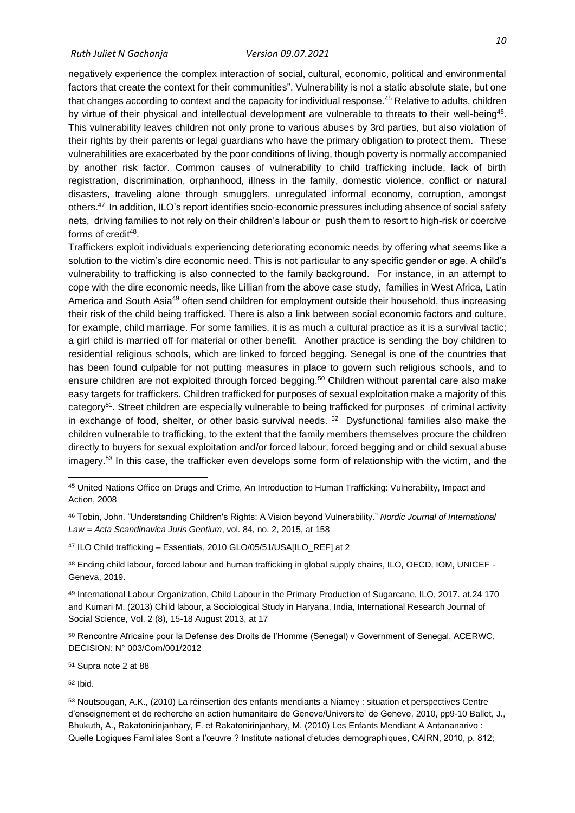negatively experience the complex interaction of social, cultural, economic, political and environmental factors that create the context for their communities". Vulnerability is not a static absolute state, but one that changes according to context and the capacity for individual response.<sup>45</sup> Relative to adults, children by virtue of their physical and intellectual development are vulnerable to threats to their well-being<sup>46</sup>. This vulnerability leaves children not only prone to various abuses by 3rd parties, but also violation of their rights by their parents or legal guardians who have the primary obligation to protect them. These vulnerabilities are exacerbated by the poor conditions of living, though poverty is normally accompanied by another risk factor. Common causes of vulnerability to child trafficking include, lack of birth registration, discrimination, orphanhood, illness in the family, domestic violence, conflict or natural disasters, traveling alone through smugglers, unregulated informal economy, corruption, amongst others.<sup>47</sup> In addition, ILO's report identifies socio-economic pressures including absence of social safety nets, driving families to not rely on their children's labour or push them to resort to high-risk or coercive forms of credit<sup>48</sup>.

Traffickers exploit individuals experiencing deteriorating economic needs by offering what seems like a solution to the victim's dire economic need. This is not particular to any specific gender or age. A child's vulnerability to trafficking is also connected to the family background. For instance, in an attempt to cope with the dire economic needs, like Lillian from the above case study, families in West Africa, Latin America and South Asia<sup>49</sup> often send children for employment outside their household, thus increasing their risk of the child being trafficked. There is also a link between social economic factors and culture, for example, child marriage. For some families, it is as much a cultural practice as it is a survival tactic; a girl child is married off for material or other benefit. Another practice is sending the boy children to residential religious schools, which are linked to forced begging. Senegal is one of the countries that has been found culpable for not putting measures in place to govern such religious schools, and to ensure children are not exploited through forced begging.<sup>50</sup> Children without parental care also make easy targets for traffickers. Children trafficked for purposes of sexual exploitation make a majority of this category<sup>51</sup>. Street children are especially vulnerable to being trafficked for purposes of criminal activity in exchange of food, shelter, or other basic survival needs. <sup>52</sup> Dysfunctional families also make the children vulnerable to trafficking, to the extent that the family members themselves procure the children directly to buyers for sexual exploitation and/or forced labour, forced begging and or child sexual abuse imagery.<sup>53</sup> In this case, the trafficker even develops some form of relationship with the victim, and the

<sup>51</sup> Supra note 2 at 88

<sup>52</sup> Ibid.

<sup>45</sup> United Nations Office on Drugs and Crime, An Introduction to Human Trafficking: Vulnerability, Impact and Action, 2008

<sup>46</sup> Tobin, John. "Understanding Children's Rights: A Vision beyond Vulnerability." *Nordic Journal of International Law = Acta Scandinavica Juris Gentium*, vol. 84, no. 2, 2015, at 158

<sup>47</sup> ILO Child trafficking – Essentials, 2010 GLO/05/51/USA[ILO\_REF] at 2

<sup>48</sup> Ending child labour, forced labour and human trafficking in global supply chains, ILO, OECD, IOM, UNICEF - Geneva, 2019.

<sup>49</sup> International Labour Organization, Child Labour in the Primary Production of Sugarcane, ILO, 2017. at.24 170 and Kumari M. (2013) Child labour, a Sociological Study in Haryana, India, International Research Journal of Social Science, Vol. 2 (8), 15-18 August 2013, at 17

<sup>50</sup> Rencontre Africaine pour la Defense des Droits de l'Homme (Senegal) v Government of Senegal, ACERWC, DECISION: N° 003/Com/001/2012

<sup>53</sup> Noutsougan, A.K., (2010) La réinsertion des enfants mendiants a Niamey : situation et perspectives Centre d'enseignement et de recherche en action humanitaire de Geneve/Universite' de Geneve, 2010, pp9-10 Ballet, J., Bhukuth, A., Rakatonirinjanhary, F. et Rakatonirinjanhary, M. (2010) Les Enfants Mendiant A Antananarivo : Quelle Logiques Familiales Sont a l'œuvre ? Institute national d'etudes demographiques, CAIRN, 2010, p. 812;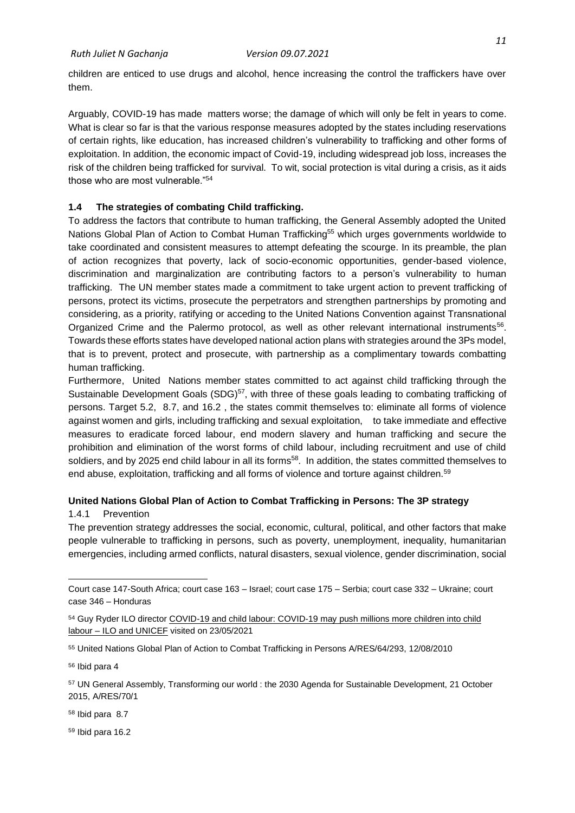children are enticed to use drugs and alcohol, hence increasing the control the traffickers have over them.

Arguably, COVID-19 has made matters worse; the damage of which will only be felt in years to come. What is clear so far is that the various response measures adopted by the states including reservations of certain rights, like education, has increased children's vulnerability to trafficking and other forms of exploitation. In addition, the economic impact of Covid-19, including widespread job loss, increases the risk of the children being trafficked for survival. To wit, social protection is vital during a crisis, as it aids those who are most vulnerable."<sup>54</sup>

## <span id="page-20-0"></span>**1.4 The strategies of combating Child trafficking.**

To address the factors that contribute to human trafficking, the General Assembly adopted the United Nations Global Plan of Action to Combat Human Trafficking<sup>55</sup> which urges governments worldwide to take coordinated and consistent measures to attempt defeating the scourge. In its preamble, the plan of action recognizes that poverty, lack of socio-economic opportunities, gender-based violence, discrimination and marginalization are contributing factors to a person's vulnerability to human trafficking. The UN member states made a commitment to take urgent action to prevent trafficking of persons, protect its victims, prosecute the perpetrators and strengthen partnerships by promoting and considering, as a priority, ratifying or acceding to the United Nations Convention against Transnational Organized Crime and the Palermo protocol, as well as other relevant international instruments<sup>56</sup>. Towards these efforts states have developed national action plans with strategies around the 3Ps model, that is to prevent, protect and prosecute, with partnership as a complimentary towards combatting human trafficking.

Furthermore, United Nations member states committed to act against child trafficking through the Sustainable Development Goals (SDG)<sup>57</sup>, with three of these goals leading to combating trafficking of persons. Target 5.2, 8.7, and 16.2 , the states commit themselves to: eliminate all forms of violence against women and girls, including trafficking and sexual exploitation, to take immediate and effective measures to eradicate forced labour, end modern slavery and human trafficking and secure the prohibition and elimination of the worst forms of child labour, including recruitment and use of child soldiers, and by 2025 end child labour in all its forms<sup>58</sup>. In addition, the states committed themselves to end abuse, exploitation, trafficking and all forms of violence and torture against children.<sup>59</sup>

## **United Nations Global Plan of Action to Combat Trafficking in Persons: The 3P strategy**

#### <span id="page-20-1"></span>1.4.1 Prevention

The prevention strategy addresses the social, economic, cultural, political, and other factors that make people vulnerable to trafficking in persons, such as poverty, unemployment, inequality, humanitarian emergencies, including armed conflicts, natural disasters, sexual violence, gender discrimination, social

<sup>58</sup> Ibid para 8.7

<sup>59</sup> Ibid para 16.2

Court case 147-South Africa; court case 163 – Israel; court case 175 – Serbia; court case 332 – Ukraine; court case 346 – Honduras

<sup>54</sup> Guy Ryder ILO director [COVID-19 and child labour: COVID-19 may push millions more children into child](https://www.ilo.org/global/about-the-ilo/newsroom/news/WCMS_747583/lang--en/index.htm)  labour – [ILO and UNICEF](https://www.ilo.org/global/about-the-ilo/newsroom/news/WCMS_747583/lang--en/index.htm) visited on 23/05/2021

<sup>55</sup> United Nations Global Plan of Action to Combat Trafficking in Persons A/RES/64/293, 12/08/2010

<sup>56</sup> Ibid para 4

<sup>57</sup> UN General Assembly, Transforming our world : the 2030 Agenda for Sustainable Development, 21 October 2015, A/RES/70/1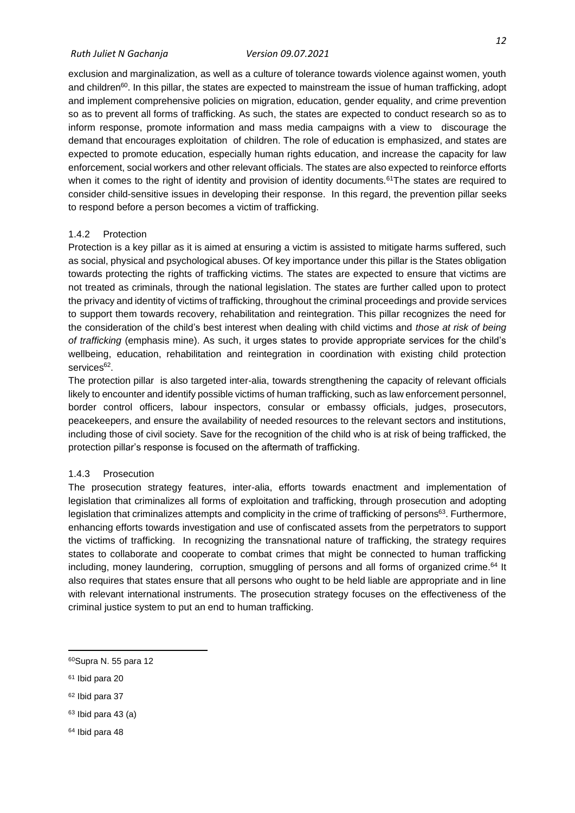exclusion and marginalization, as well as a culture of tolerance towards violence against women, youth and children<sup>60</sup>. In this pillar, the states are expected to mainstream the issue of human trafficking, adopt and implement comprehensive policies on migration, education, gender equality, and crime prevention so as to prevent all forms of trafficking. As such, the states are expected to conduct research so as to inform response, promote information and mass media campaigns with a view to discourage the demand that encourages exploitation of children. The role of education is emphasized, and states are expected to promote education, especially human rights education, and increase the capacity for law enforcement, social workers and other relevant officials. The states are also expected to reinforce efforts when it comes to the right of identity and provision of identity documents.<sup>61</sup>The states are required to consider child-sensitive issues in developing their response. In this regard, the prevention pillar seeks to respond before a person becomes a victim of trafficking.

#### <span id="page-21-0"></span>1.4.2 Protection

Protection is a key pillar as it is aimed at ensuring a victim is assisted to mitigate harms suffered, such as social, physical and psychological abuses. Of key importance under this pillar is the States obligation towards protecting the rights of trafficking victims. The states are expected to ensure that victims are not treated as criminals, through the national legislation. The states are further called upon to protect the privacy and identity of victims of trafficking, throughout the criminal proceedings and provide services to support them towards recovery, rehabilitation and reintegration. This pillar recognizes the need for the consideration of the child's best interest when dealing with child victims and *those at risk of being of trafficking* (emphasis mine). As such, it urges states to provide appropriate services for the child's wellbeing, education, rehabilitation and reintegration in coordination with existing child protection services<sup>62</sup>.

The protection pillar is also targeted inter-alia, towards strengthening the capacity of relevant officials likely to encounter and identify possible victims of human trafficking, such as law enforcement personnel, border control officers, labour inspectors, consular or embassy officials, judges, prosecutors, peacekeepers, and ensure the availability of needed resources to the relevant sectors and institutions, including those of civil society. Save for the recognition of the child who is at risk of being trafficked, the protection pillar's response is focused on the aftermath of trafficking.

#### <span id="page-21-1"></span>1.4.3 Prosecution

The prosecution strategy features, inter-alia, efforts towards enactment and implementation of legislation that criminalizes all forms of exploitation and trafficking, through prosecution and adopting legislation that criminalizes attempts and complicity in the crime of trafficking of persons<sup>63</sup>. Furthermore, enhancing efforts towards investigation and use of confiscated assets from the perpetrators to support the victims of trafficking. In recognizing the transnational nature of trafficking, the strategy requires states to collaborate and cooperate to combat crimes that might be connected to human trafficking including, money laundering, corruption, smuggling of persons and all forms of organized crime.<sup>64</sup> It also requires that states ensure that all persons who ought to be held liable are appropriate and in line with relevant international instruments. The prosecution strategy focuses on the effectiveness of the criminal justice system to put an end to human trafficking.

<sup>64</sup> Ibid para 48

<sup>60</sup>Supra N. 55 para 12

<sup>61</sup> Ibid para 20

<sup>62</sup> Ibid para 37

 $63$  Ibid para 43 (a)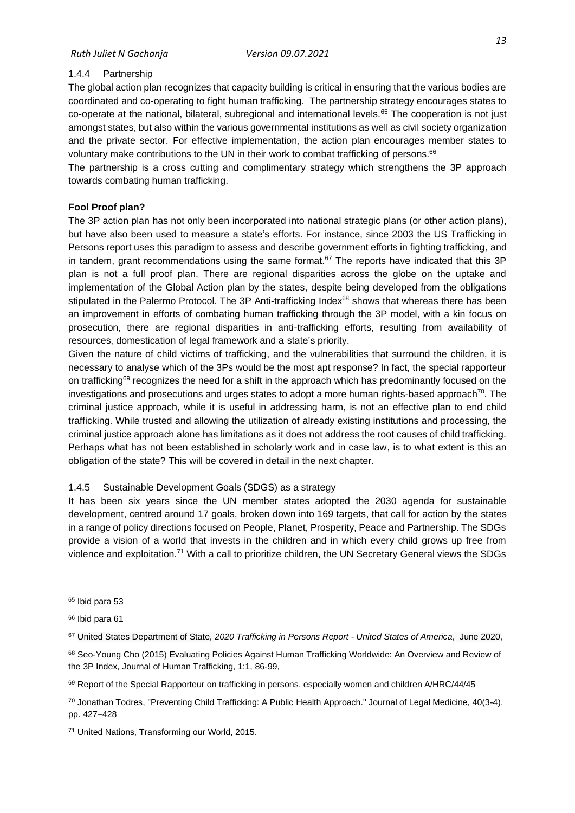### <span id="page-22-0"></span>1.4.4 Partnership

The global action plan recognizes that capacity building is critical in ensuring that the various bodies are coordinated and co-operating to fight human trafficking. The partnership strategy encourages states to co-operate at the national, bilateral, subregional and international levels.<sup>65</sup> The cooperation is not just amongst states, but also within the various governmental institutions as well as civil society organization and the private sector. For effective implementation, the action plan encourages member states to voluntary make contributions to the UN in their work to combat trafficking of persons.<sup>66</sup>

The partnership is a cross cutting and complimentary strategy which strengthens the 3P approach towards combating human trafficking.

### **Fool Proof plan?**

The 3P action plan has not only been incorporated into national strategic plans (or other action plans), but have also been used to measure a state's efforts. For instance, since 2003 the US Trafficking in Persons report uses this paradigm to assess and describe government efforts in fighting trafficking, and in tandem, grant recommendations using the same format. $67$  The reports have indicated that this 3P plan is not a full proof plan. There are regional disparities across the globe on the uptake and implementation of the Global Action plan by the states, despite being developed from the obligations stipulated in the Palermo Protocol. The 3P Anti-trafficking Index<sup>68</sup> shows that whereas there has been an improvement in efforts of combating human trafficking through the 3P model, with a kin focus on prosecution, there are regional disparities in anti-trafficking efforts, resulting from availability of resources, domestication of legal framework and a state's priority.

Given the nature of child victims of trafficking, and the vulnerabilities that surround the children, it is necessary to analyse which of the 3Ps would be the most apt response? In fact, the special rapporteur on trafficking<sup>69</sup> recognizes the need for a shift in the approach which has predominantly focused on the investigations and prosecutions and urges states to adopt a more human rights-based approach $70$ . The criminal justice approach, while it is useful in addressing harm, is not an effective plan to end child trafficking. While trusted and allowing the utilization of already existing institutions and processing, the criminal justice approach alone has limitations as it does not address the root causes of child trafficking. Perhaps what has not been established in scholarly work and in case law, is to what extent is this an obligation of the state? This will be covered in detail in the next chapter.

## <span id="page-22-1"></span>1.4.5 Sustainable Development Goals (SDGS) as a strategy

It has been six years since the UN member states adopted the 2030 agenda for sustainable development, centred around 17 goals, broken down into 169 targets, that call for action by the states in a range of policy directions focused on People, Planet, Prosperity, Peace and Partnership. The SDGs provide a vision of a world that invests in the children and in which every child grows up free from violence and exploitation.<sup>71</sup> With a call to prioritize children, the UN Secretary General views the SDGs

<sup>65</sup> Ibid para 53

<sup>66</sup> Ibid para 61

<sup>67</sup> United States Department of State, *2020 Trafficking in Persons Report - United States of America*, June 2020,

<sup>68</sup> Seo-Young Cho (2015) Evaluating Policies Against Human Trafficking Worldwide: An Overview and Review of the 3P Index, Journal of Human Trafficking, 1:1, 86-99,

<sup>69</sup> Report of the Special Rapporteur on trafficking in persons, especially women and children A/HRC/44/45

<sup>70</sup> Jonathan Todres, "Preventing Child Trafficking: A Public Health Approach." Journal of Legal Medicine, 40(3-4), pp. 427–428

<sup>71</sup> United Nations, Transforming our World, 2015.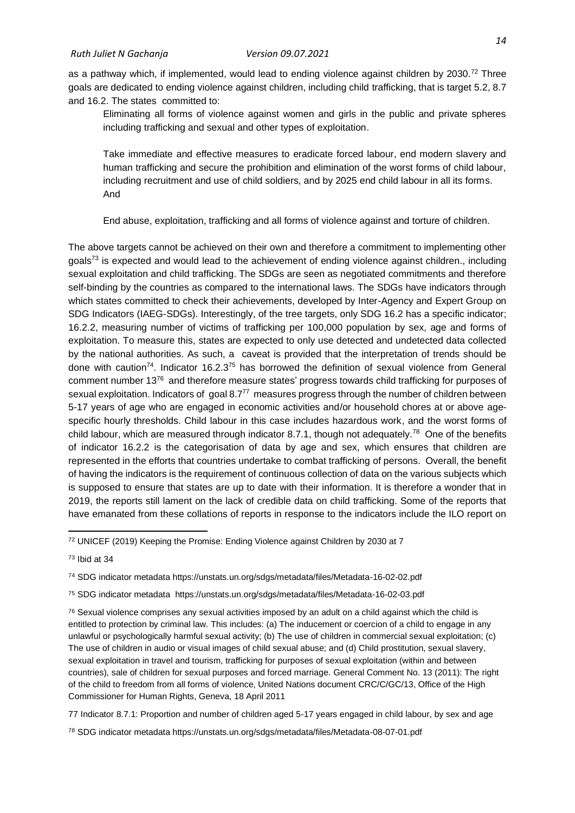as a pathway which, if implemented, would lead to ending violence against children by 2030.<sup>72</sup> Three goals are dedicated to ending violence against children, including child trafficking, that is target 5.2, 8.7 and 16.2. The states committed to:

Eliminating all forms of violence against women and girls in the public and private spheres including trafficking and sexual and other types of exploitation.

Take immediate and effective measures to eradicate forced labour, end modern slavery and human trafficking and secure the prohibition and elimination of the worst forms of child labour, including recruitment and use of child soldiers, and by 2025 end child labour in all its forms. And

End abuse, exploitation, trafficking and all forms of violence against and torture of children.

The above targets cannot be achieved on their own and therefore a commitment to implementing other goals<sup>73</sup> is expected and would lead to the achievement of ending violence against children., including sexual exploitation and child trafficking. The SDGs are seen as negotiated commitments and therefore self-binding by the countries as compared to the international laws. The SDGs have indicators through which states committed to check their achievements, developed by Inter-Agency and Expert Group on SDG Indicators (IAEG-SDGs). Interestingly, of the tree targets, only SDG 16.2 has a specific indicator; 16.2.2, measuring number of victims of trafficking per 100,000 population by sex, age and forms of exploitation. To measure this, states are expected to only use detected and undetected data collected by the national authorities. As such, a caveat is provided that the interpretation of trends should be done with caution<sup>74</sup>. Indicator 16.2.3<sup>75</sup> has borrowed the definition of sexual violence from General comment number 13<sup>76</sup> and therefore measure states' progress towards child trafficking for purposes of sexual exploitation. Indicators of goal 8.777 measures progress through the number of children between 5-17 years of age who are engaged in economic activities and/or household chores at or above agespecific hourly thresholds. Child labour in this case includes hazardous work, and the worst forms of child labour, which are measured through indicator 8.7.1, though not adequately.<sup>78</sup> One of the benefits of indicator 16.2.2 is the categorisation of data by age and sex, which ensures that children are represented in the efforts that countries undertake to combat trafficking of persons. Overall, the benefit of having the indicators is the requirement of continuous collection of data on the various subjects which is supposed to ensure that states are up to date with their information. It is therefore a wonder that in 2019, the reports still lament on the lack of credible data on child trafficking. Some of the reports that have emanated from these collations of reports in response to the indicators include the ILO report on

<sup>75</sup> SDG indicator metadata https://unstats.un.org/sdgs/metadata/files/Metadata-16-02-03.pdf

 $76$  Sexual violence comprises any sexual activities imposed by an adult on a child against which the child is entitled to protection by criminal law. This includes: (a) The inducement or coercion of a child to engage in any unlawful or psychologically harmful sexual activity; (b) The use of children in commercial sexual exploitation; (c) The use of children in audio or visual images of child sexual abuse; and (d) Child prostitution, sexual slavery, sexual exploitation in travel and tourism, trafficking for purposes of sexual exploitation (within and between countries), sale of children for sexual purposes and forced marriage. General Comment No. 13 (2011): The right of the child to freedom from all forms of violence, United Nations document CRC/C/GC/13, Office of the High Commissioner for Human Rights, Geneva, 18 April 2011

77 Indicator 8.7.1: Proportion and number of children aged 5-17 years engaged in child labour, by sex and age

<sup>78</sup> SDG indicator metadata https://unstats.un.org/sdgs/metadata/files/Metadata-08-07-01.pdf

<sup>72</sup> UNICEF (2019) Keeping the Promise: Ending Violence against Children by 2030 at 7

<sup>73</sup> Ibid at 34

<sup>74</sup> SDG indicator metadata https://unstats.un.org/sdgs/metadata/files/Metadata-16-02-02.pdf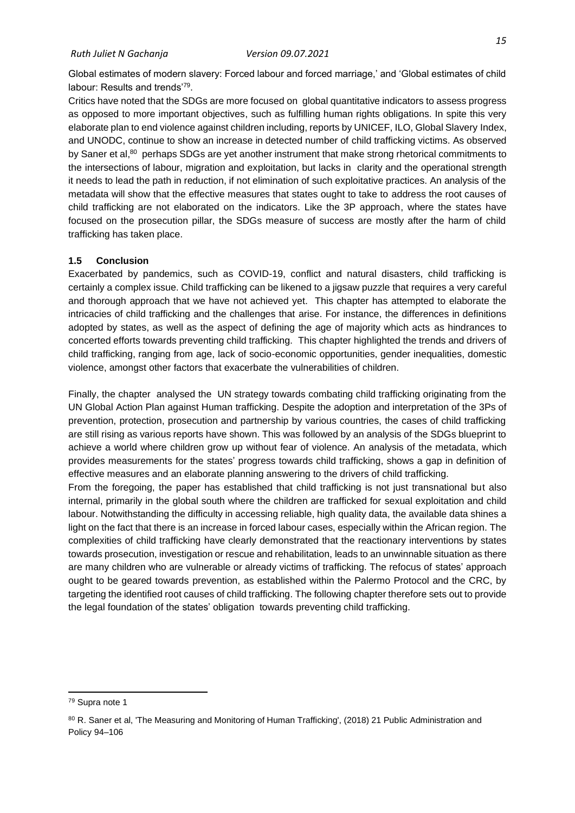Global estimates of modern slavery: Forced labour and forced marriage,' and 'Global estimates of child labour: Results and trends'<sup>79</sup>.

Critics have noted that the SDGs are more focused on global quantitative indicators to assess progress as opposed to more important objectives, such as fulfilling human rights obligations. In spite this very elaborate plan to end violence against children including, reports by UNICEF, ILO, Global Slavery Index, and UNODC, continue to show an increase in detected number of child trafficking victims. As observed by Saner et al,<sup>80</sup> perhaps SDGs are yet another instrument that make strong rhetorical commitments to the intersections of labour, migration and exploitation, but lacks in clarity and the operational strength it needs to lead the path in reduction, if not elimination of such exploitative practices. An analysis of the metadata will show that the effective measures that states ought to take to address the root causes of child trafficking are not elaborated on the indicators. Like the 3P approach, where the states have focused on the prosecution pillar, the SDGs measure of success are mostly after the harm of child trafficking has taken place.

#### <span id="page-24-0"></span>**1.5 Conclusion**

Exacerbated by pandemics, such as COVID-19, conflict and natural disasters, child trafficking is certainly a complex issue. Child trafficking can be likened to a jigsaw puzzle that requires a very careful and thorough approach that we have not achieved yet. This chapter has attempted to elaborate the intricacies of child trafficking and the challenges that arise. For instance, the differences in definitions adopted by states, as well as the aspect of defining the age of majority which acts as hindrances to concerted efforts towards preventing child trafficking. This chapter highlighted the trends and drivers of child trafficking, ranging from age, lack of socio-economic opportunities, gender inequalities, domestic violence, amongst other factors that exacerbate the vulnerabilities of children.

Finally, the chapter analysed the UN strategy towards combating child trafficking originating from the UN Global Action Plan against Human trafficking. Despite the adoption and interpretation of the 3Ps of prevention, protection, prosecution and partnership by various countries, the cases of child trafficking are still rising as various reports have shown. This was followed by an analysis of the SDGs blueprint to achieve a world where children grow up without fear of violence. An analysis of the metadata, which provides measurements for the states' progress towards child trafficking, shows a gap in definition of effective measures and an elaborate planning answering to the drivers of child trafficking.

From the foregoing, the paper has established that child trafficking is not just transnational but also internal, primarily in the global south where the children are trafficked for sexual exploitation and child labour. Notwithstanding the difficulty in accessing reliable, high quality data, the available data shines a light on the fact that there is an increase in forced labour cases, especially within the African region. The complexities of child trafficking have clearly demonstrated that the reactionary interventions by states towards prosecution, investigation or rescue and rehabilitation, leads to an unwinnable situation as there are many children who are vulnerable or already victims of trafficking. The refocus of states' approach ought to be geared towards prevention, as established within the Palermo Protocol and the CRC, by targeting the identified root causes of child trafficking. The following chapter therefore sets out to provide the legal foundation of the states' obligation towards preventing child trafficking.

<sup>79</sup> Supra note 1

<sup>80</sup> R. Saner et al, 'The Measuring and Monitoring of Human Trafficking', (2018) 21 Public Administration and Policy 94–106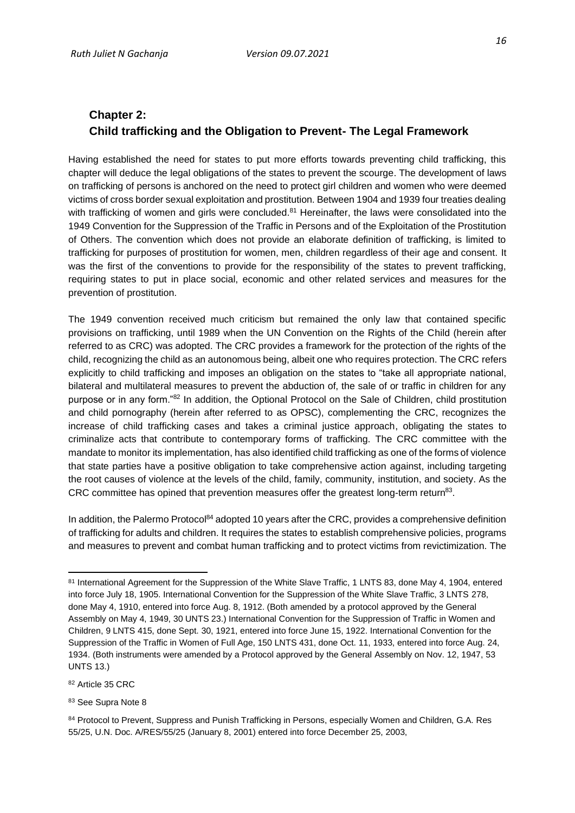## <span id="page-25-1"></span><span id="page-25-0"></span>**Chapter 2: Child trafficking and the Obligation to Prevent- The Legal Framework**

Having established the need for states to put more efforts towards preventing child trafficking, this chapter will deduce the legal obligations of the states to prevent the scourge. The development of laws on trafficking of persons is anchored on the need to protect girl children and women who were deemed victims of cross border sexual exploitation and prostitution. Between 1904 and 1939 four treaties dealing with trafficking of women and girls were concluded.<sup>81</sup> Hereinafter, the laws were consolidated into the 1949 Convention for the Suppression of the Traffic in Persons and of the Exploitation of the Prostitution of Others. The convention which does not provide an elaborate definition of trafficking, is limited to trafficking for purposes of prostitution for women, men, children regardless of their age and consent. It was the first of the conventions to provide for the responsibility of the states to prevent trafficking, requiring states to put in place social, economic and other related services and measures for the prevention of prostitution.

The 1949 convention received much criticism but remained the only law that contained specific provisions on trafficking, until 1989 when the UN Convention on the Rights of the Child (herein after referred to as CRC) was adopted. The CRC provides a framework for the protection of the rights of the child, recognizing the child as an autonomous being, albeit one who requires protection. The CRC refers explicitly to child trafficking and imposes an obligation on the states to "take all appropriate national, bilateral and multilateral measures to prevent the abduction of, the sale of or traffic in children for any purpose or in any form."<sup>82</sup> In addition, the Optional Protocol on the Sale of Children, child prostitution and child pornography (herein after referred to as OPSC), complementing the CRC, recognizes the increase of child trafficking cases and takes a criminal justice approach, obligating the states to criminalize acts that contribute to contemporary forms of trafficking. The CRC committee with the mandate to monitor its implementation, has also identified child trafficking as one of the forms of violence that state parties have a positive obligation to take comprehensive action against, including targeting the root causes of violence at the levels of the child, family, community, institution, and society. As the CRC committee has opined that prevention measures offer the greatest long-term return<sup>83</sup>.

In addition, the Palermo Protocol<sup>84</sup> adopted 10 years after the CRC, provides a comprehensive definition of trafficking for adults and children. It requires the states to establish comprehensive policies, programs and measures to prevent and combat human trafficking and to protect victims from revictimization. The

<sup>82</sup> Article 35 CRC

<sup>81</sup> International Agreement for the Suppression of the White Slave Traffic, 1 LNTS 83, done May 4, 1904, entered into force July 18, 1905. International Convention for the Suppression of the White Slave Traffic, 3 LNTS 278, done May 4, 1910, entered into force Aug. 8, 1912. (Both amended by a protocol approved by the General Assembly on May 4, 1949, 30 UNTS 23.) International Convention for the Suppression of Traffic in Women and Children, 9 LNTS 415, done Sept. 30, 1921, entered into force June 15, 1922. International Convention for the Suppression of the Traffic in Women of Full Age, 150 LNTS 431, done Oct. 11, 1933, entered into force Aug. 24, 1934. (Both instruments were amended by a Protocol approved by the General Assembly on Nov. 12, 1947, 53 UNTS 13.)

<sup>83</sup> See Supra Note 8

<sup>84</sup> Protocol to Prevent, Suppress and Punish Trafficking in Persons, especially Women and Children, G.A. Res 55/25, U.N. Doc. A/RES/55/25 (January 8, 2001) entered into force December 25, 2003,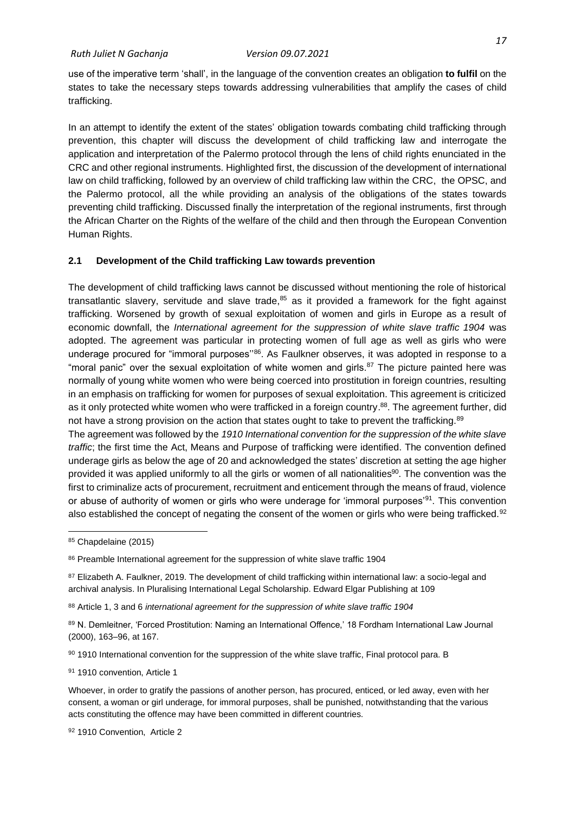use of the imperative term 'shall', in the language of the convention creates an obligation **to fulfil** on the states to take the necessary steps towards addressing vulnerabilities that amplify the cases of child trafficking.

In an attempt to identify the extent of the states' obligation towards combating child trafficking through prevention, this chapter will discuss the development of child trafficking law and interrogate the application and interpretation of the Palermo protocol through the lens of child rights enunciated in the CRC and other regional instruments. Highlighted first, the discussion of the development of international law on child trafficking, followed by an overview of child trafficking law within the CRC, the OPSC, and the Palermo protocol, all the while providing an analysis of the obligations of the states towards preventing child trafficking. Discussed finally the interpretation of the regional instruments, first through the African Charter on the Rights of the welfare of the child and then through the European Convention Human Rights.

## <span id="page-26-0"></span>**2.1 Development of the Child trafficking Law towards prevention**

The development of child trafficking laws cannot be discussed without mentioning the role of historical transatlantic slavery, servitude and slave trade, $85$  as it provided a framework for the fight against trafficking. Worsened by growth of sexual exploitation of women and girls in Europe as a result of economic downfall, the *International agreement for the suppression of white slave traffic 1904* was adopted. The agreement was particular in protecting women of full age as well as girls who were underage procured for "immoral purposes"<sup>86</sup>. As Faulkner observes, it was adopted in response to a "moral panic" over the sexual exploitation of white women and girls. $87$  The picture painted here was normally of young white women who were being coerced into prostitution in foreign countries, resulting in an emphasis on trafficking for women for purposes of sexual exploitation. This agreement is criticized as it only protected white women who were trafficked in a foreign country.<sup>88</sup>. The agreement further, did not have a strong provision on the action that states ought to take to prevent the trafficking.<sup>89</sup>

The agreement was followed by the *1910 International convention for the suppression of the white slave traffic*; the first time the Act, Means and Purpose of trafficking were identified. The convention defined underage girls as below the age of 20 and acknowledged the states' discretion at setting the age higher provided it was applied uniformly to all the girls or women of all nationalities<sup>90</sup>. The convention was the first to criminalize acts of procurement, recruitment and enticement through the means of fraud, violence or abuse of authority of women or girls who were underage for 'immoral purposes'<sup>91</sup>. This convention also established the concept of negating the consent of the women or girls who were being trafficked.<sup>92</sup>

91 1910 convention, Article 1

Whoever, in order to gratify the passions of another person, has procured, enticed, or led away, even with her consent, a woman or girl underage, for immoral purposes, shall be punished, notwithstanding that the various acts constituting the offence may have been committed in different countries.

92 1910 Convention, Article 2

<sup>85</sup> Chapdelaine (2015)

<sup>86</sup> Preamble International agreement for the suppression of white slave traffic 1904

<sup>&</sup>lt;sup>87</sup> Elizabeth A. Faulkner, 2019. The development of child trafficking within international law: a socio-legal and archival analysis. In Pluralising International Legal Scholarship. Edward Elgar Publishing at 109

<sup>88</sup> Article 1, 3 and 6 *international agreement for the suppression of white slave traffic 1904*

<sup>89</sup> N. Demleitner, 'Forced Prostitution: Naming an International Offence,' 18 Fordham International Law Journal (2000), 163–96, at 167.

<sup>90 1910</sup> International convention for the suppression of the white slave traffic, Final protocol para. B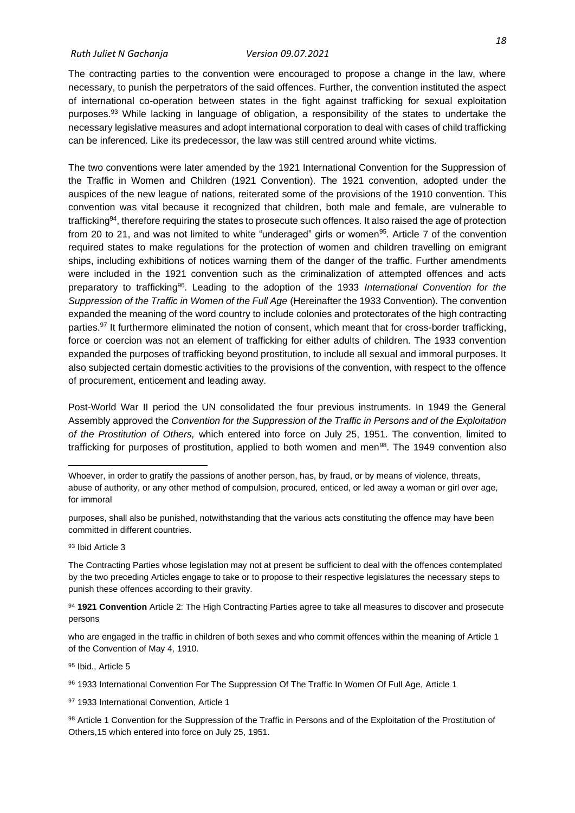The contracting parties to the convention were encouraged to propose a change in the law, where necessary, to punish the perpetrators of the said offences. Further, the convention instituted the aspect of international co-operation between states in the fight against trafficking for sexual exploitation purposes.<sup>93</sup> While lacking in language of obligation, a responsibility of the states to undertake the necessary legislative measures and adopt international corporation to deal with cases of child trafficking can be inferenced. Like its predecessor, the law was still centred around white victims.

The two conventions were later amended by the 1921 International Convention for the Suppression of the Traffic in Women and Children (1921 Convention). The 1921 convention, adopted under the auspices of the new league of nations, reiterated some of the provisions of the 1910 convention. This convention was vital because it recognized that children, both male and female, are vulnerable to trafficking<sup>94</sup>, therefore requiring the states to prosecute such offences. It also raised the age of protection from 20 to 21, and was not limited to white "underaged" girls or women<sup>95</sup>. Article 7 of the convention required states to make regulations for the protection of women and children travelling on emigrant ships, including exhibitions of notices warning them of the danger of the traffic. Further amendments were included in the 1921 convention such as the criminalization of attempted offences and acts preparatory to trafficking <sup>96</sup>. Leading to the adoption of the 1933 *International Convention for the Suppression of the Traffic in Women of the Full Age* (Hereinafter the 1933 Convention). The convention expanded the meaning of the word country to include colonies and protectorates of the high contracting parties.<sup>97</sup> It furthermore eliminated the notion of consent, which meant that for cross-border trafficking, force or coercion was not an element of trafficking for either adults of children. The 1933 convention expanded the purposes of trafficking beyond prostitution, to include all sexual and immoral purposes. It also subjected certain domestic activities to the provisions of the convention, with respect to the offence of procurement, enticement and leading away.

Post-World War II period the UN consolidated the four previous instruments. In 1949 the General Assembly approved the *Convention for the Suppression of the Traffic in Persons and of the Exploitation of the Prostitution of Others,* which entered into force on July 25, 1951. The convention, limited to trafficking for purposes of prostitution, applied to both women and men<sup>98</sup>. The 1949 convention also

<sup>93</sup> Ibid Article 3

The Contracting Parties whose legislation may not at present be sufficient to deal with the offences contemplated by the two preceding Articles engage to take or to propose to their respective legislatures the necessary steps to punish these offences according to their gravity.

<sup>94</sup> **1921 Convention** Article 2: The High Contracting Parties agree to take all measures to discover and prosecute persons

who are engaged in the traffic in children of both sexes and who commit offences within the meaning of Article 1 of the Convention of May 4, 1910.

95 Ibid., Article 5

96 1933 International Convention For The Suppression Of The Traffic In Women Of Full Age, Article 1

97 1933 International Convention, Article 1

98 Article 1 Convention for the Suppression of the Traffic in Persons and of the Exploitation of the Prostitution of Others,15 which entered into force on July 25, 1951.

Whoever, in order to gratify the passions of another person, has, by fraud, or by means of violence, threats, abuse of authority, or any other method of compulsion, procured, enticed, or led away a woman or girl over age, for immoral

purposes, shall also be punished, notwithstanding that the various acts constituting the offence may have been committed in different countries.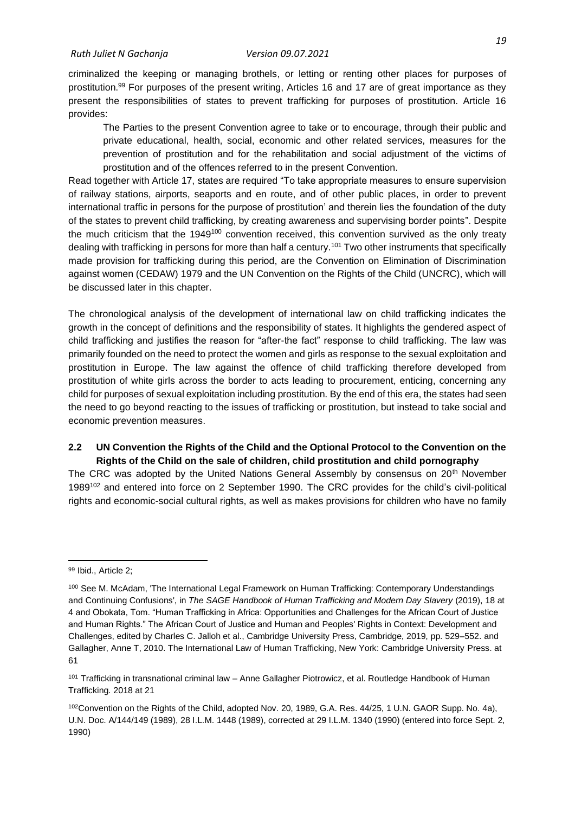criminalized the keeping or managing brothels, or letting or renting other places for purposes of prostitution.<sup>99</sup> For purposes of the present writing, Articles 16 and 17 are of great importance as they present the responsibilities of states to prevent trafficking for purposes of prostitution. Article 16 provides:

The Parties to the present Convention agree to take or to encourage, through their public and private educational, health, social, economic and other related services, measures for the prevention of prostitution and for the rehabilitation and social adjustment of the victims of prostitution and of the offences referred to in the present Convention.

Read together with Article 17, states are required "To take appropriate measures to ensure supervision of railway stations, airports, seaports and en route, and of other public places, in order to prevent international traffic in persons for the purpose of prostitution' and therein lies the foundation of the duty of the states to prevent child trafficking, by creating awareness and supervising border points". Despite the much criticism that the 1949<sup>100</sup> convention received, this convention survived as the only treaty dealing with trafficking in persons for more than half a century.<sup>101</sup> Two other instruments that specifically made provision for trafficking during this period, are the Convention on Elimination of Discrimination against women (CEDAW) 1979 and the UN Convention on the Rights of the Child (UNCRC), which will be discussed later in this chapter.

The chronological analysis of the development of international law on child trafficking indicates the growth in the concept of definitions and the responsibility of states. It highlights the gendered aspect of child trafficking and justifies the reason for "after-the fact" response to child trafficking. The law was primarily founded on the need to protect the women and girls as response to the sexual exploitation and prostitution in Europe. The law against the offence of child trafficking therefore developed from prostitution of white girls across the border to acts leading to procurement, enticing, concerning any child for purposes of sexual exploitation including prostitution. By the end of this era, the states had seen the need to go beyond reacting to the issues of trafficking or prostitution, but instead to take social and economic prevention measures.

## <span id="page-28-0"></span>**2.2 UN Convention the Rights of the Child and the Optional Protocol to the Convention on the Rights of the Child on the sale of children, child prostitution and child pornography**

The CRC was adopted by the United Nations General Assembly by consensus on  $20<sup>th</sup>$  November 1989<sup>102</sup> and entered into force on 2 September 1990. The CRC provides for the child's civil-political rights and economic-social cultural rights, as well as makes provisions for children who have no family

<sup>99</sup> Ibid., Article 2;

<sup>100</sup> See M. McAdam, 'The International Legal Framework on Human Trafficking: Contemporary Understandings and Continuing Confusions', in *The SAGE Handbook of Human Trafficking and Modern Day Slavery* (2019), 18 at 4 and Obokata, Tom. "Human Trafficking in Africa: Opportunities and Challenges for the African Court of Justice and Human Rights." The African Court of Justice and Human and Peoples' Rights in Context: Development and Challenges, edited by Charles C. Jalloh et al., Cambridge University Press, Cambridge, 2019, pp. 529–552. and Gallagher, Anne T, 2010. The International Law of Human Trafficking, New York: Cambridge University Press. at 61

<sup>101</sup> Trafficking in transnational criminal law – Anne Gallagher Piotrowicz, et al. Routledge Handbook of Human Trafficking. 2018 at 21

<sup>102</sup>Convention on the Rights of the Child, adopted Nov. 20, 1989, G.A. Res. 44/25, 1 U.N. GAOR Supp. No. 4a), U.N. Doc. A/144/149 (1989), 28 I.L.M. 1448 (1989), corrected at 29 I.L.M. 1340 (1990) (entered into force Sept. 2, 1990)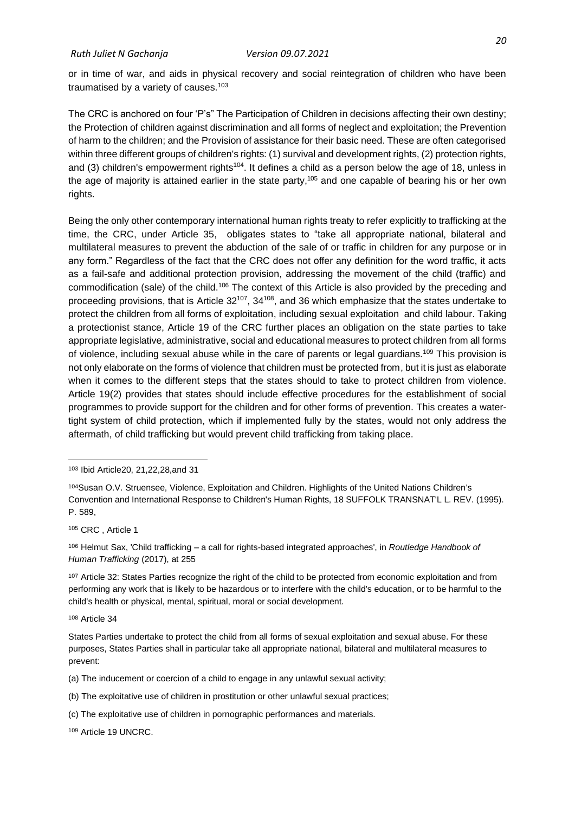or in time of war, and aids in physical recovery and social reintegration of children who have been traumatised by a variety of causes.<sup>103</sup>

The CRC is anchored on four 'P's" The Participation of Children in decisions affecting their own destiny; the Protection of children against discrimination and all forms of neglect and exploitation; the Prevention of harm to the children; and the Provision of assistance for their basic need. These are often categorised within three different groups of children's rights: (1) survival and development rights, (2) protection rights, and (3) children's empowerment rights<sup>104</sup>. It defines a child as a person below the age of 18, unless in the age of majority is attained earlier in the state party,<sup>105</sup> and one capable of bearing his or her own rights.

Being the only other contemporary international human rights treaty to refer explicitly to trafficking at the time, the CRC, under Article 35, obligates states to "take all appropriate national, bilateral and multilateral measures to prevent the abduction of the sale of or traffic in children for any purpose or in any form." Regardless of the fact that the CRC does not offer any definition for the word traffic, it acts as a fail-safe and additional protection provision, addressing the movement of the child (traffic) and commodification (sale) of the child.<sup>106</sup> The context of this Article is also provided by the preceding and proceeding provisions, that is Article  $32^{107}$ ,  $34^{108}$ , and 36 which emphasize that the states undertake to protect the children from all forms of exploitation, including sexual exploitation and child labour. Taking a protectionist stance, Article 19 of the CRC further places an obligation on the state parties to take appropriate legislative, administrative, social and educational measures to protect children from all forms of violence, including sexual abuse while in the care of parents or legal guardians.<sup>109</sup> This provision is not only elaborate on the forms of violence that children must be protected from, but it is just as elaborate when it comes to the different steps that the states should to take to protect children from violence. Article 19(2) provides that states should include effective procedures for the establishment of social programmes to provide support for the children and for other forms of prevention. This creates a watertight system of child protection, which if implemented fully by the states, would not only address the aftermath, of child trafficking but would prevent child trafficking from taking place.

<sup>105</sup> CRC , Article 1

<sup>106</sup> Helmut Sax, 'Child trafficking – a call for rights-based integrated approaches', in *Routledge Handbook of Human Trafficking* (2017), at 255

107 Article 32: States Parties recognize the right of the child to be protected from economic exploitation and from performing any work that is likely to be hazardous or to interfere with the child's education, or to be harmful to the child's health or physical, mental, spiritual, moral or social development.

<sup>108</sup> Article 34

(a) The inducement or coercion of a child to engage in any unlawful sexual activity;

(b) The exploitative use of children in prostitution or other unlawful sexual practices;

(c) The exploitative use of children in pornographic performances and materials.

<sup>109</sup> Article 19 UNCRC.

<sup>103</sup> Ibid Article20, 21,22,28,and 31

<sup>104</sup>Susan O.V. Struensee, Violence, Exploitation and Children. Highlights of the United Nations Children's Convention and International Response to Children's Human Rights, 18 SUFFOLK TRANSNAT'L L. REV. (1995). P. 589,

States Parties undertake to protect the child from all forms of sexual exploitation and sexual abuse. For these purposes, States Parties shall in particular take all appropriate national, bilateral and multilateral measures to prevent: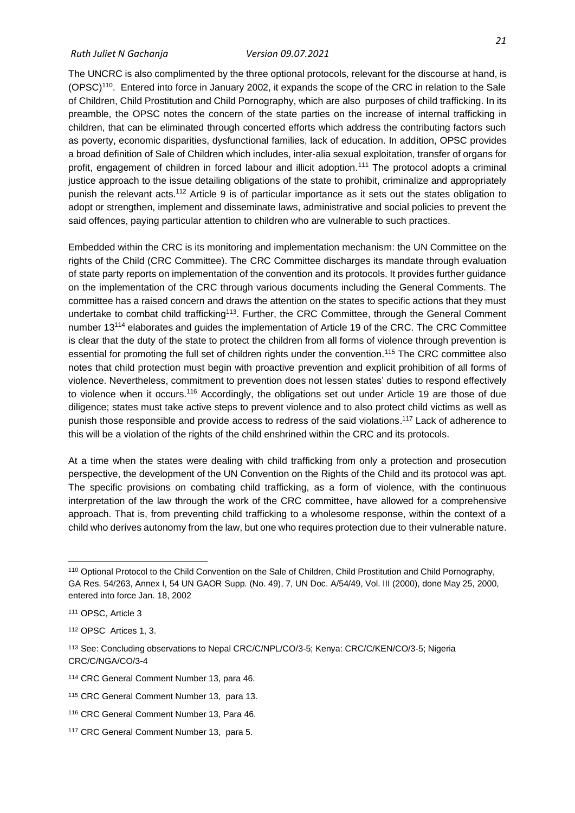#### *Ruth Juliet N Gachanja Version 09.07.2021*

The UNCRC is also complimented by the three optional protocols, relevant for the discourse at hand, is (OPSC)<sup>110</sup>. Entered into force in January 2002, it expands the scope of the CRC in relation to the Sale of Children, Child Prostitution and Child Pornography, which are also purposes of child trafficking. In its preamble, the OPSC notes the concern of the state parties on the increase of internal trafficking in children, that can be eliminated through concerted efforts which address the contributing factors such as poverty, economic disparities, dysfunctional families, lack of education. In addition, OPSC provides a broad definition of Sale of Children which includes, inter-alia sexual exploitation, transfer of organs for profit, engagement of children in forced labour and illicit adoption.<sup>111</sup> The protocol adopts a criminal justice approach to the issue detailing obligations of the state to prohibit, criminalize and appropriately punish the relevant acts.<sup>112</sup> Article 9 is of particular importance as it sets out the states obligation to adopt or strengthen, implement and disseminate laws, administrative and social policies to prevent the said offences, paying particular attention to children who are vulnerable to such practices.

Embedded within the CRC is its monitoring and implementation mechanism: the UN Committee on the rights of the Child (CRC Committee). The CRC Committee discharges its mandate through evaluation of state party reports on implementation of the convention and its protocols. It provides further guidance on the implementation of the CRC through various documents including the General Comments. The committee has a raised concern and draws the attention on the states to specific actions that they must undertake to combat child trafficking<sup>113</sup>. Further, the CRC Committee, through the General Comment number 13<sup>114</sup> elaborates and guides the implementation of Article 19 of the CRC. The CRC Committee is clear that the duty of the state to protect the children from all forms of violence through prevention is essential for promoting the full set of children rights under the convention.<sup>115</sup> The CRC committee also notes that child protection must begin with proactive prevention and explicit prohibition of all forms of violence. Nevertheless, commitment to prevention does not lessen states' duties to respond effectively to violence when it occurs.<sup>116</sup> Accordingly, the obligations set out under Article 19 are those of due diligence; states must take active steps to prevent violence and to also protect child victims as well as punish those responsible and provide access to redress of the said violations. <sup>117</sup> Lack of adherence to this will be a violation of the rights of the child enshrined within the CRC and its protocols.

At a time when the states were dealing with child trafficking from only a protection and prosecution perspective, the development of the UN Convention on the Rights of the Child and its protocol was apt. The specific provisions on combating child trafficking, as a form of violence, with the continuous interpretation of the law through the work of the CRC committee, have allowed for a comprehensive approach. That is, from preventing child trafficking to a wholesome response, within the context of a child who derives autonomy from the law, but one who requires protection due to their vulnerable nature.

<sup>110</sup> Optional Protocol to the Child Convention on the Sale of Children, Child Prostitution and Child Pornography, GA Res. 54/263, Annex I, 54 UN GAOR Supp. (No. 49), 7, UN Doc. A/54/49, Vol. III (2000), done May 25, 2000, entered into force Jan. 18, 2002

<sup>111</sup> OPSC, Article 3

<sup>112</sup> OPSC Artices 1, 3.

<sup>113</sup> See: Concluding observations to Nepal CRC/C/NPL/CO/3-5; Kenya: CRC/C/KEN/CO/3-5; Nigeria CRC/C/NGA/CO/3-4

<sup>114</sup> CRC General Comment Number 13, para 46.

<sup>115</sup> CRC General Comment Number 13, para 13.

<sup>116</sup> CRC General Comment Number 13, Para 46.

<sup>117</sup> CRC General Comment Number 13, para 5.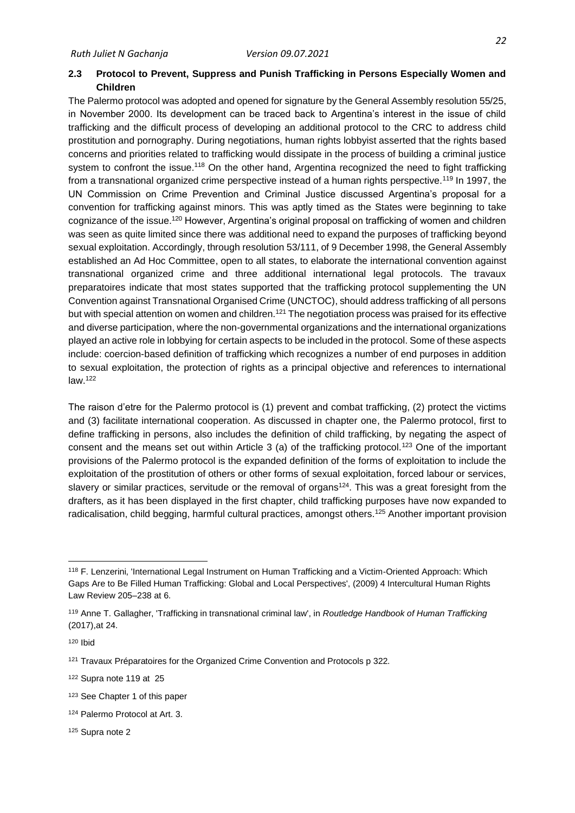## <span id="page-31-0"></span>**2.3 Protocol to Prevent, Suppress and Punish Trafficking in Persons Especially Women and Children**

The Palermo protocol was adopted and opened for signature by the General Assembly resolution 55/25, in November 2000. Its development can be traced back to Argentina's interest in the issue of child trafficking and the difficult process of developing an additional protocol to the CRC to address child prostitution and pornography. During negotiations, human rights lobbyist asserted that the rights based concerns and priorities related to trafficking would dissipate in the process of building a criminal justice system to confront the issue.<sup>118</sup> On the other hand, Argentina recognized the need to fight trafficking from a transnational organized crime perspective instead of a human rights perspective.<sup>119</sup> In 1997, the UN Commission on Crime Prevention and Criminal Justice discussed Argentina's proposal for a convention for trafficking against minors. This was aptly timed as the States were beginning to take cognizance of the issue.<sup>120</sup> However, Argentina's original proposal on trafficking of women and children was seen as quite limited since there was additional need to expand the purposes of trafficking beyond sexual exploitation. Accordingly, through resolution 53/111, of 9 December 1998, the General Assembly established an Ad Hoc Committee, open to all states, to elaborate the international convention against transnational organized crime and three additional international legal protocols. The travaux preparatoires indicate that most states supported that the trafficking protocol supplementing the UN Convention against Transnational Organised Crime (UNCTOC), should address trafficking of all persons but with special attention on women and children.<sup>121</sup> The negotiation process was praised for its effective and diverse participation, where the non-governmental organizations and the international organizations played an active role in lobbying for certain aspects to be included in the protocol. Some of these aspects include: coercion-based definition of trafficking which recognizes a number of end purposes in addition to sexual exploitation, the protection of rights as a principal objective and references to international  $law.<sup>122</sup>$ 

The raison d'etre for the Palermo protocol is (1) prevent and combat trafficking, (2) protect the victims and (3) facilitate international cooperation. As discussed in chapter one, the Palermo protocol, first to define trafficking in persons, also includes the definition of child trafficking, by negating the aspect of consent and the means set out within Article 3 (a) of the trafficking protocol.<sup>123</sup> One of the important provisions of the Palermo protocol is the expanded definition of the forms of exploitation to include the exploitation of the prostitution of others or other forms of sexual exploitation, forced labour or services, slavery or similar practices, servitude or the removal of organs<sup>124</sup>. This was a great foresight from the drafters, as it has been displayed in the first chapter, child trafficking purposes have now expanded to radicalisation, child begging, harmful cultural practices, amongst others.<sup>125</sup> Another important provision

<sup>120</sup> Ibid

<sup>125</sup> Supra note 2

<sup>118</sup> F. Lenzerini, 'International Legal Instrument on Human Trafficking and a Victim-Oriented Approach: Which Gaps Are to Be Filled Human Trafficking: Global and Local Perspectives', (2009) 4 Intercultural Human Rights Law Review 205–238 at 6.

<sup>119</sup> Anne T. Gallagher, 'Trafficking in transnational criminal law', in *Routledge Handbook of Human Trafficking* (2017),at 24.

<sup>&</sup>lt;sup>121</sup> Travaux Préparatoires for the Organized Crime Convention and Protocols p 322.

<sup>122</sup> Supra note 119 at 25

<sup>123</sup> See Chapter 1 of this paper

<sup>124</sup> Palermo Protocol at Art. 3.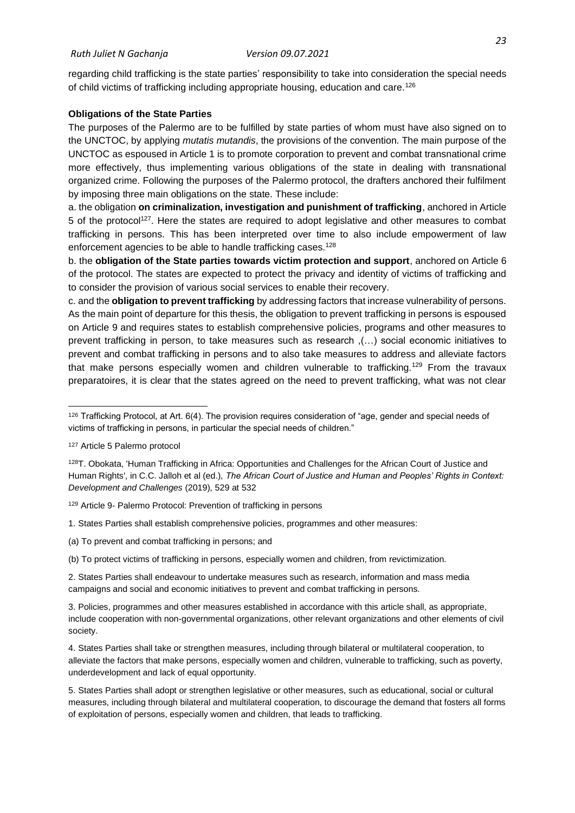regarding child trafficking is the state parties' responsibility to take into consideration the special needs of child victims of trafficking including appropriate housing, education and care.<sup>126</sup>

### **Obligations of the State Parties**

The purposes of the Palermo are to be fulfilled by state parties of whom must have also signed on to the UNCTOC, by applying *mutatis mutandis*, the provisions of the convention. The main purpose of the UNCTOC as espoused in Article 1 is to promote corporation to prevent and combat transnational crime more effectively, thus implementing various obligations of the state in dealing with transnational organized crime. Following the purposes of the Palermo protocol, the drafters anchored their fulfilment by imposing three main obligations on the state. These include:

a. the obligation **on criminalization, investigation and punishment of trafficking**, anchored in Article 5 of the protocol<sup>127</sup>. Here the states are required to adopt legislative and other measures to combat trafficking in persons. This has been interpreted over time to also include empowerment of law enforcement agencies to be able to handle trafficking cases.<sup>128</sup>

b. the **obligation of the State parties towards victim protection and support**, anchored on Article 6 of the protocol. The states are expected to protect the privacy and identity of victims of trafficking and to consider the provision of various social services to enable their recovery.

c. and the **obligation to prevent trafficking** by addressing factors that increase vulnerability of persons. As the main point of departure for this thesis, the obligation to prevent trafficking in persons is espoused on Article 9 and requires states to establish comprehensive policies, programs and other measures to prevent trafficking in person, to take measures such as research ,(…) social economic initiatives to prevent and combat trafficking in persons and to also take measures to address and alleviate factors that make persons especially women and children vulnerable to trafficking.<sup>129</sup> From the travaux preparatoires, it is clear that the states agreed on the need to prevent trafficking, what was not clear

(a) To prevent and combat trafficking in persons; and

 $126$  Trafficking Protocol, at Art.  $6(4)$ . The provision requires consideration of "age, gender and special needs of victims of trafficking in persons, in particular the special needs of children."

<sup>127</sup> Article 5 Palermo protocol

<sup>128</sup>T. Obokata, 'Human Trafficking in Africa: Opportunities and Challenges for the African Court of Justice and Human Rights', in C.C. Jalloh et al (ed.), *The African Court of Justice and Human and Peoples' Rights in Context: Development and Challenges* (2019), 529 at 532

<sup>129</sup> Article 9- Palermo Protocol: Prevention of trafficking in persons

<sup>1.</sup> States Parties shall establish comprehensive policies, programmes and other measures:

<sup>(</sup>b) To protect victims of trafficking in persons, especially women and children, from revictimization.

<sup>2.</sup> States Parties shall endeavour to undertake measures such as research, information and mass media campaigns and social and economic initiatives to prevent and combat trafficking in persons.

<sup>3.</sup> Policies, programmes and other measures established in accordance with this article shall, as appropriate, include cooperation with non-governmental organizations, other relevant organizations and other elements of civil society.

<sup>4.</sup> States Parties shall take or strengthen measures, including through bilateral or multilateral cooperation, to alleviate the factors that make persons, especially women and children, vulnerable to trafficking, such as poverty, underdevelopment and lack of equal opportunity.

<sup>5.</sup> States Parties shall adopt or strengthen legislative or other measures, such as educational, social or cultural measures, including through bilateral and multilateral cooperation, to discourage the demand that fosters all forms of exploitation of persons, especially women and children, that leads to trafficking.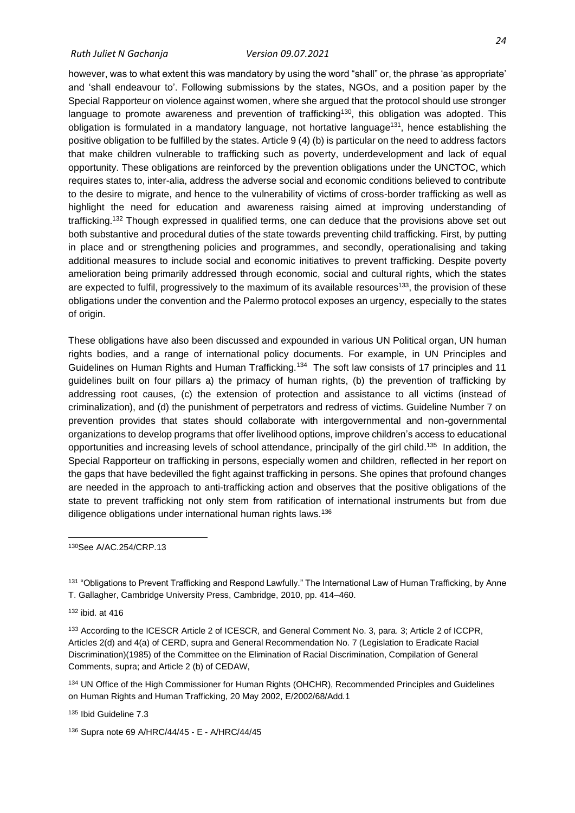however, was to what extent this was mandatory by using the word "shall" or, the phrase 'as appropriate' and 'shall endeavour to'. Following submissions by the states, NGOs, and a position paper by the Special Rapporteur on violence against women, where she argued that the protocol should use stronger language to promote awareness and prevention of trafficking<sup>130</sup>, this obligation was adopted. This obligation is formulated in a mandatory language, not hortative language<sup>131</sup>, hence establishing the positive obligation to be fulfilled by the states. Article 9 (4) (b) is particular on the need to address factors that make children vulnerable to trafficking such as poverty, underdevelopment and lack of equal opportunity. These obligations are reinforced by the prevention obligations under the UNCTOC, which requires states to, inter-alia, address the adverse social and economic conditions believed to contribute to the desire to migrate, and hence to the vulnerability of victims of cross-border trafficking as well as highlight the need for education and awareness raising aimed at improving understanding of trafficking.<sup>132</sup> Though expressed in qualified terms, one can deduce that the provisions above set out both substantive and procedural duties of the state towards preventing child trafficking. First, by putting in place and or strengthening policies and programmes, and secondly, operationalising and taking additional measures to include social and economic initiatives to prevent trafficking. Despite poverty amelioration being primarily addressed through economic, social and cultural rights, which the states are expected to fulfil, progressively to the maximum of its available resources<sup>133</sup>, the provision of these obligations under the convention and the Palermo protocol exposes an urgency, especially to the states of origin.

These obligations have also been discussed and expounded in various UN Political organ, UN human rights bodies, and a range of international policy documents. For example, in UN Principles and Guidelines on Human Rights and Human Trafficking.<sup>134</sup> The soft law consists of 17 principles and 11 guidelines built on four pillars a) the primacy of human rights, (b) the prevention of trafficking by addressing root causes, (c) the extension of protection and assistance to all victims (instead of criminalization), and (d) the punishment of perpetrators and redress of victims. Guideline Number 7 on prevention provides that states should collaborate with intergovernmental and non-governmental organizations to develop programs that offer livelihood options, improve children's access to educational opportunities and increasing levels of school attendance, principally of the girl child.<sup>135</sup> In addition, the Special Rapporteur on trafficking in persons, especially women and children, reflected in her report on the gaps that have bedevilled the fight against trafficking in persons. She opines that profound changes are needed in the approach to anti-trafficking action and observes that the positive obligations of the state to prevent trafficking not only stem from ratification of international instruments but from due diligence obligations under international human rights laws.<sup>136</sup>

<sup>130</sup>See A/AC.254/CRP.13

131 "Obligations to Prevent Trafficking and Respond Lawfully." The International Law of Human Trafficking, by Anne T. Gallagher, Cambridge University Press, Cambridge, 2010, pp. 414–460.

<sup>132</sup> ibid. at 416

133 According to the ICESCR Article 2 of ICESCR, and General Comment No. 3, para. 3; Article 2 of ICCPR, Articles 2(d) and 4(a) of CERD, supra and General Recommendation No. 7 (Legislation to Eradicate Racial Discrimination)(1985) of the Committee on the Elimination of Racial Discrimination, Compilation of General Comments, supra; and Article 2 (b) of CEDAW,

<sup>134</sup> UN Office of the High Commissioner for Human Rights (OHCHR), Recommended Principles and Guidelines on Human Rights and Human Trafficking, 20 May 2002, E/2002/68/Add.1

<sup>135</sup> Ibid Guideline 7.3

<sup>136</sup> Supra note 69 A/HRC/44/45 - E - A/HRC/44/45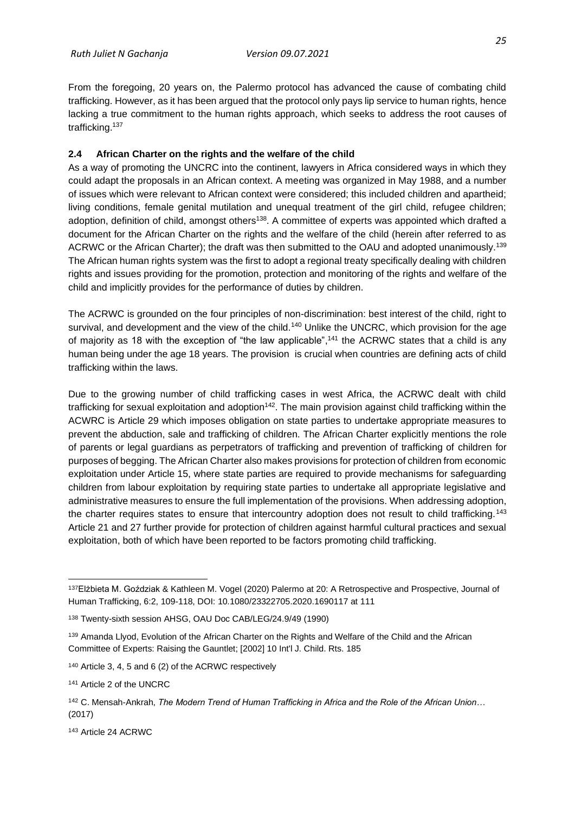From the foregoing, 20 years on, the Palermo protocol has advanced the cause of combating child trafficking. However, as it has been argued that the protocol only pays lip service to human rights, hence lacking a true commitment to the human rights approach, which seeks to address the root causes of trafficking.<sup>137</sup>

## <span id="page-34-0"></span>**2.4 African Charter on the rights and the welfare of the child**

As a way of promoting the UNCRC into the continent, lawyers in Africa considered ways in which they could adapt the proposals in an African context. A meeting was organized in May 1988, and a number of issues which were relevant to African context were considered; this included children and apartheid; living conditions, female genital mutilation and unequal treatment of the girl child, refugee children; adoption, definition of child, amongst others<sup>138</sup>. A committee of experts was appointed which drafted a document for the African Charter on the rights and the welfare of the child (herein after referred to as ACRWC or the African Charter); the draft was then submitted to the OAU and adopted unanimously.<sup>139</sup> The African human rights system was the first to adopt a regional treaty specifically dealing with children rights and issues providing for the promotion, protection and monitoring of the rights and welfare of the child and implicitly provides for the performance of duties by children.

The ACRWC is grounded on the four principles of non-discrimination: best interest of the child, right to survival, and development and the view of the child.<sup>140</sup> Unlike the UNCRC, which provision for the age of majority as 18 with the exception of "the law applicable",<sup>141</sup> the ACRWC states that a child is any human being under the age 18 years. The provision is crucial when countries are defining acts of child trafficking within the laws.

Due to the growing number of child trafficking cases in west Africa, the ACRWC dealt with child trafficking for sexual exploitation and adoption<sup>142</sup>. The main provision against child trafficking within the ACWRC is Article 29 which imposes obligation on state parties to undertake appropriate measures to prevent the abduction, sale and trafficking of children. The African Charter explicitly mentions the role of parents or legal guardians as perpetrators of trafficking and prevention of trafficking of children for purposes of begging. The African Charter also makes provisions for protection of children from economic exploitation under Article 15, where state parties are required to provide mechanisms for safeguarding children from labour exploitation by requiring state parties to undertake all appropriate legislative and administrative measures to ensure the full implementation of the provisions. When addressing adoption, the charter requires states to ensure that intercountry adoption does not result to child trafficking.<sup>143</sup> Article 21 and 27 further provide for protection of children against harmful cultural practices and sexual exploitation, both of which have been reported to be factors promoting child trafficking.

<sup>137</sup>Elżbieta M. Goździak & Kathleen M. Vogel (2020) Palermo at 20: A Retrospective and Prospective, Journal of Human Trafficking, 6:2, 109-118, DOI: 10.1080/23322705.2020.1690117 at 111

<sup>138</sup> Twenty-sixth session AHSG, OAU Doc CAB/LEG/24.9/49 (1990)

<sup>139</sup> Amanda Llyod, Evolution of the African Charter on the Rights and Welfare of the Child and the African Committee of Experts: Raising the Gauntlet; [2002] 10 Int'l J. Child. Rts. 185

<sup>140</sup> Article 3, 4, 5 and 6 (2) of the ACRWC respectively

<sup>141</sup> Article 2 of the UNCRC

<sup>142</sup> C. Mensah-Ankrah, *The Modern Trend of Human Trafficking in Africa and the Role of the African Union…* (2017)

<sup>143</sup> Article 24 ACRWC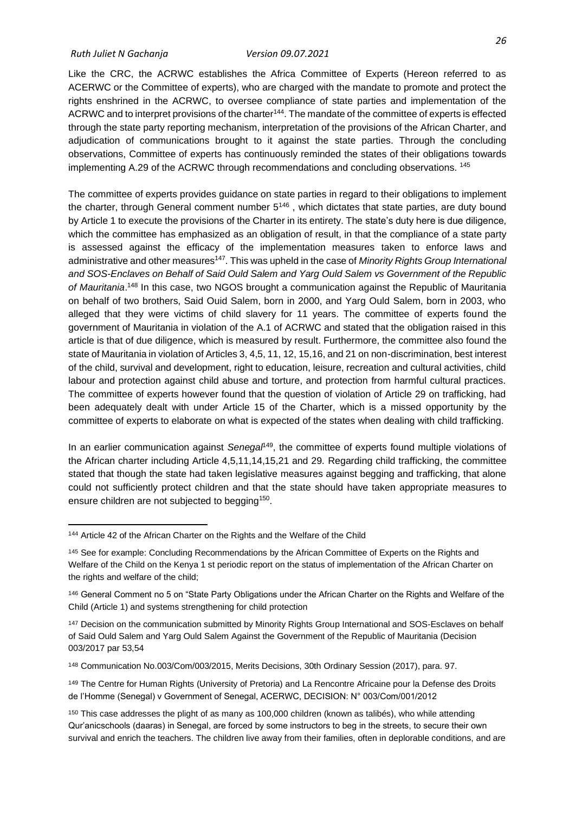Like the CRC, the ACRWC establishes the Africa Committee of Experts (Hereon referred to as ACERWC or the Committee of experts), who are charged with the mandate to promote and protect the rights enshrined in the ACRWC, to oversee compliance of state parties and implementation of the ACRWC and to interpret provisions of the charter<sup>144</sup>. The mandate of the committee of experts is effected through the state party reporting mechanism, interpretation of the provisions of the African Charter, and adjudication of communications brought to it against the state parties. Through the concluding observations, Committee of experts has continuously reminded the states of their obligations towards implementing A.29 of the ACRWC through recommendations and concluding observations. <sup>145</sup>

The committee of experts provides guidance on state parties in regard to their obligations to implement the charter, through General comment number  $5^{146}$ , which dictates that state parties, are duty bound by Article 1 to execute the provisions of the Charter in its entirety. The state's duty here is due diligence, which the committee has emphasized as an obligation of result, in that the compliance of a state party is assessed against the efficacy of the implementation measures taken to enforce laws and administrative and other measures<sup>147</sup>. This was upheld in the case of *Minority Rights Group International and SOS-Enclaves on Behalf of Said Ould Salem and Yarg Ould Salem vs Government of the Republic*  of Mauritania.<sup>148</sup> In this case, two NGOS brought a communication against the Republic of Mauritania on behalf of two brothers, Said Ouid Salem, born in 2000, and Yarg Ould Salem, born in 2003, who alleged that they were victims of child slavery for 11 years. The committee of experts found the government of Mauritania in violation of the A.1 of ACRWC and stated that the obligation raised in this article is that of due diligence, which is measured by result. Furthermore, the committee also found the state of Mauritania in violation of Articles 3, 4,5, 11, 12, 15,16, and 21 on non-discrimination, best interest of the child, survival and development, right to education, leisure, recreation and cultural activities, child labour and protection against child abuse and torture, and protection from harmful cultural practices. The committee of experts however found that the question of violation of Article 29 on trafficking, had been adequately dealt with under Article 15 of the Charter, which is a missed opportunity by the committee of experts to elaborate on what is expected of the states when dealing with child trafficking.

In an earlier communication against *Senegal*<sup>149</sup>, the committee of experts found multiple violations of the African charter including Article 4,5,11,14,15,21 and 29. Regarding child trafficking, the committee stated that though the state had taken legislative measures against begging and trafficking, that alone could not sufficiently protect children and that the state should have taken appropriate measures to ensure children are not subjected to begging<sup>150</sup>.

<sup>144</sup> Article 42 of the African Charter on the Rights and the Welfare of the Child

<sup>145</sup> See for example: Concluding Recommendations by the African Committee of Experts on the Rights and Welfare of the Child on the Kenya 1 st periodic report on the status of implementation of the African Charter on the rights and welfare of the child;

<sup>146</sup> General Comment no 5 on "State Party Obligations under the African Charter on the Rights and Welfare of the Child (Article 1) and systems strengthening for child protection

<sup>147</sup> Decision on the communication submitted by Minority Rights Group International and SOS-Esclaves on behalf of Said Ould Salem and Yarg Ould Salem Against the Government of the Republic of Mauritania (Decision 003/2017 par 53,54

<sup>148</sup> Communication No.003/Com/003/2015, Merits Decisions, 30th Ordinary Session (2017), para. 97.

<sup>149</sup> The Centre for Human Rights (University of Pretoria) and La Rencontre Africaine pour la Defense des Droits de l'Homme (Senegal) v Government of Senegal, ACERWC, DECISION: N° 003/Com/001/2012

<sup>&</sup>lt;sup>150</sup> This case addresses the plight of as many as 100,000 children (known as talibés), who while attending Qur'anicschools (daaras) in Senegal, are forced by some instructors to beg in the streets, to secure their own survival and enrich the teachers. The children live away from their families, often in deplorable conditions, and are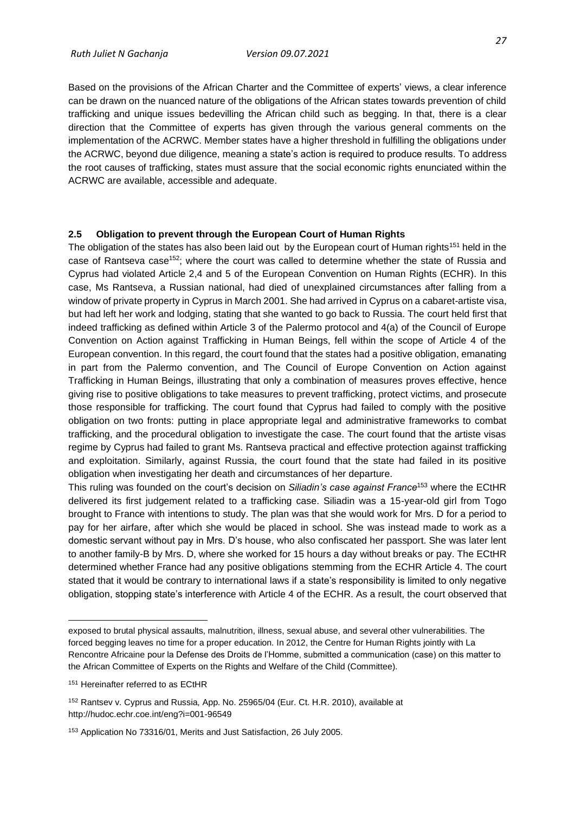Based on the provisions of the African Charter and the Committee of experts' views, a clear inference can be drawn on the nuanced nature of the obligations of the African states towards prevention of child trafficking and unique issues bedevilling the African child such as begging. In that, there is a clear direction that the Committee of experts has given through the various general comments on the implementation of the ACRWC. Member states have a higher threshold in fulfilling the obligations under the ACRWC, beyond due diligence, meaning a state's action is required to produce results. To address the root causes of trafficking, states must assure that the social economic rights enunciated within the ACRWC are available, accessible and adequate.

#### <span id="page-36-0"></span>**2.5 Obligation to prevent through the European Court of Human Rights**

The obligation of the states has also been laid out by the European court of Human rights<sup>151</sup> held in the case of Rantseva case<sup>152</sup>; where the court was called to determine whether the state of Russia and Cyprus had violated Article 2,4 and 5 of the European Convention on Human Rights (ECHR). In this case, Ms Rantseva, a Russian national, had died of unexplained circumstances after falling from a window of private property in Cyprus in March 2001. She had arrived in Cyprus on a cabaret-artiste visa, but had left her work and lodging, stating that she wanted to go back to Russia. The court held first that indeed trafficking as defined within Article 3 of the Palermo protocol and 4(a) of the Council of Europe Convention on Action against Trafficking in Human Beings, fell within the scope of Article 4 of the European convention. In this regard, the court found that the states had a positive obligation, emanating in part from the Palermo convention, and The Council of Europe Convention on Action against Trafficking in Human Beings, illustrating that only a combination of measures proves effective, hence giving rise to positive obligations to take measures to prevent trafficking, protect victims, and prosecute those responsible for trafficking. The court found that Cyprus had failed to comply with the positive obligation on two fronts: putting in place appropriate legal and administrative frameworks to combat trafficking, and the procedural obligation to investigate the case. The court found that the artiste visas regime by Cyprus had failed to grant Ms. Rantseva practical and effective protection against trafficking and exploitation. Similarly, against Russia, the court found that the state had failed in its positive obligation when investigating her death and circumstances of her departure.

This ruling was founded on the court's decision on *Siliadin's case against France*<sup>153</sup> where the ECtHR delivered its first judgement related to a trafficking case. Siliadin was a 15-year-old girl from Togo brought to France with intentions to study. The plan was that she would work for Mrs. D for a period to pay for her airfare, after which she would be placed in school. She was instead made to work as a domestic servant without pay in Mrs. D's house, who also confiscated her passport. She was later lent to another family-B by Mrs. D, where she worked for 15 hours a day without breaks or pay. The ECtHR determined whether France had any positive obligations stemming from the ECHR Article 4. The court stated that it would be contrary to international laws if a state's responsibility is limited to only negative obligation, stopping state's interference with Article 4 of the ECHR. As a result, the court observed that

exposed to brutal physical assaults, malnutrition, illness, sexual abuse, and several other vulnerabilities. The forced begging leaves no time for a proper education. In 2012, the Centre for Human Rights jointly with La Rencontre Africaine pour la Defense des Droits de l'Homme, submitted a communication (case) on this matter to the African Committee of Experts on the Rights and Welfare of the Child (Committee).

<sup>151</sup> Hereinafter referred to as ECtHR

<sup>152</sup> Rantsev v. Cyprus and Russia, App. No. 25965/04 (Eur. Ct. H.R. 2010), available at http://hudoc.echr.coe.int/eng?i=001-96549

<sup>153</sup> Application No 73316/01, Merits and Just Satisfaction, 26 July 2005.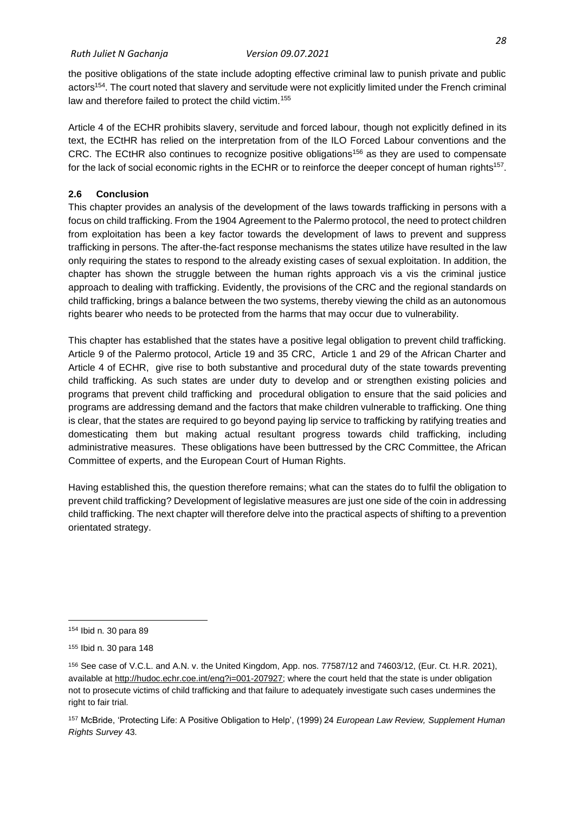the positive obligations of the state include adopting effective criminal law to punish private and public actors<sup>154</sup>. The court noted that slavery and servitude were not explicitly limited under the French criminal law and therefore failed to protect the child victim.<sup>155</sup>

Article 4 of the ECHR prohibits slavery, servitude and forced labour, though not explicitly defined in its text, the ECtHR has relied on the interpretation from of the ILO Forced Labour conventions and the CRC. The ECtHR also continues to recognize positive obligations<sup>156</sup> as they are used to compensate for the lack of social economic rights in the ECHR or to reinforce the deeper concept of human rights<sup>157</sup>.

### <span id="page-37-0"></span>**2.6 Conclusion**

This chapter provides an analysis of the development of the laws towards trafficking in persons with a focus on child trafficking. From the 1904 Agreement to the Palermo protocol, the need to protect children from exploitation has been a key factor towards the development of laws to prevent and suppress trafficking in persons. The after-the-fact response mechanisms the states utilize have resulted in the law only requiring the states to respond to the already existing cases of sexual exploitation. In addition, the chapter has shown the struggle between the human rights approach vis a vis the criminal justice approach to dealing with trafficking. Evidently, the provisions of the CRC and the regional standards on child trafficking, brings a balance between the two systems, thereby viewing the child as an autonomous rights bearer who needs to be protected from the harms that may occur due to vulnerability.

This chapter has established that the states have a positive legal obligation to prevent child trafficking. Article 9 of the Palermo protocol, Article 19 and 35 CRC, Article 1 and 29 of the African Charter and Article 4 of ECHR, give rise to both substantive and procedural duty of the state towards preventing child trafficking. As such states are under duty to develop and or strengthen existing policies and programs that prevent child trafficking and procedural obligation to ensure that the said policies and programs are addressing demand and the factors that make children vulnerable to trafficking. One thing is clear, that the states are required to go beyond paying lip service to trafficking by ratifying treaties and domesticating them but making actual resultant progress towards child trafficking, including administrative measures. These obligations have been buttressed by the CRC Committee, the African Committee of experts, and the European Court of Human Rights.

Having established this, the question therefore remains; what can the states do to fulfil the obligation to prevent child trafficking? Development of legislative measures are just one side of the coin in addressing child trafficking. The next chapter will therefore delve into the practical aspects of shifting to a prevention orientated strategy.

<sup>154</sup> Ibid n. 30 para 89

<sup>155</sup> Ibid n. 30 para 148

<sup>156</sup> See case of V.C.L. and A.N. v. the United Kingdom, App. nos. 77587/12 and 74603/12, (Eur. Ct. H.R. 2021), available at [http://hudoc.echr.coe.int/eng?i=001-207927;](http://hudoc.echr.coe.int/eng?i=001-207927) where the court held that the state is under obligation not to prosecute victims of child trafficking and that failure to adequately investigate such cases undermines the right to fair trial.

<sup>157</sup> McBride, 'Protecting Life: A Positive Obligation to Help', (1999) 24 *European Law Review, Supplement Human Rights Survey* 43.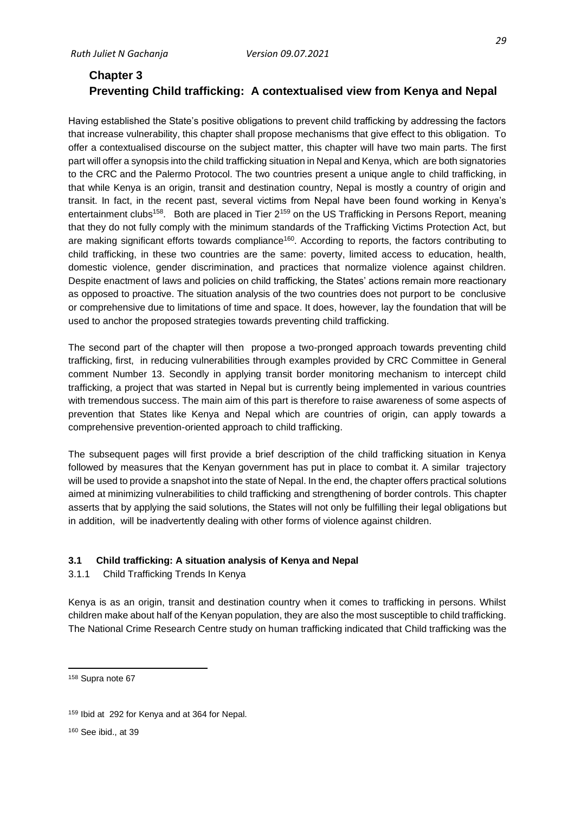# <span id="page-38-1"></span><span id="page-38-0"></span>**Chapter 3 Preventing Child trafficking: A contextualised view from Kenya and Nepal**

Having established the State's positive obligations to prevent child trafficking by addressing the factors that increase vulnerability, this chapter shall propose mechanisms that give effect to this obligation. To offer a contextualised discourse on the subject matter, this chapter will have two main parts. The first part will offer a synopsis into the child trafficking situation in Nepal and Kenya, which are both signatories to the CRC and the Palermo Protocol. The two countries present a unique angle to child trafficking, in that while Kenya is an origin, transit and destination country, Nepal is mostly a country of origin and transit. In fact, in the recent past, several victims from Nepal have been found working in Kenya's entertainment clubs<sup>158</sup>. Both are placed in Tier  $2^{159}$  on the US Trafficking in Persons Report, meaning that they do not fully comply with the minimum standards of the Trafficking Victims Protection Act, but are making significant efforts towards compliance<sup>160</sup>. According to reports, the factors contributing to child trafficking, in these two countries are the same: poverty, limited access to education, health, domestic violence, gender discrimination, and practices that normalize violence against children. Despite enactment of laws and policies on child trafficking, the States' actions remain more reactionary as opposed to proactive. The situation analysis of the two countries does not purport to be conclusive or comprehensive due to limitations of time and space. It does, however, lay the foundation that will be used to anchor the proposed strategies towards preventing child trafficking.

The second part of the chapter will then propose a two-pronged approach towards preventing child trafficking, first, in reducing vulnerabilities through examples provided by CRC Committee in General comment Number 13. Secondly in applying transit border monitoring mechanism to intercept child trafficking, a project that was started in Nepal but is currently being implemented in various countries with tremendous success. The main aim of this part is therefore to raise awareness of some aspects of prevention that States like Kenya and Nepal which are countries of origin, can apply towards a comprehensive prevention-oriented approach to child trafficking.

The subsequent pages will first provide a brief description of the child trafficking situation in Kenya followed by measures that the Kenyan government has put in place to combat it. A similar trajectory will be used to provide a snapshot into the state of Nepal. In the end, the chapter offers practical solutions aimed at minimizing vulnerabilities to child trafficking and strengthening of border controls. This chapter asserts that by applying the said solutions, the States will not only be fulfilling their legal obligations but in addition, will be inadvertently dealing with other forms of violence against children.

## <span id="page-38-2"></span>**3.1 Child trafficking: A situation analysis of Kenya and Nepal**

## <span id="page-38-3"></span>3.1.1 Child Trafficking Trends In Kenya

Kenya is as an origin, transit and destination country when it comes to trafficking in persons. Whilst children make about half of the Kenyan population, they are also the most susceptible to child trafficking. The National Crime Research Centre study on human trafficking indicated that Child trafficking was the

<sup>158</sup> Supra note 67

<sup>159</sup> Ibid at 292 for Kenya and at 364 for Nepal.

<sup>160</sup> See ibid., at 39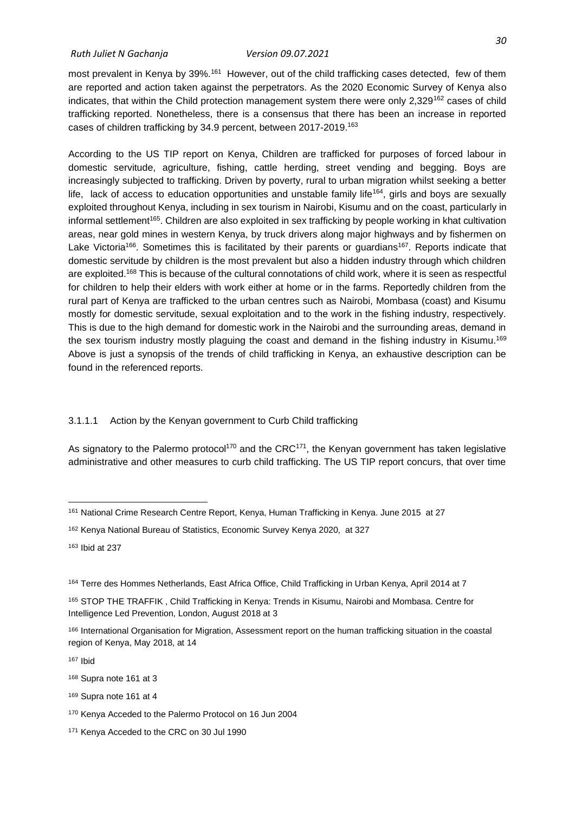most prevalent in Kenya by 39%.<sup>161</sup> However, out of the child trafficking cases detected, few of them are reported and action taken against the perpetrators. As the 2020 Economic Survey of Kenya also indicates, that within the Child protection management system there were only  $2,329^{162}$  cases of child trafficking reported. Nonetheless, there is a consensus that there has been an increase in reported cases of children trafficking by 34.9 percent, between 2017-2019.<sup>163</sup>

According to the US TIP report on Kenya, Children are trafficked for purposes of forced labour in domestic servitude, agriculture, fishing, cattle herding, street vending and begging. Boys are increasingly subjected to trafficking. Driven by poverty, rural to urban migration whilst seeking a better life, lack of access to education opportunities and unstable family life<sup>164</sup>, girls and boys are sexually exploited throughout Kenya, including in sex tourism in Nairobi, Kisumu and on the coast, particularly in informal settlement<sup>165</sup>. Children are also exploited in sex trafficking by people working in khat cultivation areas, near gold mines in western Kenya, by truck drivers along major highways and by fishermen on Lake Victoria<sup>166</sup>. Sometimes this is facilitated by their parents or guardians<sup>167</sup>. Reports indicate that domestic servitude by children is the most prevalent but also a hidden industry through which children are exploited.<sup>168</sup> This is because of the cultural connotations of child work, where it is seen as respectful for children to help their elders with work either at home or in the farms. Reportedly children from the rural part of Kenya are trafficked to the urban centres such as Nairobi, Mombasa (coast) and Kisumu mostly for domestic servitude, sexual exploitation and to the work in the fishing industry, respectively. This is due to the high demand for domestic work in the Nairobi and the surrounding areas, demand in the sex tourism industry mostly plaguing the coast and demand in the fishing industry in Kisumu.<sup>169</sup> Above is just a synopsis of the trends of child trafficking in Kenya, an exhaustive description can be found in the referenced reports.

#### 3.1.1.1 Action by the Kenyan government to Curb Child trafficking

As signatory to the Palermo protocol<sup>170</sup> and the CRC<sup>171</sup>, the Kenyan government has taken legislative administrative and other measures to curb child trafficking. The US TIP report concurs, that over time

<sup>167</sup> Ibid

<sup>161</sup> National Crime Research Centre Report, Kenya, Human Trafficking in Kenya. June 2015 at 27

<sup>162</sup> Kenya National Bureau of Statistics, Economic Survey Kenya 2020, at 327

<sup>163</sup> Ibid at 237

<sup>164</sup> Terre des Hommes Netherlands, East Africa Office, Child Trafficking in Urban Kenya, April 2014 at 7

<sup>165</sup> STOP THE TRAFFIK , Child Trafficking in Kenya: Trends in Kisumu, Nairobi and Mombasa. Centre for Intelligence Led Prevention, London, August 2018 at 3

<sup>166</sup> International Organisation for Migration, Assessment report on the human trafficking situation in the coastal region of Kenya, May 2018, at 14

<sup>168</sup> Supra note 161 at 3

<sup>169</sup> Supra note 161 at 4

<sup>170</sup> Kenya Acceded to the Palermo Protocol on 16 Jun 2004

<sup>171</sup> Kenya Acceded to the CRC on 30 Jul 1990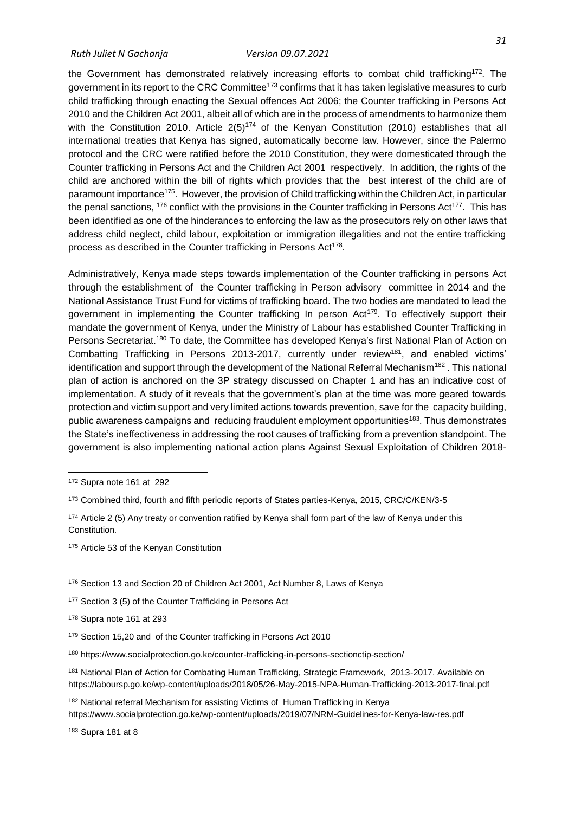the Government has demonstrated relatively increasing efforts to combat child trafficking<sup>172</sup>. The government in its report to the CRC Committee<sup>173</sup> confirms that it has taken legislative measures to curb child trafficking through enacting the Sexual offences Act 2006; the Counter trafficking in Persons Act 2010 and the Children Act 2001, albeit all of which are in the process of amendments to harmonize them with the Constitution 2010. Article  $2(5)^{174}$  of the Kenyan Constitution (2010) establishes that all international treaties that Kenya has signed, automatically become law. However, since the Palermo protocol and the CRC were ratified before the 2010 Constitution, they were domesticated through the Counter trafficking in Persons Act and the Children Act 2001 respectively. In addition, the rights of the child are anchored within the bill of rights which provides that the best interest of the child are of paramount importance<sup>175</sup>. However, the provision of Child trafficking within the Children Act, in particular the penal sanctions,  $176$  conflict with the provisions in the Counter trafficking in Persons Act<sup>177</sup>. This has been identified as one of the hinderances to enforcing the law as the prosecutors rely on other laws that address child neglect, child labour, exploitation or immigration illegalities and not the entire trafficking process as described in the Counter trafficking in Persons Act<sup>178</sup>.

Administratively, Kenya made steps towards implementation of the Counter trafficking in persons Act through the establishment of the Counter trafficking in Person advisory committee in 2014 and the National Assistance Trust Fund for victims of trafficking board. The two bodies are mandated to lead the government in implementing the Counter trafficking In person Act<sup>179</sup>. To effectively support their mandate the government of Kenya, under the Ministry of Labour has established Counter Trafficking in Persons Secretariat.<sup>180</sup> To date, the Committee has developed Kenya's first National Plan of Action on Combatting Trafficking in Persons 2013-2017, currently under review<sup>181</sup>, and enabled victims' identification and support through the development of the National Referral Mechanism<sup>182</sup>. This national plan of action is anchored on the 3P strategy discussed on Chapter 1 and has an indicative cost of implementation. A study of it reveals that the government's plan at the time was more geared towards protection and victim support and very limited actions towards prevention, save for the capacity building, public awareness campaigns and reducing fraudulent employment opportunities<sup>183</sup>. Thus demonstrates the State's ineffectiveness in addressing the root causes of trafficking from a prevention standpoint. The government is also implementing national action plans Against Sexual Exploitation of Children 2018-

<sup>174</sup> Article 2 (5) Any treaty or convention ratified by Kenya shall form part of the law of Kenya under this Constitution.

175 Article 53 of the Kenyan Constitution

- <sup>176</sup> Section 13 and Section 20 of Children Act 2001, Act Number 8, Laws of Kenya
- <sup>177</sup> Section 3 (5) of the Counter Trafficking in Persons Act

<sup>178</sup> Supra note 161 at 293

<sup>180</sup> https://www.socialprotection.go.ke/counter-trafficking-in-persons-sectionctip-section/

<sup>181</sup> National Plan of Action for Combating Human Trafficking, Strategic Framework, 2013-2017. Available on https://laboursp.go.ke/wp-content/uploads/2018/05/26-May-2015-NPA-Human-Trafficking-2013-2017-final.pdf

<sup>182</sup> National referral Mechanism for assisting Victims of Human Trafficking in Kenya https://www.socialprotection.go.ke/wp-content/uploads/2019/07/NRM-Guidelines-for-Kenya-law-res.pdf

<sup>183</sup> Supra 181 at 8

<sup>172</sup> Supra note 161 at 292

<sup>173</sup> Combined third, fourth and fifth periodic reports of States parties-Kenya, 2015, CRC/C/KEN/3-5

<sup>179</sup> Section 15,20 and of the Counter trafficking in Persons Act 2010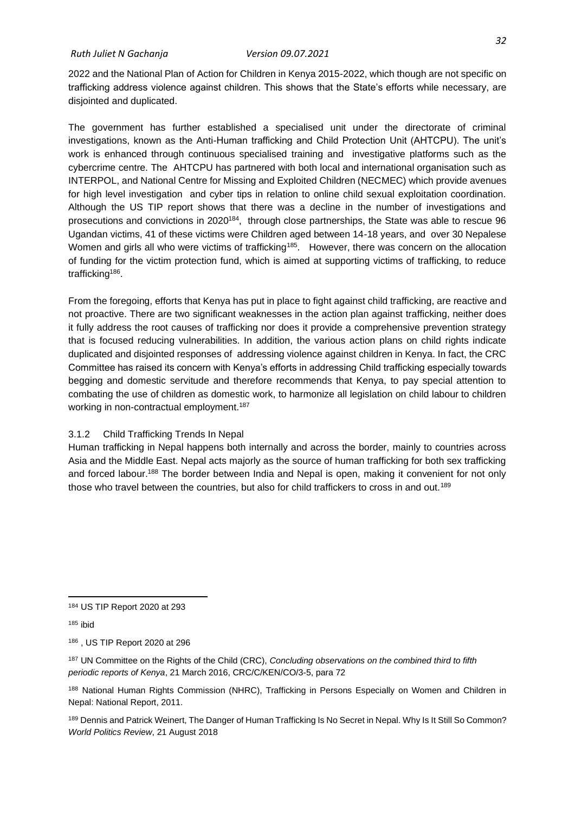2022 and the National Plan of Action for Children in Kenya 2015-2022, which though are not specific on trafficking address violence against children. This shows that the State's efforts while necessary, are disjointed and duplicated.

The government has further established a specialised unit under the directorate of criminal investigations, known as the Anti-Human trafficking and Child Protection Unit (AHTCPU). The unit's work is enhanced through continuous specialised training and investigative platforms such as the cybercrime centre. The AHTCPU has partnered with both local and international organisation such as INTERPOL, and National Centre for Missing and Exploited Children (NECMEC) which provide avenues for high level investigation and cyber tips in relation to online child sexual exploitation coordination. Although the US TIP report shows that there was a decline in the number of investigations and prosecutions and convictions in 2020<sup>184</sup>, through close partnerships, the State was able to rescue 96 Ugandan victims, 41 of these victims were Children aged between 14-18 years, and over 30 Nepalese Women and girls all who were victims of trafficking<sup>185</sup>. However, there was concern on the allocation of funding for the victim protection fund, which is aimed at supporting victims of trafficking, to reduce trafficking<sup>186</sup>.

From the foregoing, efforts that Kenya has put in place to fight against child trafficking, are reactive and not proactive. There are two significant weaknesses in the action plan against trafficking, neither does it fully address the root causes of trafficking nor does it provide a comprehensive prevention strategy that is focused reducing vulnerabilities. In addition, the various action plans on child rights indicate duplicated and disjointed responses of addressing violence against children in Kenya. In fact, the CRC Committee has raised its concern with Kenya's efforts in addressing Child trafficking especially towards begging and domestic servitude and therefore recommends that Kenya, to pay special attention to combating the use of children as domestic work, to harmonize all legislation on child labour to children working in non-contractual employment.<sup>187</sup>

## <span id="page-41-0"></span>3.1.2 Child Trafficking Trends In Nepal

Human trafficking in Nepal happens both internally and across the border, mainly to countries across Asia and the Middle East. Nepal acts majorly as the source of human trafficking for both sex trafficking and forced labour.<sup>188</sup> The border between India and Nepal is open, making it convenient for not only those who travel between the countries, but also for child traffickers to cross in and out.<sup>189</sup>

 $185$  ibid

<sup>186</sup> , US TIP Report 2020 at 296

<sup>187</sup> UN Committee on the Rights of the Child (CRC), *Concluding observations on the combined third to fifth periodic reports of Kenya*, 21 March 2016, CRC/C/KEN/CO/3-5, para 72

188 National Human Rights Commission (NHRC), Trafficking in Persons Especially on Women and Children in Nepal: National Report, 2011.

189 Dennis and Patrick Weinert, The Danger of Human Trafficking Is No Secret in Nepal. Why Is It Still So Common? *World Politics Review*, 21 August 2018

<sup>184</sup> US TIP Report 2020 at 293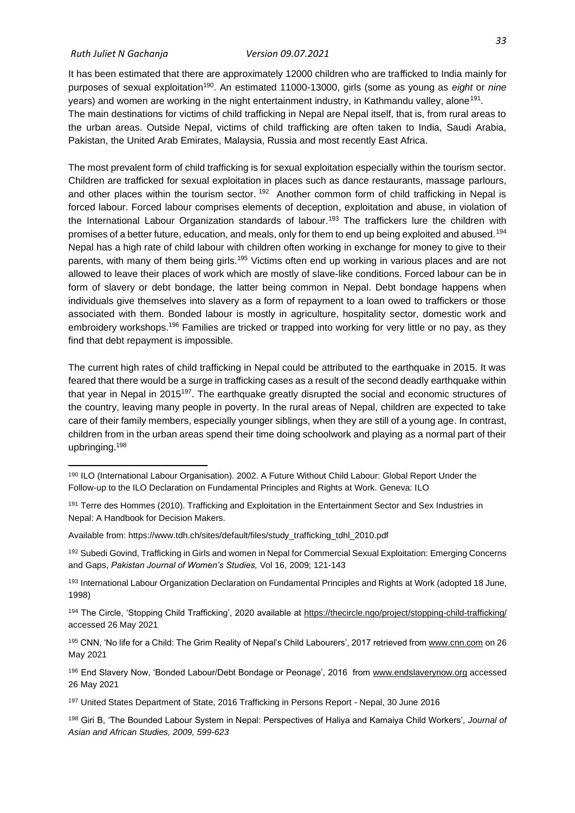#### *Ruth Juliet N Gachanja Version 09.07.2021*

It has been estimated that there are approximately 12000 children who are trafficked to India mainly for purposes of sexual exploitation<sup>190</sup>. An estimated 11000-13000, girls (some as young as *eight* or *nine* years) and women are working in the night entertainment industry, in Kathmandu valley, alone<sup>191</sup>. The main destinations for victims of child trafficking in Nepal are Nepal itself, that is, from rural areas to the urban areas. Outside Nepal, victims of child trafficking are often taken to India, Saudi Arabia, Pakistan, the United Arab Emirates, Malaysia, Russia and most recently East Africa.

The most prevalent form of child trafficking is for sexual exploitation especially within the tourism sector. Children are trafficked for sexual exploitation in places such as dance restaurants, massage parlours, and other places within the tourism sector. <sup>192</sup> Another common form of child trafficking in Nepal is forced labour. Forced labour comprises elements of deception, exploitation and abuse, in violation of the International Labour Organization standards of labour.<sup>193</sup> The traffickers lure the children with promises of a better future, education, and meals, only for them to end up being exploited and abused.<sup>194</sup> Nepal has a high rate of child labour with children often working in exchange for money to give to their parents, with many of them being girls.<sup>195</sup> Victims often end up working in various places and are not allowed to leave their places of work which are mostly of slave-like conditions. Forced labour can be in form of slavery or debt bondage, the latter being common in Nepal. Debt bondage happens when individuals give themselves into slavery as a form of repayment to a loan owed to traffickers or those associated with them. Bonded labour is mostly in agriculture, hospitality sector, domestic work and embroidery workshops.<sup>196</sup> Families are tricked or trapped into working for very little or no pay, as they find that debt repayment is impossible.

The current high rates of child trafficking in Nepal could be attributed to the earthquake in 2015. It was feared that there would be a surge in trafficking cases as a result of the second deadly earthquake within that year in Nepal in 2015<sup>197</sup>. The earthquake greatly disrupted the social and economic structures of the country, leaving many people in poverty. In the rural areas of Nepal, children are expected to take care of their family members, especially younger siblings, when they are still of a young age. In contrast, children from in the urban areas spend their time doing schoolwork and playing as a normal part of their upbringing.<sup>198</sup>

192 Subedi Govind, Trafficking in Girls and women in Nepal for Commercial Sexual Exploitation: Emerging Concerns and Gaps, *Pakistan Journal of Women's Studies,* Vol 16, 2009; 121-143

<sup>195</sup> CNN, 'No life for a Child: The Grim Reality of Nepal's Child Labourers', 2017 retrieved from [www.cnn.com](http://www.cnn.com/) on 26 May 2021

<sup>196</sup> End Slavery Now, 'Bonded Labour/Debt Bondage or Peonage', 2016 from [www.endslaverynow.org](http://www.endslaverynow.org/) accessed 26 May 2021

<sup>198</sup> Giri B, 'The Bounded Labour System in Nepal: Perspectives of Haliya and Kamaiya Child Workers'*, Journal of Asian and African Studies, 2009, 599-623*

<sup>190</sup> ILO (International Labour Organisation). 2002. A Future Without Child Labour: Global Report Under the Follow-up to the ILO Declaration on Fundamental Principles and Rights at Work. Geneva: ILO

<sup>191</sup> Terre des Hommes (2010). Trafficking and Exploitation in the Entertainment Sector and Sex Industries in Nepal: A Handbook for Decision Makers.

Available from: https://www.tdh.ch/sites/default/files/study\_trafficking\_tdhl\_2010.pdf

<sup>193</sup> International Labour Organization Declaration on Fundamental Principles and Rights at Work (adopted 18 June, 1998)

<sup>194</sup> The Circle, 'Stopping Child Trafficking', 2020 available at<https://thecircle.ngo/project/stopping-child-trafficking/> accessed 26 May 2021

<sup>197</sup> United States Department of State, 2016 Trafficking in Persons Report - Nepal, 30 June 2016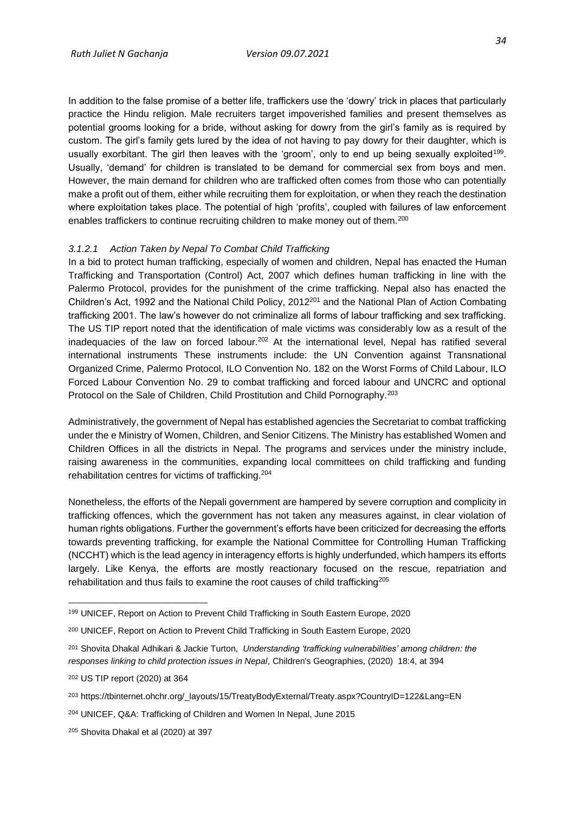In addition to the false promise of a better life, traffickers use the 'dowry' trick in places that particularly practice the Hindu religion. Male recruiters target impoverished families and present themselves as potential grooms looking for a bride, without asking for dowry from the girl's family as is required by custom. The girl's family gets lured by the idea of not having to pay dowry for their daughter, which is usually exorbitant. The girl then leaves with the 'groom', only to end up being sexually exploited<sup>199</sup>. Usually, 'demand' for children is translated to be demand for commercial sex from boys and men. However, the main demand for children who are trafficked often comes from those who can potentially make a profit out of them, either while recruiting them for exploitation, or when they reach the destination where exploitation takes place. The potential of high 'profits', coupled with failures of law enforcement enables traffickers to continue recruiting children to make money out of them.<sup>200</sup>

#### *3.1.2.1 Action Taken by Nepal To Combat Child Trafficking*

In a bid to protect human trafficking, especially of women and children, Nepal has enacted the Human Trafficking and Transportation (Control) Act, 2007 which defines human trafficking in line with the Palermo Protocol, provides for the punishment of the crime trafficking. Nepal also has enacted the Children's Act, 1992 and the National Child Policy, 2012<sup>201</sup> and the National Plan of Action Combating trafficking 2001. The law's however do not criminalize all forms of labour trafficking and sex trafficking. The US TIP report noted that the identification of male victims was considerably low as a result of the inadequacies of the law on forced labour.<sup>202</sup> At the international level, Nepal has ratified several international instruments These instruments include: the UN Convention against Transnational Organized Crime, Palermo Protocol, ILO Convention No. 182 on the Worst Forms of Child Labour, ILO Forced Labour Convention No. 29 to combat trafficking and forced labour and UNCRC and optional Protocol on the Sale of Children, Child Prostitution and Child Pornography.<sup>203</sup>

Administratively, the government of Nepal has established agencies the Secretariat to combat trafficking under the e Ministry of Women, Children, and Senior Citizens. The Ministry has established Women and Children Offices in all the districts in Nepal. The programs and services under the ministry include, raising awareness in the communities, expanding local committees on child trafficking and funding rehabilitation centres for victims of trafficking.<sup>204</sup>

Nonetheless, the efforts of the Nepali government are hampered by severe corruption and complicity in trafficking offences, which the government has not taken any measures against, in clear violation of human rights obligations. Further the government's efforts have been criticized for decreasing the efforts towards preventing trafficking, for example the National Committee for Controlling Human Trafficking (NCCHT) which is the lead agency in interagency efforts is highly underfunded, which hampers its efforts largely. Like Kenya, the efforts are mostly reactionary focused on the rescue, repatriation and rehabilitation and thus fails to examine the root causes of child trafficking<sup>205</sup>

<sup>199</sup> UNICEF, Report on Action to Prevent Child Trafficking in South Eastern Europe, 2020

<sup>200</sup> UNICEF, Report on Action to Prevent Child Trafficking in South Eastern Europe, 2020

<sup>201</sup> Shovita Dhakal Adhikari & Jackie Turton, *Understanding 'trafficking vulnerabilities' among children: the responses linking to child protection issues in Nepal*, Children's Geographies, (2020) 18:4, at 394

<sup>202</sup> US TIP report (2020) at 364

<sup>203</sup> https://tbinternet.ohchr.org/\_layouts/15/TreatyBodyExternal/Treaty.aspx?CountryID=122&Lang=EN

<sup>204</sup> UNICEF, Q&A: Trafficking of Children and Women In Nepal, June 2015

<sup>205</sup> Shovita Dhakal et al (2020) at 397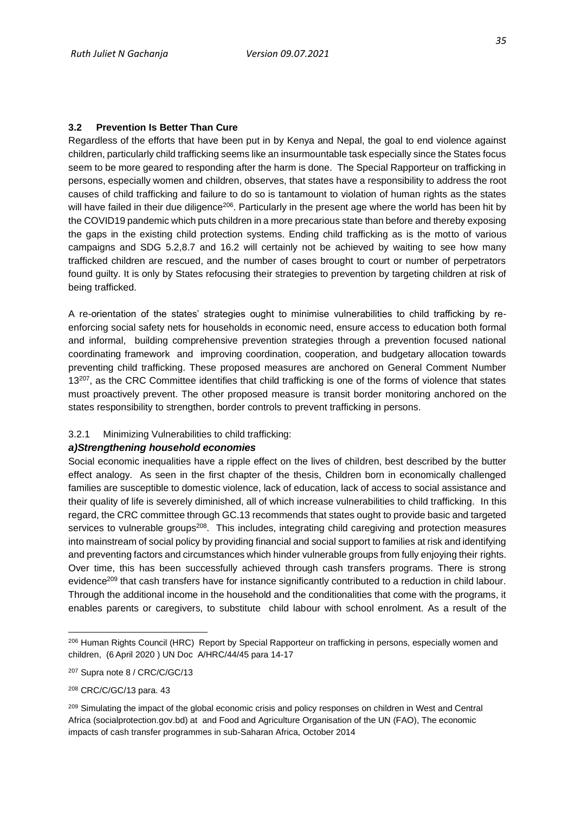## <span id="page-44-0"></span>**3.2 Prevention Is Better Than Cure**

Regardless of the efforts that have been put in by Kenya and Nepal, the goal to end violence against children, particularly child trafficking seems like an insurmountable task especially since the States focus seem to be more geared to responding after the harm is done. The Special Rapporteur on trafficking in persons, especially women and children, observes, that states have a responsibility to address the root causes of child trafficking and failure to do so is tantamount to violation of human rights as the states will have failed in their due diligence<sup>206</sup>. Particularly in the present age where the world has been hit by the COVID19 pandemic which puts children in a more precarious state than before and thereby exposing the gaps in the existing child protection systems. Ending child trafficking as is the motto of various campaigns and SDG 5.2,8.7 and 16.2 will certainly not be achieved by waiting to see how many trafficked children are rescued, and the number of cases brought to court or number of perpetrators found guilty. It is only by States refocusing their strategies to prevention by targeting children at risk of being trafficked.

A re-orientation of the states' strategies ought to minimise vulnerabilities to child trafficking by reenforcing social safety nets for households in economic need, ensure access to education both formal and informal, building comprehensive prevention strategies through a prevention focused national coordinating framework and improving coordination, cooperation, and budgetary allocation towards preventing child trafficking. These proposed measures are anchored on General Comment Number 13<sup>207</sup>, as the CRC Committee identifies that child trafficking is one of the forms of violence that states must proactively prevent. The other proposed measure is transit border monitoring anchored on the states responsibility to strengthen, border controls to prevent trafficking in persons.

#### <span id="page-44-1"></span>3.2.1 Minimizing Vulnerabilities to child trafficking:

### *a)Strengthening household economies*

Social economic inequalities have a ripple effect on the lives of children, best described by the butter effect analogy. As seen in the first chapter of the thesis, Children born in economically challenged families are susceptible to domestic violence, lack of education, lack of access to social assistance and their quality of life is severely diminished, all of which increase vulnerabilities to child trafficking. In this regard, the CRC committee through GC.13 recommends that states ought to provide basic and targeted services to vulnerable groups<sup>208</sup>. This includes, integrating child caregiving and protection measures into mainstream of social policy by providing financial and social support to families at risk and identifying and preventing factors and circumstances which hinder vulnerable groups from fully enjoying their rights. Over time, this has been successfully achieved through cash transfers programs. There is strong evidence<sup>209</sup> that cash transfers have for instance significantly contributed to a reduction in child labour. Through the additional income in the household and the conditionalities that come with the programs, it enables parents or caregivers, to substitute child labour with school enrolment. As a result of the

<sup>206</sup> Human Rights Council (HRC) Report by Special Rapporteur on trafficking in persons, especially women and children, (6 April 2020 ) UN Doc A/HRC/44/45 para 14-17

<sup>207</sup> Supra note 8 / CRC/C/GC/13

<sup>208</sup> CRC/C/GC/13 para. 43

<sup>&</sup>lt;sup>209</sup> Simulating the impact of the global economic crisis and policy responses on children in West and Central Africa (socialprotection.gov.bd) at and Food and Agriculture Organisation of the UN (FAO), The economic impacts of cash transfer programmes in sub-Saharan Africa, October 2014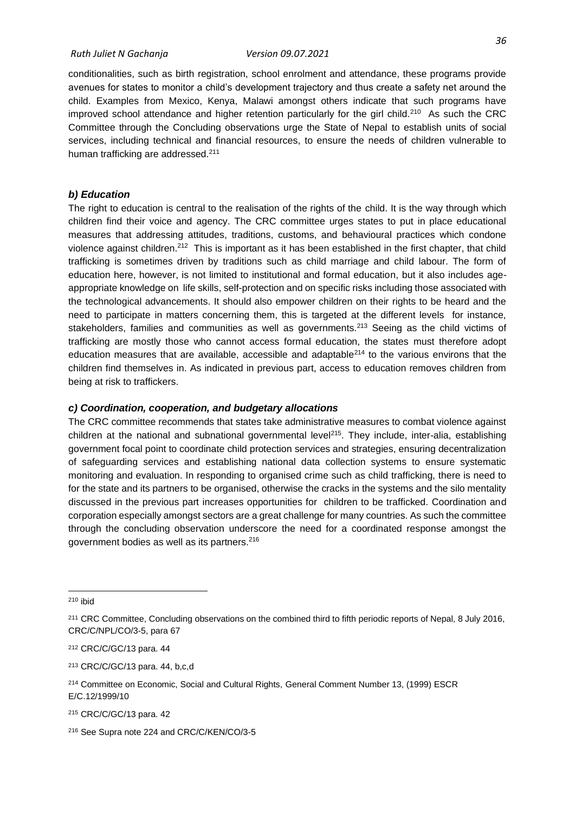conditionalities, such as birth registration, school enrolment and attendance, these programs provide avenues for states to monitor a child's development trajectory and thus create a safety net around the child. Examples from Mexico, Kenya, Malawi amongst others indicate that such programs have improved school attendance and higher retention particularly for the girl child.<sup>210</sup> As such the CRC Committee through the Concluding observations urge the State of Nepal to establish units of social services, including technical and financial resources, to ensure the needs of children vulnerable to human trafficking are addressed.<sup>211</sup>

### *b) Education*

The right to education is central to the realisation of the rights of the child. It is the way through which children find their voice and agency. The CRC committee urges states to put in place educational measures that addressing attitudes, traditions, customs, and behavioural practices which condone violence against children.<sup>212</sup> This is important as it has been established in the first chapter, that child trafficking is sometimes driven by traditions such as child marriage and child labour. The form of education here, however, is not limited to institutional and formal education, but it also includes ageappropriate knowledge on life skills, self-protection and on specific risks including those associated with the technological advancements. It should also empower children on their rights to be heard and the need to participate in matters concerning them, this is targeted at the different levels for instance, stakeholders, families and communities as well as governments.<sup>213</sup> Seeing as the child victims of trafficking are mostly those who cannot access formal education, the states must therefore adopt education measures that are available, accessible and adaptable<sup>214</sup> to the various environs that the children find themselves in. As indicated in previous part, access to education removes children from being at risk to traffickers.

## *c) Coordination, cooperation, and budgetary allocations*

The CRC committee recommends that states take administrative measures to combat violence against children at the national and subnational governmental level<sup>215</sup>. They include, inter-alia, establishing government focal point to coordinate child protection services and strategies, ensuring decentralization of safeguarding services and establishing national data collection systems to ensure systematic monitoring and evaluation. In responding to organised crime such as child trafficking, there is need to for the state and its partners to be organised, otherwise the cracks in the systems and the silo mentality discussed in the previous part increases opportunities for children to be trafficked. Coordination and corporation especially amongst sectors are a great challenge for many countries. As such the committee through the concluding observation underscore the need for a coordinated response amongst the government bodies as well as its partners.<sup>216</sup>

<sup>210</sup> ibid

<sup>211</sup> CRC Committee, Concluding observations on the combined third to fifth periodic reports of Nepal, 8 July 2016, CRC/C/NPL/CO/3-5, para 67

<sup>212</sup> CRC/C/GC/13 para. 44

<sup>213</sup> CRC/C/GC/13 para. 44, b,c,d

<sup>214</sup> Committee on Economic, Social and Cultural Rights, General Comment Number 13, (1999) ESCR E/C.12/1999/10

<sup>215</sup> CRC/C/GC/13 para. 42

<sup>216</sup> See Supra note 224 and CRC/C/KEN/CO/3-5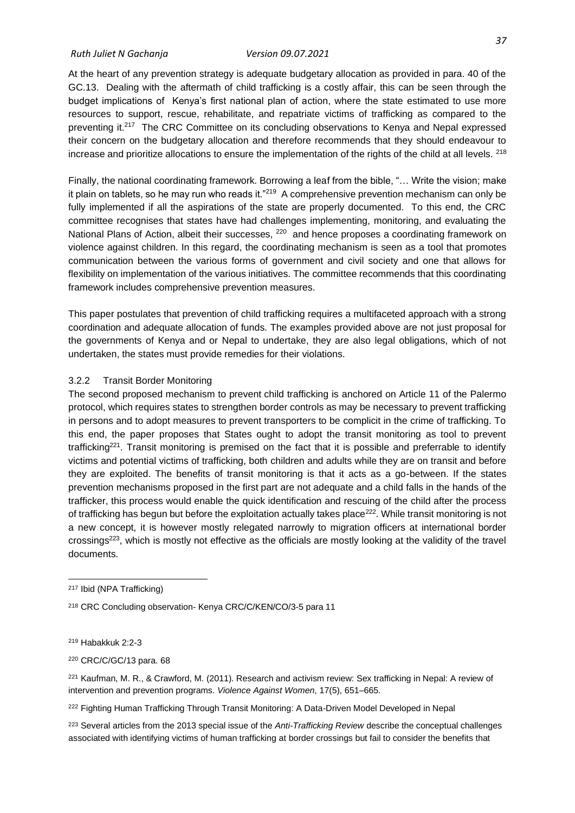#### *Ruth Juliet N Gachanja Version 09.07.2021*

At the heart of any prevention strategy is adequate budgetary allocation as provided in para. 40 of the GC.13. Dealing with the aftermath of child trafficking is a costly affair, this can be seen through the budget implications of Kenya's first national plan of action, where the state estimated to use more resources to support, rescue, rehabilitate, and repatriate victims of trafficking as compared to the preventing it.<sup>217</sup> The CRC Committee on its concluding observations to Kenya and Nepal expressed their concern on the budgetary allocation and therefore recommends that they should endeavour to increase and prioritize allocations to ensure the implementation of the rights of the child at all levels.  $218$ 

Finally, the national coordinating framework. Borrowing a leaf from the bible, "… Write the vision; make it plain on tablets, so he may run who reads it."<sup>219</sup> A comprehensive prevention mechanism can only be fully implemented if all the aspirations of the state are properly documented. To this end, the CRC committee recognises that states have had challenges implementing, monitoring, and evaluating the National Plans of Action, albeit their successes, <sup>220</sup> and hence proposes a coordinating framework on violence against children. In this regard, the coordinating mechanism is seen as a tool that promotes communication between the various forms of government and civil society and one that allows for flexibility on implementation of the various initiatives. The committee recommends that this coordinating framework includes comprehensive prevention measures.

This paper postulates that prevention of child trafficking requires a multifaceted approach with a strong coordination and adequate allocation of funds. The examples provided above are not just proposal for the governments of Kenya and or Nepal to undertake, they are also legal obligations, which of not undertaken, the states must provide remedies for their violations.

#### <span id="page-46-0"></span>3.2.2 Transit Border Monitoring

The second proposed mechanism to prevent child trafficking is anchored on Article 11 of the Palermo protocol, which requires states to strengthen border controls as may be necessary to prevent trafficking in persons and to adopt measures to prevent transporters to be complicit in the crime of trafficking. To this end, the paper proposes that States ought to adopt the transit monitoring as tool to prevent trafficking<sup>221</sup>. Transit monitoring is premised on the fact that it is possible and preferrable to identify victims and potential victims of trafficking, both children and adults while they are on transit and before they are exploited. The benefits of transit monitoring is that it acts as a go-between. If the states prevention mechanisms proposed in the first part are not adequate and a child falls in the hands of the trafficker, this process would enable the quick identification and rescuing of the child after the process of trafficking has begun but before the exploitation actually takes place<sup>222</sup>. While transit monitoring is not a new concept, it is however mostly relegated narrowly to migration officers at international border crossings<sup>223</sup>, which is mostly not effective as the officials are mostly looking at the validity of the travel documents.

<sup>219</sup> Habakkuk 2:2-3

<sup>222</sup> Fighting Human Trafficking Through Transit Monitoring: A Data-Driven Model Developed in Nepal

<sup>223</sup> Several articles from the 2013 special issue of the *Anti-Trafficking Review* describe the conceptual challenges associated with identifying victims of human trafficking at border crossings but fail to consider the benefits that

<sup>217</sup> Ibid (NPA Trafficking)

<sup>218</sup> CRC Concluding observation- Kenya CRC/C/KEN/CO/3-5 para 11

<sup>220</sup> CRC/C/GC/13 para. 68

<sup>221</sup> Kaufman, M. R., & Crawford, M. (2011). Research and activism review: Sex trafficking in Nepal: A review of intervention and prevention programs. *Violence Against Women*, 17(5), 651–665.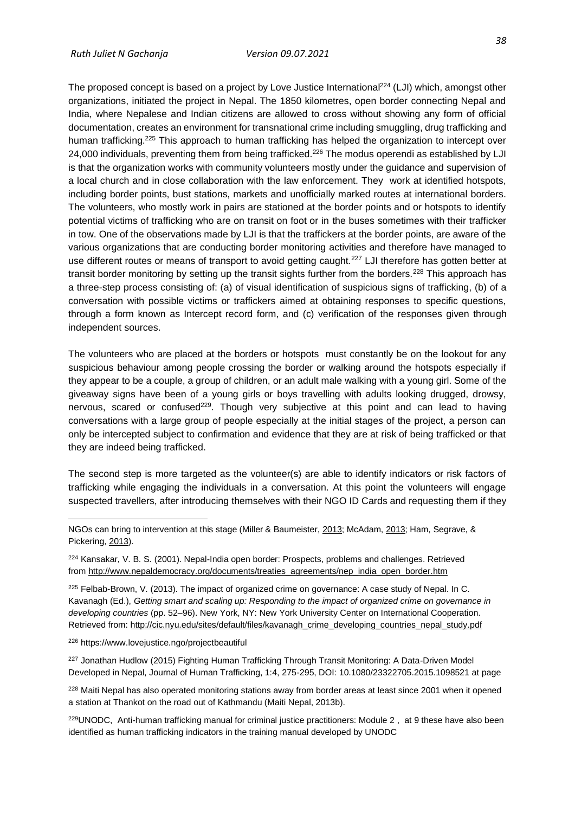The proposed concept is based on a project by Love Justice International<sup>224</sup> (LJI) which, amongst other organizations, initiated the project in Nepal. The 1850 kilometres, open border connecting Nepal and India, where Nepalese and Indian citizens are allowed to cross without showing any form of official documentation, creates an environment for transnational crime including smuggling, drug trafficking and human trafficking.<sup>225</sup> This approach to human trafficking has helped the organization to intercept over 24,000 individuals, preventing them from being trafficked.<sup>226</sup> The modus operendi as established by LJI is that the organization works with community volunteers mostly under the guidance and supervision of a local church and in close collaboration with the law enforcement. They work at identified hotspots, including border points, bust stations, markets and unofficially marked routes at international borders. The volunteers, who mostly work in pairs are stationed at the border points and or hotspots to identify potential victims of trafficking who are on transit on foot or in the buses sometimes with their trafficker in tow. One of the observations made by LJI is that the traffickers at the border points, are aware of the various organizations that are conducting border monitoring activities and therefore have managed to use different routes or means of transport to avoid getting caught.<sup>227</sup> LJI therefore has gotten better at transit border monitoring by setting up the transit sights further from the borders.<sup>228</sup> This approach has a three-step process consisting of: (a) of visual identification of suspicious signs of trafficking, (b) of a conversation with possible victims or traffickers aimed at obtaining responses to specific questions, through a form known as Intercept record form, and (c) verification of the responses given through independent sources.

The volunteers who are placed at the borders or hotspots must constantly be on the lookout for any suspicious behaviour among people crossing the border or walking around the hotspots especially if they appear to be a couple, a group of children, or an adult male walking with a young girl. Some of the giveaway signs have been of a young girls or boys travelling with adults looking drugged, drowsy, nervous, scared or confused<sup>229</sup>. Though very subjective at this point and can lead to having conversations with a large group of people especially at the initial stages of the project, a person can only be intercepted subject to confirmation and evidence that they are at risk of being trafficked or that they are indeed being trafficked.

The second step is more targeted as the volunteer(s) are able to identify indicators or risk factors of trafficking while engaging the individuals in a conversation. At this point the volunteers will engage suspected travellers, after introducing themselves with their NGO ID Cards and requesting them if they

#### <sup>226</sup> https://www.lovejustice.ngo/projectbeautiful

<sup>227</sup> Jonathan Hudlow (2015) Fighting Human Trafficking Through Transit Monitoring: A Data-Driven Model Developed in Nepal, Journal of Human Trafficking, 1:4, 275-295, DOI: 10.1080/23322705.2015.1098521 at page

<sup>228</sup> Maiti Nepal has also operated monitoring stations away from border areas at least since 2001 when it opened a station at Thankot on the road out of Kathmandu (Maiti Nepal, 2013b).

229UNODC, Anti-human trafficking manual for criminal justice practitioners: Module 2, at 9 these have also been identified as human trafficking indicators in the training manual developed by UNODC

NGOs can bring to intervention at this stage (Miller & Baumeister, [2013;](https://www.tandfonline.com/doi/full/10.1080/23322705.2015.1098521) McAdam, [2013;](https://www.tandfonline.com/doi/full/10.1080/23322705.2015.1098521) Ham, Segrave, & Pickering, [2013\)](https://www.tandfonline.com/doi/full/10.1080/23322705.2015.1098521).

<sup>224</sup> Kansakar, V. B. S. (2001). Nepal-India open border: Prospects, problems and challenges. Retrieved from [http://www.nepaldemocracy.org/documents/treaties\\_agreements/nep\\_india\\_open\\_border.htm](http://www.nepaldemocracy.org/documents/treaties_agreements/nep_india_open_border.htm)

<sup>225</sup> Felbab-Brown, V. (2013). The impact of organized crime on governance: A case study of Nepal. In C. Kavanagh (Ed.), *Getting smart and scaling up: Responding to the impact of organized crime on governance in developing countries* (pp. 52–96). New York, NY: New York University Center on International Cooperation. Retrieved from: [http://cic.nyu.edu/sites/default/files/kavanagh\\_crime\\_developing\\_countries\\_nepal\\_study.pdf](http://cic.nyu.edu/sites/default/files/kavanagh_crime_developing_countries_nepal_study.pdf)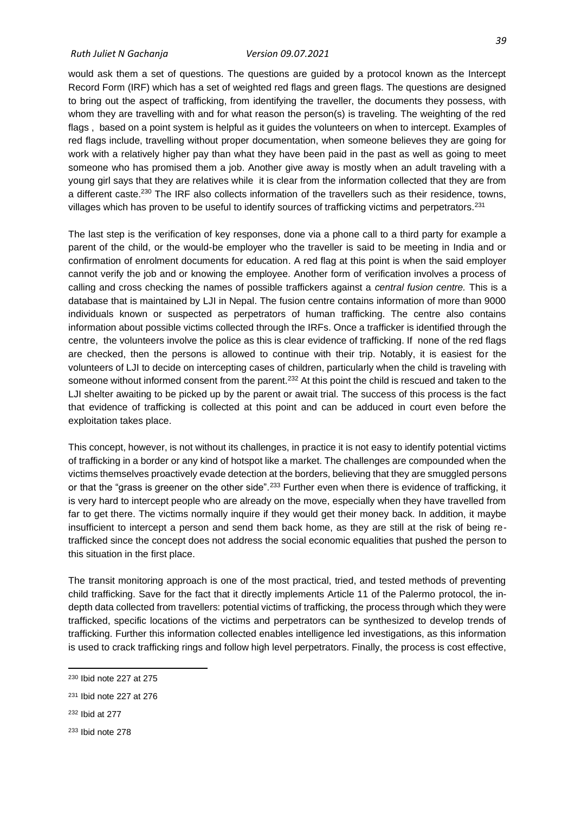would ask them a set of questions. The questions are guided by a protocol known as the Intercept Record Form (IRF) which has a set of weighted red flags and green flags. The questions are designed to bring out the aspect of trafficking, from identifying the traveller, the documents they possess, with whom they are travelling with and for what reason the person(s) is traveling. The weighting of the red flags , based on a point system is helpful as it guides the volunteers on when to intercept. Examples of red flags include, travelling without proper documentation, when someone believes they are going for work with a relatively higher pay than what they have been paid in the past as well as going to meet someone who has promised them a job. Another give away is mostly when an adult traveling with a young girl says that they are relatives while it is clear from the information collected that they are from a different caste.<sup>230</sup> The IRF also collects information of the travellers such as their residence, towns, villages which has proven to be useful to identify sources of trafficking victims and perpetrators.<sup>231</sup>

The last step is the verification of key responses, done via a phone call to a third party for example a parent of the child, or the would-be employer who the traveller is said to be meeting in India and or confirmation of enrolment documents for education. A red flag at this point is when the said employer cannot verify the job and or knowing the employee. Another form of verification involves a process of calling and cross checking the names of possible traffickers against a *central fusion centre.* This is a database that is maintained by LJI in Nepal. The fusion centre contains information of more than 9000 individuals known or suspected as perpetrators of human trafficking. The centre also contains information about possible victims collected through the IRFs. Once a trafficker is identified through the centre, the volunteers involve the police as this is clear evidence of trafficking. If none of the red flags are checked, then the persons is allowed to continue with their trip. Notably, it is easiest for the volunteers of LJI to decide on intercepting cases of children, particularly when the child is traveling with someone without informed consent from the parent.<sup>232</sup> At this point the child is rescued and taken to the LJI shelter awaiting to be picked up by the parent or await trial. The success of this process is the fact that evidence of trafficking is collected at this point and can be adduced in court even before the exploitation takes place.

This concept, however, is not without its challenges, in practice it is not easy to identify potential victims of trafficking in a border or any kind of hotspot like a market. The challenges are compounded when the victims themselves proactively evade detection at the borders, believing that they are smuggled persons or that the "grass is greener on the other side".<sup>233</sup> Further even when there is evidence of trafficking, it is very hard to intercept people who are already on the move, especially when they have travelled from far to get there. The victims normally inquire if they would get their money back. In addition, it maybe insufficient to intercept a person and send them back home, as they are still at the risk of being retrafficked since the concept does not address the social economic equalities that pushed the person to this situation in the first place.

The transit monitoring approach is one of the most practical, tried, and tested methods of preventing child trafficking. Save for the fact that it directly implements Article 11 of the Palermo protocol, the indepth data collected from travellers: potential victims of trafficking, the process through which they were trafficked, specific locations of the victims and perpetrators can be synthesized to develop trends of trafficking. Further this information collected enables intelligence led investigations, as this information is used to crack trafficking rings and follow high level perpetrators. Finally, the process is cost effective,

<sup>230</sup> Ibid note 227 at 275

<sup>231</sup> Ibid note 227 at 276

<sup>232</sup> Ibid at 277

<sup>233</sup> Ibid note 278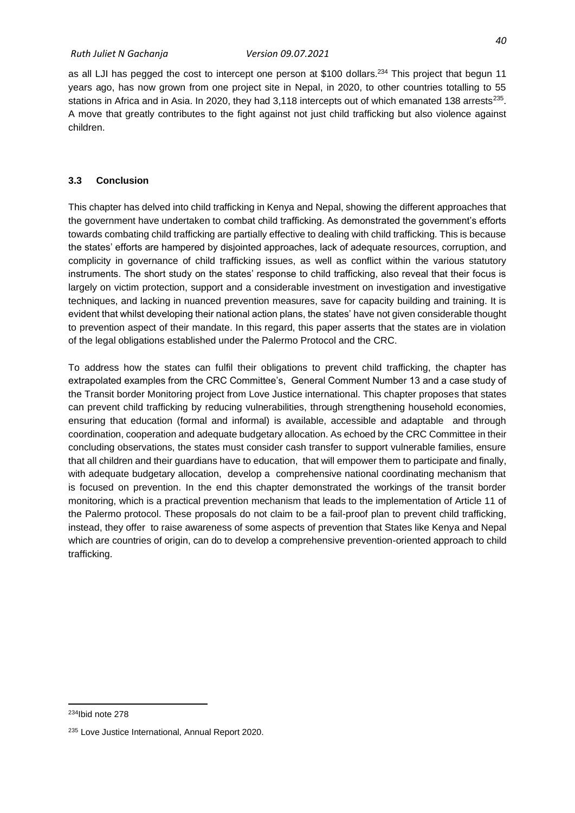as all LJI has pegged the cost to intercept one person at \$100 dollars.<sup>234</sup> This project that begun 11 years ago, has now grown from one project site in Nepal, in 2020, to other countries totalling to 55 stations in Africa and in Asia. In 2020, they had 3,118 intercepts out of which emanated 138 arrests<sup>235</sup>. A move that greatly contributes to the fight against not just child trafficking but also violence against

### <span id="page-49-0"></span>**3.3 Conclusion**

children.

This chapter has delved into child trafficking in Kenya and Nepal, showing the different approaches that the government have undertaken to combat child trafficking. As demonstrated the government's efforts towards combating child trafficking are partially effective to dealing with child trafficking. This is because the states' efforts are hampered by disjointed approaches, lack of adequate resources, corruption, and complicity in governance of child trafficking issues, as well as conflict within the various statutory instruments. The short study on the states' response to child trafficking, also reveal that their focus is largely on victim protection, support and a considerable investment on investigation and investigative techniques, and lacking in nuanced prevention measures, save for capacity building and training. It is evident that whilst developing their national action plans, the states' have not given considerable thought to prevention aspect of their mandate. In this regard, this paper asserts that the states are in violation of the legal obligations established under the Palermo Protocol and the CRC.

To address how the states can fulfil their obligations to prevent child trafficking, the chapter has extrapolated examples from the CRC Committee's, General Comment Number 13 and a case study of the Transit border Monitoring project from Love Justice international. This chapter proposes that states can prevent child trafficking by reducing vulnerabilities, through strengthening household economies, ensuring that education (formal and informal) is available, accessible and adaptable and through coordination, cooperation and adequate budgetary allocation. As echoed by the CRC Committee in their concluding observations, the states must consider cash transfer to support vulnerable families, ensure that all children and their guardians have to education, that will empower them to participate and finally, with adequate budgetary allocation, develop a comprehensive national coordinating mechanism that is focused on prevention. In the end this chapter demonstrated the workings of the transit border monitoring, which is a practical prevention mechanism that leads to the implementation of Article 11 of the Palermo protocol. These proposals do not claim to be a fail-proof plan to prevent child trafficking, instead, they offer to raise awareness of some aspects of prevention that States like Kenya and Nepal which are countries of origin, can do to develop a comprehensive prevention-oriented approach to child trafficking.

<sup>234</sup>Ibid note 278

<sup>235</sup> Love Justice International, Annual Report 2020.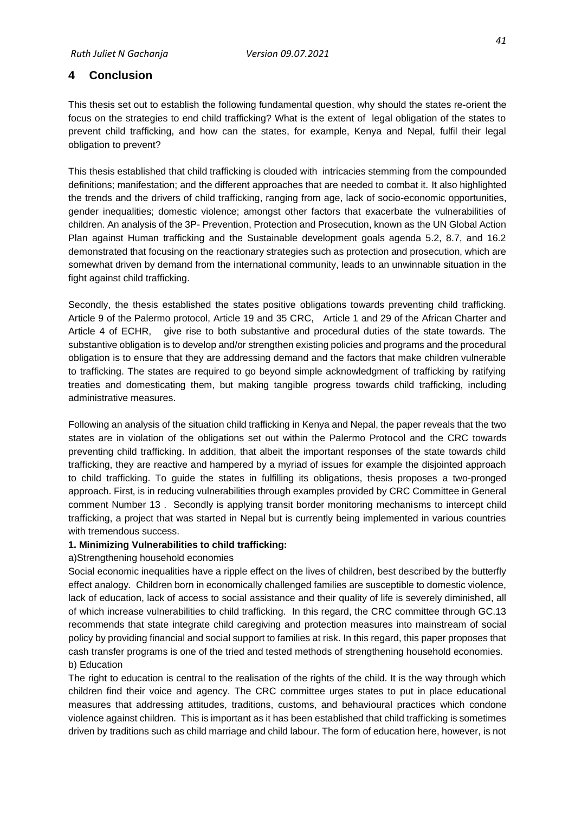## <span id="page-50-0"></span>**4 Conclusion**

This thesis set out to establish the following fundamental question, why should the states re-orient the focus on the strategies to end child trafficking? What is the extent of legal obligation of the states to prevent child trafficking, and how can the states, for example, Kenya and Nepal, fulfil their legal obligation to prevent?

This thesis established that child trafficking is clouded with intricacies stemming from the compounded definitions; manifestation; and the different approaches that are needed to combat it. It also highlighted the trends and the drivers of child trafficking, ranging from age, lack of socio-economic opportunities, gender inequalities; domestic violence; amongst other factors that exacerbate the vulnerabilities of children. An analysis of the 3P- Prevention, Protection and Prosecution, known as the UN Global Action Plan against Human trafficking and the Sustainable development goals agenda 5.2, 8.7, and 16.2 demonstrated that focusing on the reactionary strategies such as protection and prosecution, which are somewhat driven by demand from the international community, leads to an unwinnable situation in the fight against child trafficking.

Secondly, the thesis established the states positive obligations towards preventing child trafficking. Article 9 of the Palermo protocol, Article 19 and 35 CRC, Article 1 and 29 of the African Charter and Article 4 of ECHR, give rise to both substantive and procedural duties of the state towards. The substantive obligation is to develop and/or strengthen existing policies and programs and the procedural obligation is to ensure that they are addressing demand and the factors that make children vulnerable to trafficking. The states are required to go beyond simple acknowledgment of trafficking by ratifying treaties and domesticating them, but making tangible progress towards child trafficking, including administrative measures.

Following an analysis of the situation child trafficking in Kenya and Nepal, the paper reveals that the two states are in violation of the obligations set out within the Palermo Protocol and the CRC towards preventing child trafficking. In addition, that albeit the important responses of the state towards child trafficking, they are reactive and hampered by a myriad of issues for example the disjointed approach to child trafficking. To guide the states in fulfilling its obligations, thesis proposes a two-pronged approach. First, is in reducing vulnerabilities through examples provided by CRC Committee in General comment Number 13 . Secondly is applying transit border monitoring mechanisms to intercept child trafficking, a project that was started in Nepal but is currently being implemented in various countries with tremendous success.

## **1. Minimizing Vulnerabilities to child trafficking:**

## a)Strengthening household economies

Social economic inequalities have a ripple effect on the lives of children, best described by the butterfly effect analogy. Children born in economically challenged families are susceptible to domestic violence, lack of education, lack of access to social assistance and their quality of life is severely diminished, all of which increase vulnerabilities to child trafficking. In this regard, the CRC committee through GC.13 recommends that state integrate child caregiving and protection measures into mainstream of social policy by providing financial and social support to families at risk. In this regard, this paper proposes that cash transfer programs is one of the tried and tested methods of strengthening household economies. b) Education

The right to education is central to the realisation of the rights of the child. It is the way through which children find their voice and agency. The CRC committee urges states to put in place educational measures that addressing attitudes, traditions, customs, and behavioural practices which condone violence against children. This is important as it has been established that child trafficking is sometimes driven by traditions such as child marriage and child labour. The form of education here, however, is not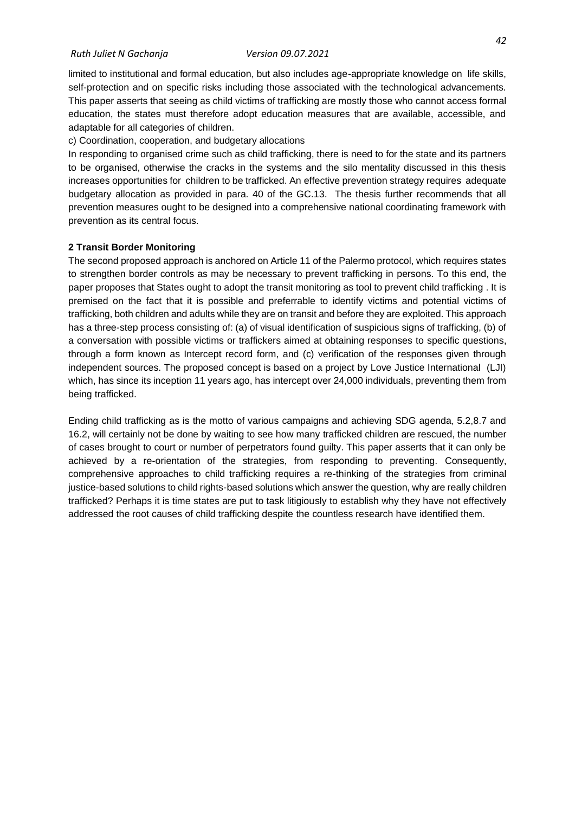#### *Ruth Juliet N Gachanja Version 09.07.2021*

limited to institutional and formal education, but also includes age-appropriate knowledge on life skills, self-protection and on specific risks including those associated with the technological advancements. This paper asserts that seeing as child victims of trafficking are mostly those who cannot access formal education, the states must therefore adopt education measures that are available, accessible, and adaptable for all categories of children.

c) Coordination, cooperation, and budgetary allocations

In responding to organised crime such as child trafficking, there is need to for the state and its partners to be organised, otherwise the cracks in the systems and the silo mentality discussed in this thesis increases opportunities for children to be trafficked. An effective prevention strategy requires adequate budgetary allocation as provided in para. 40 of the GC.13. The thesis further recommends that all prevention measures ought to be designed into a comprehensive national coordinating framework with prevention as its central focus.

### **2 Transit Border Monitoring**

The second proposed approach is anchored on Article 11 of the Palermo protocol, which requires states to strengthen border controls as may be necessary to prevent trafficking in persons. To this end, the paper proposes that States ought to adopt the transit monitoring as tool to prevent child trafficking . It is premised on the fact that it is possible and preferrable to identify victims and potential victims of trafficking, both children and adults while they are on transit and before they are exploited. This approach has a three-step process consisting of: (a) of visual identification of suspicious signs of trafficking, (b) of a conversation with possible victims or traffickers aimed at obtaining responses to specific questions, through a form known as Intercept record form, and (c) verification of the responses given through independent sources. The proposed concept is based on a project by Love Justice International (LJI) which, has since its inception 11 years ago, has intercept over 24,000 individuals, preventing them from being trafficked.

Ending child trafficking as is the motto of various campaigns and achieving SDG agenda, 5.2,8.7 and 16.2, will certainly not be done by waiting to see how many trafficked children are rescued, the number of cases brought to court or number of perpetrators found guilty. This paper asserts that it can only be achieved by a re-orientation of the strategies, from responding to preventing. Consequently, comprehensive approaches to child trafficking requires a re-thinking of the strategies from criminal justice-based solutions to child rights-based solutions which answer the question, why are really children trafficked? Perhaps it is time states are put to task litigiously to establish why they have not effectively addressed the root causes of child trafficking despite the countless research have identified them.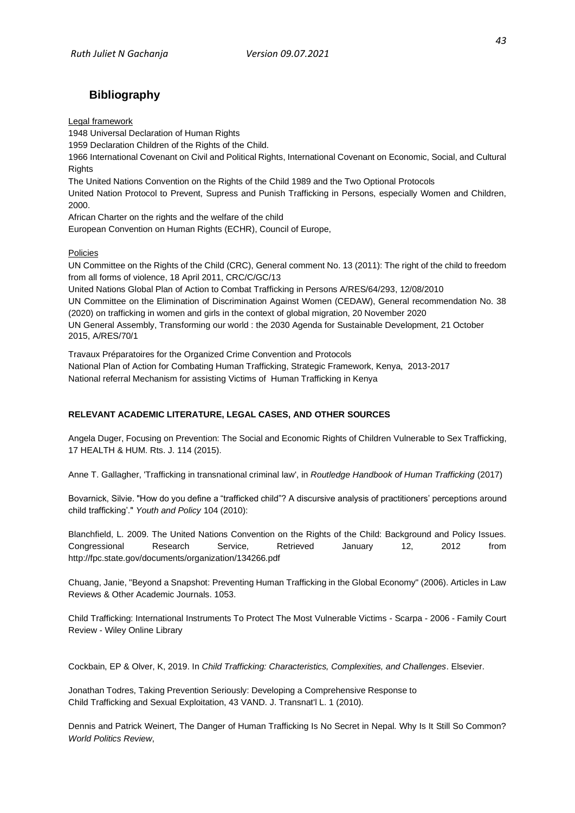## <span id="page-52-0"></span>**Bibliography**

Legal framework

1948 Universal Declaration of Human Rights

1959 Declaration Children of the Rights of the Child.

1966 International Covenant on Civil and Political Rights, International Covenant on Economic, Social, and Cultural **Rights** 

The United Nations Convention on the Rights of the Child 1989 and the Two Optional Protocols

United Nation Protocol to Prevent, Supress and Punish Trafficking in Persons, especially Women and Children, 2000.

African Charter on the rights and the welfare of the child

European Convention on Human Rights (ECHR), Council of Europe,

Policies

UN Committee on the Rights of the Child (CRC), General comment No. 13 (2011): The right of the child to freedom from all forms of violence, 18 April 2011, CRC/C/GC/13

United Nations Global Plan of Action to Combat Trafficking in Persons A/RES/64/293, 12/08/2010 UN Committee on the Elimination of Discrimination Against Women (CEDAW), General recommendation No. 38 (2020) on trafficking in women and girls in the context of global migration, 20 November 2020 UN General Assembly, Transforming our world : the 2030 Agenda for Sustainable Development, 21 October 2015, A/RES/70/1

Travaux Préparatoires for the Organized Crime Convention and Protocols National Plan of Action for Combating Human Trafficking, Strategic Framework, Kenya, 2013-2017 National referral Mechanism for assisting Victims of Human Trafficking in Kenya

#### **RELEVANT ACADEMIC LITERATURE, LEGAL CASES, AND OTHER SOURCES**

Angela Duger, Focusing on Prevention: The Social and Economic Rights of Children Vulnerable to Sex Trafficking, 17 HEALTH & HUM. Rts. J. 114 (2015).

Anne T. Gallagher, 'Trafficking in transnational criminal law', in *Routledge Handbook of Human Trafficking* (2017)

Bovarnick, Silvie. "How do you define a "trafficked child"? A discursive analysis of practitioners' perceptions around child trafficking'." *Youth and Policy* 104 (2010):

Blanchfield, L. 2009. The United Nations Convention on the Rights of the Child: Background and Policy Issues. Congressional Research Service, Retrieved January 12, 2012 from <http://fpc.state.gov/documents/organization/134266.pdf>

Chuang, Janie, "Beyond a Snapshot: Preventing Human Trafficking in the Global Economy" (2006). Articles in Law Reviews & Other Academic Journals. 1053.

[Child Trafficking: International Instruments To Protect The Most Vulnerable Victims -](https://onlinelibrary.wiley.com/doi/full/10.1111/j.1744-1617.2006.00098.x?casa_token=doXzxSW2OAEAAAAA%3A-o_lX4NOfKkwOIoVeejS5V-P1Rb_jJFdkEOIAmxpfkngd3Tte-Zuyv6Zlhl-7pHpikIYZauhkmUYnqqH) Scarpa - 2006 - Family Court Review - [Wiley Online Library](https://onlinelibrary.wiley.com/doi/full/10.1111/j.1744-1617.2006.00098.x?casa_token=doXzxSW2OAEAAAAA%3A-o_lX4NOfKkwOIoVeejS5V-P1Rb_jJFdkEOIAmxpfkngd3Tte-Zuyv6Zlhl-7pHpikIYZauhkmUYnqqH)

Cockbain, EP & Olver, K, 2019. In *Child Trafficking: Characteristics, Complexities, and Challenges*. Elsevier.

Jonathan Todres, Taking Prevention Seriously: Developing a Comprehensive Response to Child Trafficking and Sexual Exploitation, 43 VAND. J. Transnat'l L. 1 (2010).

Dennis and Patrick Weinert, The Danger of Human Trafficking Is No Secret in Nepal. Why Is It Still So Common? *World Politics Review*,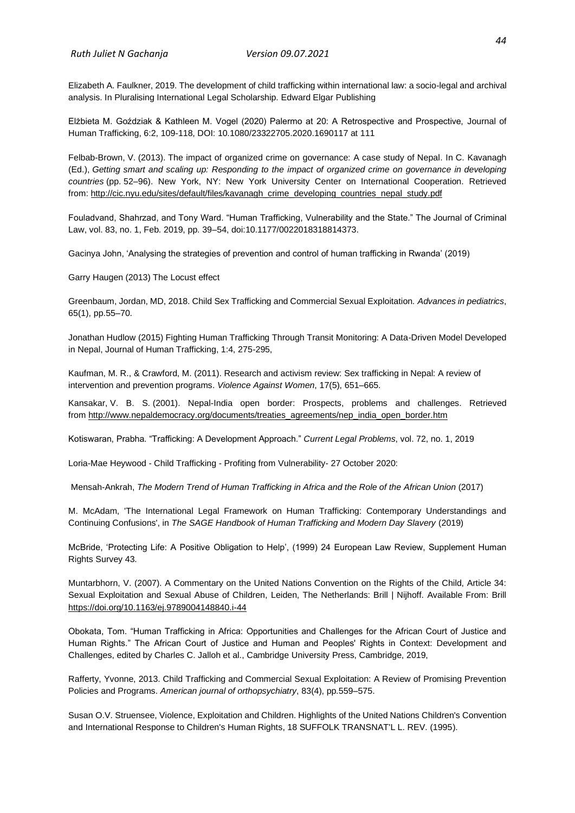*Ruth Juliet N Gachanja Version 09.07.2021*

Elizabeth A. Faulkner, 2019. The development of child trafficking within international law: a socio-legal and archival analysis. In Pluralising International Legal Scholarship. Edward Elgar Publishing

Elżbieta M. Goździak & Kathleen M. Vogel (2020) Palermo at 20: A Retrospective and Prospective, Journal of Human Trafficking, 6:2, 109-118, DOI: 10.1080/23322705.2020.1690117 at 111

Felbab-Brown, V. (2013). The impact of organized crime on governance: A case study of Nepal. In C. Kavanagh (Ed.), *Getting smart and scaling up: Responding to the impact of organized crime on governance in developing countries* (pp. 52–96). New York, NY: New York University Center on International Cooperation. Retrieved from: [http://cic.nyu.edu/sites/default/files/kavanagh\\_crime\\_developing\\_countries\\_nepal\\_study.pdf](http://cic.nyu.edu/sites/default/files/kavanagh_crime_developing_countries_nepal_study.pdf)

Fouladvand, Shahrzad, and Tony Ward. "Human Trafficking, Vulnerability and the State." The Journal of Criminal Law, vol. 83, no. 1, Feb. 2019, pp. 39–54, doi:10.1177/0022018318814373.

Gacinya John, 'Analysing the strategies of prevention and control of human trafficking in Rwanda' (2019)

Garry Haugen (2013) The Locust effect

Greenbaum, Jordan, MD, 2018. Child Sex Trafficking and Commercial Sexual Exploitation. *Advances in pediatrics*, 65(1), pp.55–70.

Jonathan Hudlow (2015) Fighting Human Trafficking Through Transit Monitoring: A Data-Driven Model Developed in Nepal, Journal of Human Trafficking, 1:4, 275-295,

Kaufman, M. R., & Crawford, M. (2011). Research and activism review: Sex trafficking in Nepal: A review of intervention and prevention programs. *Violence Against Women*, 17(5), 651–665.

Kansakar, V. B. S. (2001). Nepal-India open border: Prospects, problems and challenges. Retrieved from [http://www.nepaldemocracy.org/documents/treaties\\_agreements/nep\\_india\\_open\\_border.htm](http://www.nepaldemocracy.org/documents/treaties_agreements/nep_india_open_border.htm)

Kotiswaran, Prabha. "Trafficking: A Development Approach." *Current Legal Problems*, vol. 72, no. 1, 2019

Loria-Mae Heywood - Child Trafficking - Profiting from Vulnerability- 27 October 2020:

Mensah-Ankrah, *The Modern Trend of Human Trafficking in Africa and the Role of the African Union* (2017)

M. McAdam, 'The International Legal Framework on Human Trafficking: Contemporary Understandings and Continuing Confusions', in *The SAGE Handbook of Human Trafficking and Modern Day Slavery* (2019)

McBride, 'Protecting Life: A Positive Obligation to Help', (1999) 24 European Law Review, Supplement Human Rights Survey 43.

Muntarbhorn, V. (2007). A Commentary on the United Nations Convention on the Rights of the Child, Article 34: Sexual Exploitation and Sexual Abuse of Children, Leiden, The Netherlands: Brill | Nijhoff. Available From: Brill <https://doi.org/10.1163/ej.9789004148840.i-44>

Obokata, Tom. "Human Trafficking in Africa: Opportunities and Challenges for the African Court of Justice and Human Rights." The African Court of Justice and Human and Peoples' Rights in Context: Development and Challenges, edited by Charles C. Jalloh et al., Cambridge University Press, Cambridge, 2019,

Rafferty, Yvonne, 2013. Child Trafficking and Commercial Sexual Exploitation: A Review of Promising Prevention Policies and Programs. *American journal of orthopsychiatry*, 83(4), pp.559–575.

Susan O.V. Struensee, Violence, Exploitation and Children. Highlights of the United Nations Children's Convention and International Response to Children's Human Rights, 18 SUFFOLK TRANSNAT'L L. REV. (1995).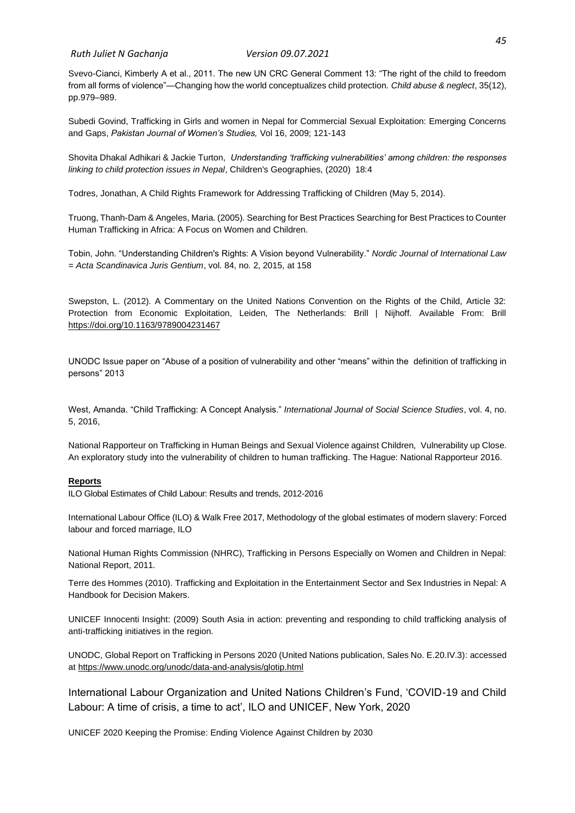*Ruth Juliet N Gachanja Version 09.07.2021*

Svevo-Cianci, Kimberly A et al., 2011. The new UN CRC General Comment 13: "The right of the child to freedom from all forms of violence"—Changing how the world conceptualizes child protection. *Child abuse & neglect*, 35(12), pp.979–989.

Subedi Govind, Trafficking in Girls and women in Nepal for Commercial Sexual Exploitation: Emerging Concerns and Gaps, *Pakistan Journal of Women's Studies,* Vol 16, 2009; 121-143

Shovita Dhakal Adhikari & Jackie Turton, *Understanding 'trafficking vulnerabilities' among children: the responses linking to child protection issues in Nepal*, Children's Geographies, (2020) 18:4

Todres, Jonathan, A Child Rights Framework for Addressing Trafficking of Children (May 5, 2014).

Truong, Thanh-Dam & Angeles, Maria. (2005). Searching for Best Practices Searching for Best Practices to Counter Human Trafficking in Africa: A Focus on Women and Children.

Tobin, John. "Understanding Children's Rights: A Vision beyond Vulnerability." *Nordic Journal of International Law = Acta Scandinavica Juris Gentium*, vol. 84, no. 2, 2015, at 158

Swepston, L. (2012). A Commentary on the United Nations Convention on the Rights of the Child, Article 32: Protection from Economic Exploitation, Leiden, The Netherlands: Brill | Nijhoff. Available From: Brill <https://doi.org/10.1163/9789004231467>

UNODC Issue paper on "Abuse of a position of vulnerability and other "means" within the definition of trafficking in persons" 2013

West, Amanda. "Child Trafficking: A Concept Analysis." *International Journal of Social Science Studies*, vol. 4, no. 5, 2016,

National Rapporteur on Trafficking in Human Beings and Sexual Violence against Children, Vulnerability up Close. An exploratory study into the vulnerability of children to human trafficking. The Hague: National Rapporteur 2016.

#### **Reports**

ILO Global Estimates of Child Labour: Results and trends, 2012-2016

International Labour Office (ILO) & Walk Free 2017, Methodology of the global estimates of modern slavery: Forced labour and forced marriage, ILO

National Human Rights Commission (NHRC), Trafficking in Persons Especially on Women and Children in Nepal: National Report, 2011.

Terre des Hommes (2010). Trafficking and Exploitation in the Entertainment Sector and Sex Industries in Nepal: A Handbook for Decision Makers.

UNICEF Innocenti Insight: (2009) South Asia in action: preventing and responding to child trafficking analysis of anti-trafficking initiatives in the region.

UNODC, Global Report on Trafficking in Persons 2020 (United Nations publication, Sales No. E.20.IV.3): accessed at<https://www.unodc.org/unodc/data-and-analysis/glotip.html>

International Labour Organization and United Nations Children's Fund, 'COVID-19 and Child Labour: A time of crisis, a time to act', ILO and UNICEF, New York, 2020

UNICEF 2020 Keeping the Promise: Ending Violence Against Children by 2030